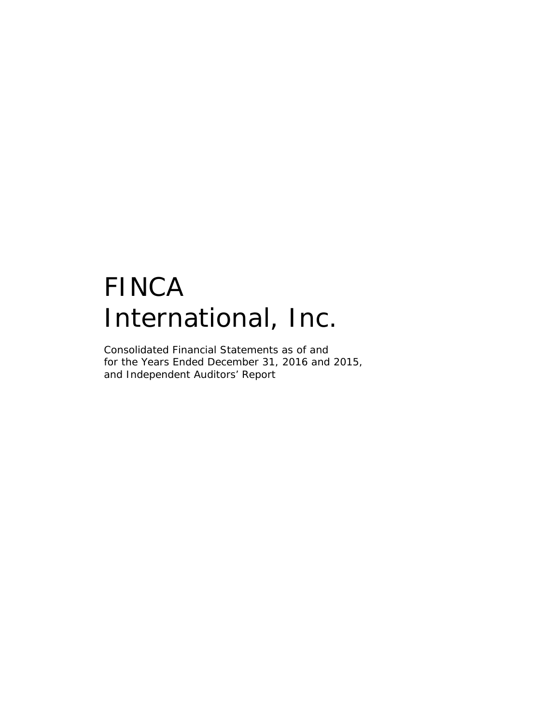# FINCA International, Inc.

Consolidated Financial Statements as of and for the Years Ended December 31, 2016 and 2015, and Independent Auditors' Report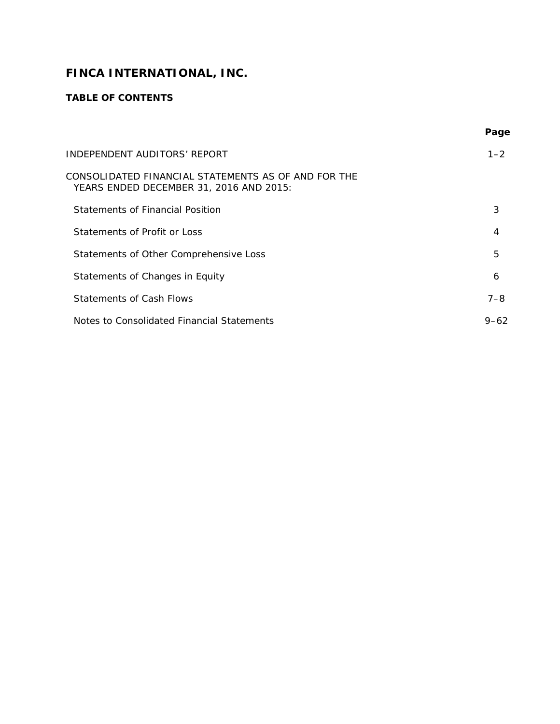## **TABLE OF CONTENTS**

|                                                                                                | Page     |
|------------------------------------------------------------------------------------------------|----------|
| INDEPENDENT AUDITORS' REPORT                                                                   | $1 - 2$  |
| CONSOLIDATED FINANCIAL STATEMENTS AS OF AND FOR THE<br>YEARS ENDED DECEMBER 31, 2016 AND 2015: |          |
| Statements of Financial Position                                                               | 3        |
| Statements of Profit or Loss                                                                   | 4        |
| Statements of Other Comprehensive Loss                                                         | 5        |
| Statements of Changes in Equity                                                                | 6        |
| Statements of Cash Flows                                                                       | $7 - 8$  |
| Notes to Consolidated Financial Statements                                                     | $9 - 62$ |

<u> 1980 - Johann Barn, mars ann an t-Amhain Aonaich an t-Aonaich an t-Aonaich ann an t-Aonaich ann an t-Aonaich</u>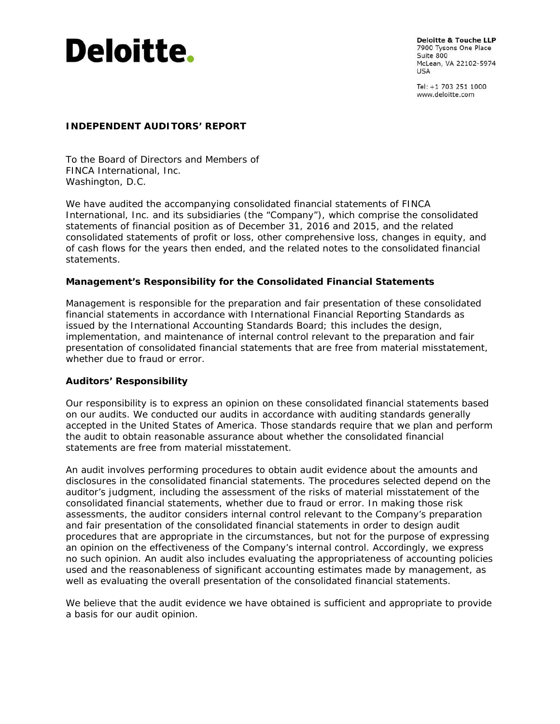

**Deloitte & Touche LLP** 7900 Tysons One Place Suite 800 McLean, VA 22102-5974 **USA** 

Tel: +1 703 251 1000 www.deloitte.com

#### **INDEPENDENT AUDITORS' REPORT**

To the Board of Directors and Members of FINCA International, Inc. Washington, D.C.

We have audited the accompanying consolidated financial statements of FINCA International, Inc. and its subsidiaries (the "Company"), which comprise the consolidated statements of financial position as of December 31, 2016 and 2015, and the related consolidated statements of profit or loss, other comprehensive loss, changes in equity, and of cash flows for the years then ended, and the related notes to the consolidated financial statements.

#### **Management's Responsibility for the Consolidated Financial Statements**

Management is responsible for the preparation and fair presentation of these consolidated financial statements in accordance with International Financial Reporting Standards as issued by the International Accounting Standards Board; this includes the design, implementation, and maintenance of internal control relevant to the preparation and fair presentation of consolidated financial statements that are free from material misstatement, whether due to fraud or error.

#### **Auditors' Responsibility**

Our responsibility is to express an opinion on these consolidated financial statements based on our audits. We conducted our audits in accordance with auditing standards generally accepted in the United States of America. Those standards require that we plan and perform the audit to obtain reasonable assurance about whether the consolidated financial statements are free from material misstatement.

An audit involves performing procedures to obtain audit evidence about the amounts and disclosures in the consolidated financial statements. The procedures selected depend on the auditor's judgment, including the assessment of the risks of material misstatement of the consolidated financial statements, whether due to fraud or error. In making those risk assessments, the auditor considers internal control relevant to the Company's preparation and fair presentation of the consolidated financial statements in order to design audit procedures that are appropriate in the circumstances, but not for the purpose of expressing an opinion on the effectiveness of the Company's internal control. Accordingly, we express no such opinion. An audit also includes evaluating the appropriateness of accounting policies used and the reasonableness of significant accounting estimates made by management, as well as evaluating the overall presentation of the consolidated financial statements.

We believe that the audit evidence we have obtained is sufficient and appropriate to provide a basis for our audit opinion.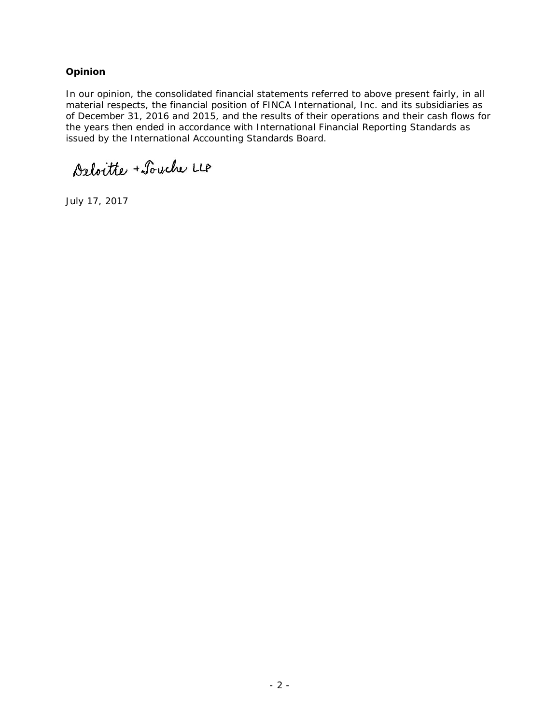#### **Opinion**

In our opinion, the consolidated financial statements referred to above present fairly, in all material respects, the financial position of FINCA International, Inc. and its subsidiaries as of December 31, 2016 and 2015, and the results of their operations and their cash flows for the years then ended in accordance with International Financial Reporting Standards as issued by the International Accounting Standards Board.

Deloitte + Souche LLP

July 17, 2017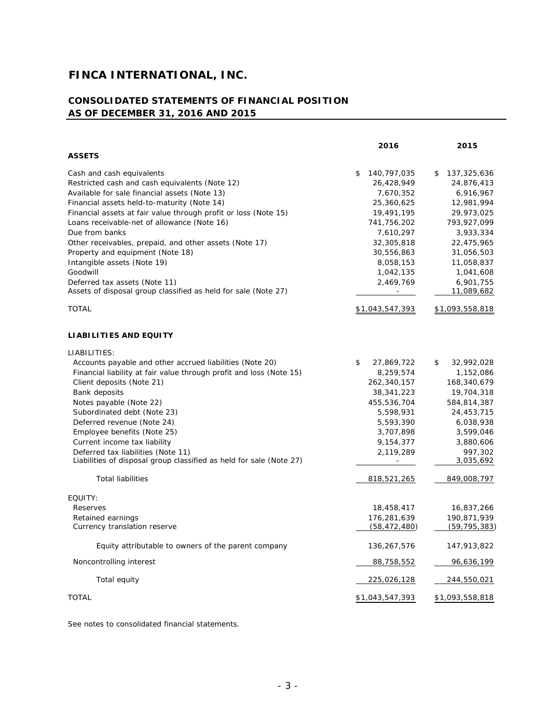## **CONSOLIDATED STATEMENTS OF FINANCIAL POSITION AS OF DECEMBER 31, 2016 AND 2015**

|                                                                     | 2016                     | 2015              |
|---------------------------------------------------------------------|--------------------------|-------------------|
| <b>ASSETS</b>                                                       |                          |                   |
| Cash and cash equivalents                                           | \$<br>140,797,035        | 137,325,636<br>\$ |
| Restricted cash and cash equivalents (Note 12)                      | 26,428,949               | 24,876,413        |
| Available for sale financial assets (Note 13)                       | 7,670,352                | 6,916,967         |
| Financial assets held-to-maturity (Note 14)                         | 25,360,625               | 12,981,994        |
| Financial assets at fair value through profit or loss (Note 15)     | 19,491,195               | 29,973,025        |
| Loans receivable-net of allowance (Note 16)                         | 741,756,202              | 793,927,099       |
| Due from banks                                                      | 7,610,297                | 3,933,334         |
| Other receivables, prepaid, and other assets (Note 17)              | 32,305,818               | 22,475,965        |
| Property and equipment (Note 18)                                    | 30,556,863               | 31,056,503        |
| Intangible assets (Note 19)                                         | 8,058,153                | 11,058,837        |
| Goodwill                                                            | 1,042,135                | 1,041,608         |
| Deferred tax assets (Note 11)                                       | 2,469,769                | 6,901,755         |
| Assets of disposal group classified as held for sale (Note 27)      | $\overline{\phantom{a}}$ | 11,089,682        |
| <b>TOTAL</b>                                                        | \$1,043,547,393          | \$1,093,558,818   |
| LIABILITIES AND EQUITY                                              |                          |                   |
| LIABILITIES:                                                        |                          |                   |
| Accounts payable and other accrued liabilities (Note 20)            | \$<br>27,869,722         | \$<br>32,992,028  |
| Financial liability at fair value through profit and loss (Note 15) | 8,259,574                | 1,152,086         |
| Client deposits (Note 21)                                           | 262,340,157              | 168,340,679       |
| Bank deposits                                                       | 38, 341, 223             | 19,704,318        |
| Notes payable (Note 22)                                             | 455,536,704              | 584,814,387       |
| Subordinated debt (Note 23)                                         | 5,598,931                | 24,453,715        |
| Deferred revenue (Note 24)                                          | 5,593,390                | 6,038,938         |
| Employee benefits (Note 25)                                         | 3,707,898                | 3,599,046         |
| Current income tax liability                                        | 9,154,377                | 3,880,606         |
| Deferred tax liabilities (Note 11)                                  | 2,119,289                | 997,302           |
| Liabilities of disposal group classified as held for sale (Note 27) | $\sim$                   | 3,035,692         |
| <b>Total liabilities</b>                                            | 818,521,265              | 849,008,797       |
| EQUITY:                                                             |                          |                   |
| Reserves                                                            | 18,458,417               | 16,837,266        |
| Retained earnings                                                   | 176,281,639              | 190,871,939       |
| Currency translation reserve                                        | (58, 472, 480)           | (59, 795, 383)    |
| Equity attributable to owners of the parent company                 | 136,267,576              | 147,913,822       |
| Noncontrolling interest                                             | 88,758,552               | 96,636,199        |
| Total equity                                                        | 225,026,128              | 244,550,021       |
| <b>TOTAL</b>                                                        | \$1,043,547,393          | \$1,093,558,818   |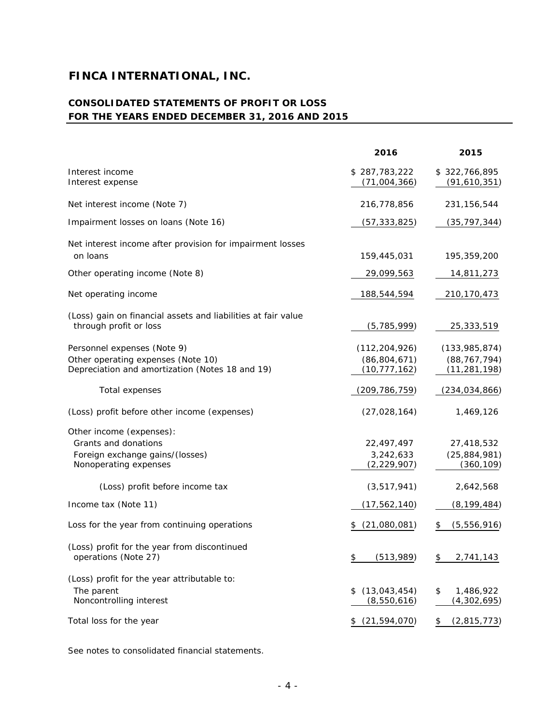## **CONSOLIDATED STATEMENTS OF PROFIT OR LOSS FOR THE YEARS ENDED DECEMBER 31, 2016 AND 2015**

|                                                                                                                                        | 2016                                                                   | 2015                                                                   |
|----------------------------------------------------------------------------------------------------------------------------------------|------------------------------------------------------------------------|------------------------------------------------------------------------|
| Interest income<br>Interest expense                                                                                                    | \$287,783,222<br>(71,004,366)                                          | \$322,766,895<br>(91,610,351)                                          |
| Net interest income (Note 7)                                                                                                           | 216,778,856                                                            | 231, 156, 544                                                          |
| Impairment losses on loans (Note 16)                                                                                                   | (57, 333, 825)                                                         | (35, 797, 344)                                                         |
| Net interest income after provision for impairment losses<br>on loans                                                                  | 159,445,031                                                            | 195,359,200                                                            |
| Other operating income (Note 8)                                                                                                        | 29,099,563                                                             | 14,811,273                                                             |
| Net operating income                                                                                                                   | 188,544,594                                                            | 210,170,473                                                            |
| (Loss) gain on financial assets and liabilities at fair value<br>through profit or loss                                                | (5, 785, 999)                                                          | 25, 333, 519                                                           |
| Personnel expenses (Note 9)<br>Other operating expenses (Note 10)<br>Depreciation and amortization (Notes 18 and 19)<br>Total expenses | (112, 204, 926)<br>(86, 804, 671)<br>(10, 777, 162)<br>(209, 786, 759) | (133, 985, 874)<br>(88, 767, 794)<br>(11, 281, 198)<br>(234, 034, 866) |
| (Loss) profit before other income (expenses)                                                                                           | (27, 028, 164)                                                         | 1,469,126                                                              |
| Other income (expenses):<br>Grants and donations<br>Foreign exchange gains/(losses)<br>Nonoperating expenses                           | 22,497,497<br>3,242,633<br>(2, 229, 907)                               | 27,418,532<br>(25, 884, 981)<br>(360, 109)                             |
| (Loss) profit before income tax                                                                                                        | (3, 517, 941)                                                          | 2,642,568                                                              |
| Income tax (Note 11)                                                                                                                   | (17, 562, 140)                                                         | (8, 199, 484)                                                          |
| Loss for the year from continuing operations                                                                                           | (21,080,081)<br>\$                                                     | (5,556,916)<br>\$                                                      |
| (Loss) profit for the year from discontinued<br>operations (Note 27)                                                                   | (513,989)<br>$\frac{1}{2}$                                             | 2,741,143<br>\$                                                        |
| (Loss) profit for the year attributable to:<br>The parent<br>Noncontrolling interest                                                   | (13,043,454)<br>\$<br>(8,550,616)                                      | $\updownarrow$<br>1,486,922<br>(4,302,695)                             |
| Total loss for the year                                                                                                                | \$(21,594,070)                                                         | (2,815,773)<br>\$                                                      |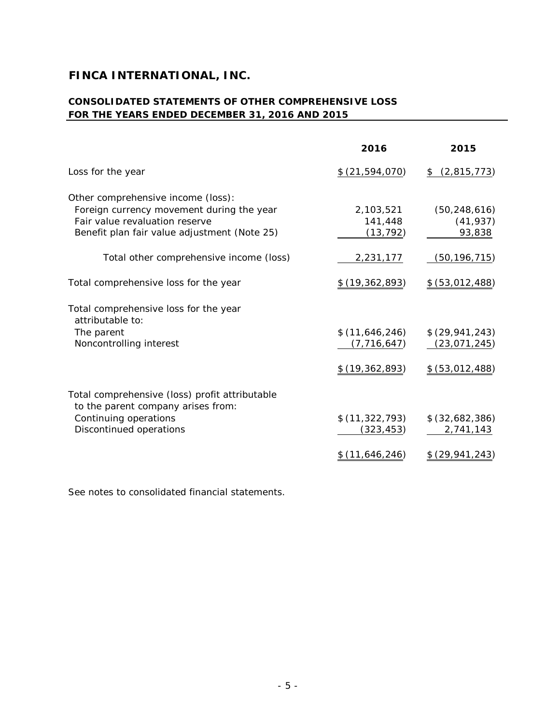## **CONSOLIDATED STATEMENTS OF OTHER COMPREHENSIVE LOSS FOR THE YEARS ENDED DECEMBER 31, 2016 AND 2015**

|                                                                                                                                                                   | 2016                              | 2015                                  |
|-------------------------------------------------------------------------------------------------------------------------------------------------------------------|-----------------------------------|---------------------------------------|
| Loss for the year                                                                                                                                                 | \$(21,594,070)                    | \$(2,815,773)                         |
| Other comprehensive income (loss):<br>Foreign currency movement during the year<br>Fair value revaluation reserve<br>Benefit plan fair value adjustment (Note 25) | 2,103,521<br>141,448<br>(13, 792) | (50, 248, 616)<br>(41, 937)<br>93,838 |
| Total other comprehensive income (loss)                                                                                                                           | 2,231,177                         | (50, 196, 715)                        |
| Total comprehensive loss for the year                                                                                                                             | \$ (19, 362, 893)                 | \$ (53,012,488)                       |
| Total comprehensive loss for the year<br>attributable to:<br>The parent<br>Noncontrolling interest                                                                | \$(11,646,246)<br>(7, 716, 647)   | \$(29, 941, 243)<br>(23, 071, 245)    |
|                                                                                                                                                                   | \$(19, 362, 893)                  | \$ (53,012,488)                       |
| Total comprehensive (loss) profit attributable<br>to the parent company arises from:                                                                              |                                   |                                       |
| Continuing operations<br>Discontinued operations                                                                                                                  | \$(11, 322, 793)<br>(323, 453)    | \$ (32,682,386)<br>2,741,143          |
|                                                                                                                                                                   | \$(11,646,246)                    | \$(29, 941, 243)                      |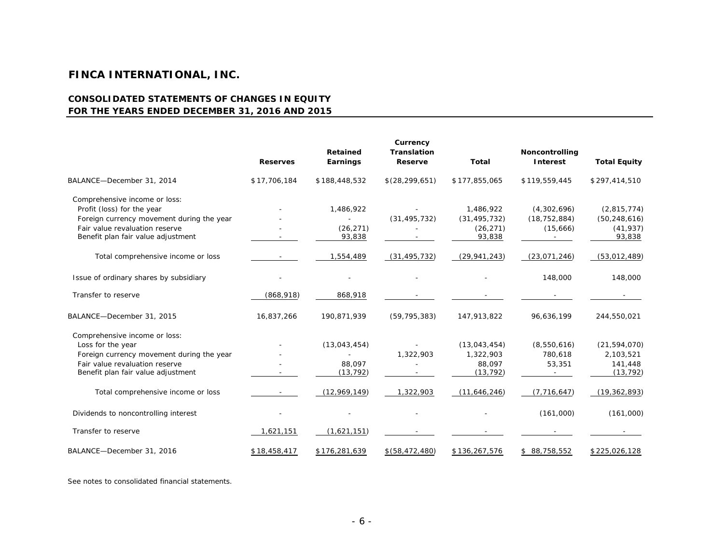#### **CONSOLIDATED STATEMENTS OF CHANGES IN EQUITYFOR THE YEARS ENDED DECEMBER 31, 2016 AND 2015**

|                                           | <b>Reserves</b> | Retained<br>Earnings | Currency<br>Translation<br>Reserve | Total          | Noncontrolling<br>Interest | <b>Total Equity</b> |
|-------------------------------------------|-----------------|----------------------|------------------------------------|----------------|----------------------------|---------------------|
| BALANCE-December 31, 2014                 | \$17,706,184    | \$188,448,532        | \$(28, 299, 651)                   | \$177,855,065  | \$119,559,445              | \$297,414,510       |
| Comprehensive income or loss:             |                 |                      |                                    |                |                            |                     |
| Profit (loss) for the year                |                 | 1,486,922            |                                    | 1,486,922      | (4,302,696)                | (2,815,774)         |
| Foreign currency movement during the year |                 |                      | (31, 495, 732)                     | (31, 495, 732) | (18, 752, 884)             | (50, 248, 616)      |
| Fair value revaluation reserve            |                 | (26, 271)            |                                    | (26, 271)      | (15,666)                   | (41, 937)           |
| Benefit plan fair value adjustment        |                 | 93,838               |                                    | 93,838         |                            | 93,838              |
| Total comprehensive income or loss        |                 | 1,554,489            | (31, 495, 732)                     | (29, 941, 243) | (23,071,246)               | (53,012,489)        |
| Issue of ordinary shares by subsidiary    |                 |                      |                                    |                | 148,000                    | 148,000             |
| Transfer to reserve                       | (868, 918)      | 868,918              |                                    |                |                            |                     |
| BALANCE-December 31, 2015                 | 16,837,266      | 190,871,939          | (59, 795, 383)                     | 147,913,822    | 96,636,199                 | 244,550,021         |
| Comprehensive income or loss:             |                 |                      |                                    |                |                            |                     |
| Loss for the year                         |                 | (13,043,454)         |                                    | (13,043,454)   | (8,550,616)                | (21, 594, 070)      |
| Foreign currency movement during the year |                 |                      | 1,322,903                          | 1,322,903      | 780,618                    | 2,103,521           |
| Fair value revaluation reserve            |                 | 88.097               |                                    | 88.097         | 53,351                     | 141,448             |
| Benefit plan fair value adjustment        |                 | (13, 792)            |                                    | (13, 792)      | $\sim 100$                 | (13, 792)           |
| Total comprehensive income or loss        |                 | (12,969,149)         | 1,322,903                          | (11,646,246)   | (7, 716, 647)              | (19, 362, 893)      |
| Dividends to noncontrolling interest      |                 |                      |                                    |                | (161,000)                  | (161,000)           |
| Transfer to reserve                       | 1,621,151       | (1,621,151)          |                                    |                |                            |                     |
| BALANCE-December 31, 2016                 | \$18,458,417    | \$176,281,639        | \$(58, 472, 480)                   | \$136,267,576  | \$88,758,552               | \$225,026,128       |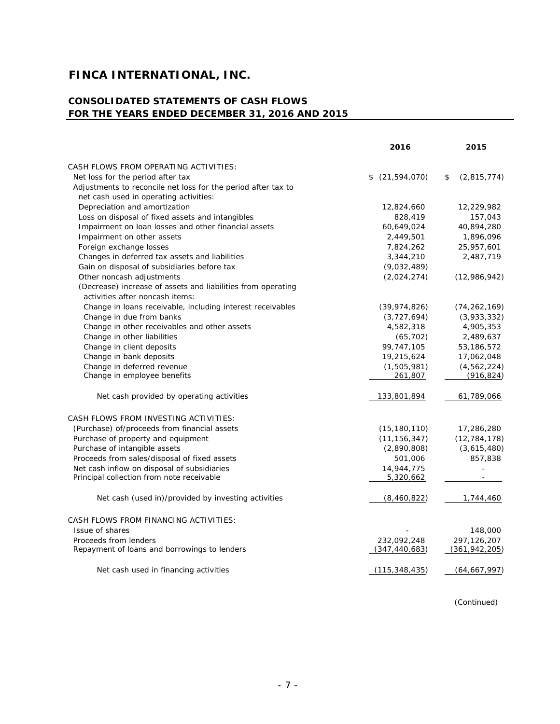#### **CONSOLIDATED STATEMENTS OF CASH FLOWS FOR THE YEARS ENDED DECEMBER 31, 2016 AND 2015**

|                                                               | 2016                 | 2015              |
|---------------------------------------------------------------|----------------------|-------------------|
| CASH FLOWS FROM OPERATING ACTIVITIES:                         |                      |                   |
| Net loss for the period after tax                             | (21, 594, 070)<br>\$ | \$<br>(2,815,774) |
| Adjustments to reconcile net loss for the period after tax to |                      |                   |
| net cash used in operating activities:                        |                      |                   |
| Depreciation and amortization                                 | 12,824,660           | 12,229,982        |
| Loss on disposal of fixed assets and intangibles              | 828,419              | 157,043           |
| Impairment on loan losses and other financial assets          | 60,649,024           | 40,894,280        |
| Impairment on other assets                                    | 2,449,501            | 1,896,096         |
| Foreign exchange losses                                       | 7,824,262            | 25,957,601        |
| Changes in deferred tax assets and liabilities                | 3,344,210            | 2,487,719         |
| Gain on disposal of subsidiaries before tax                   | (9,032,489)          |                   |
| Other noncash adjustments                                     | (2,024,274)          | (12,986,942)      |
| (Decrease) increase of assets and liabilities from operating  |                      |                   |
| activities after noncash items:                               |                      |                   |
| Change in loans receivable, including interest receivables    | (39, 974, 826)       | (74, 262, 169)    |
| Change in due from banks                                      | (3, 727, 694)        | (3,933,332)       |
| Change in other receivables and other assets                  | 4,582,318            | 4,905,353         |
| Change in other liabilities                                   | (65, 702)            | 2,489,637         |
| Change in client deposits                                     | 99,747,105           | 53,186,572        |
| Change in bank deposits                                       | 19,215,624           | 17,062,048        |
| Change in deferred revenue                                    | (1,505,981)          | (4, 562, 224)     |
| Change in employee benefits                                   | 261,807              | (916, 824)        |
| Net cash provided by operating activities                     | 133,801,894          | 61,789,066        |
| CASH FLOWS FROM INVESTING ACTIVITIES:                         |                      |                   |
| (Purchase) of/proceeds from financial assets                  | (15, 180, 110)       | 17,286,280        |
| Purchase of property and equipment                            | (11, 156, 347)       | (12, 784, 178)    |
| Purchase of intangible assets                                 | (2,890,808)          | (3,615,480)       |
| Proceeds from sales/disposal of fixed assets                  | 501,006              | 857,838           |
| Net cash inflow on disposal of subsidiaries                   | 14,944,775           | ÷,                |
| Principal collection from note receivable                     | 5,320,662            |                   |
| Net cash (used in)/provided by investing activities           | (8,460,822)          | 1,744,460         |
| CASH FLOWS FROM FINANCING ACTIVITIES:                         |                      |                   |
| Issue of shares                                               |                      | 148,000           |
| Proceeds from lenders                                         | 232,092,248          | 297,126,207       |
| Repayment of loans and borrowings to lenders                  | (347, 440, 683)      | (361, 942, 205)   |
| Net cash used in financing activities                         | (115, 348, 435)      | (64, 667, 997)    |

(Continued)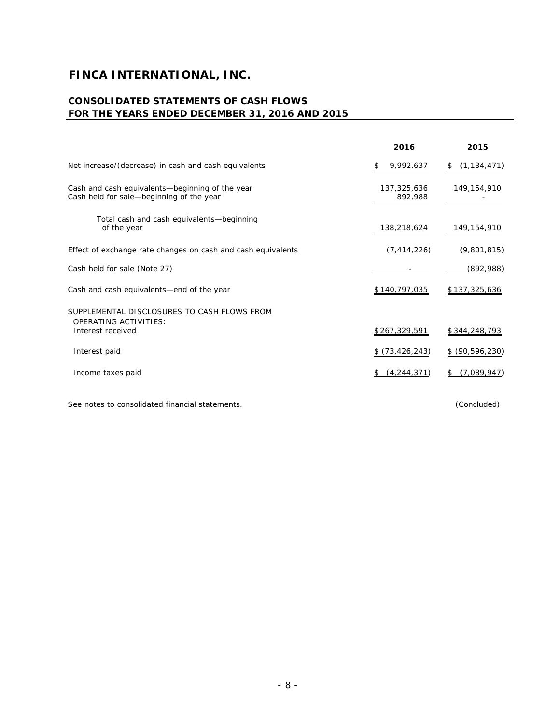#### **CONSOLIDATED STATEMENTS OF CASH FLOWS FOR THE YEARS ENDED DECEMBER 31, 2016 AND 2015**

|                                                                                             | 2016                   | 2015              |
|---------------------------------------------------------------------------------------------|------------------------|-------------------|
| Net increase/(decrease) in cash and cash equivalents                                        | 9,992,637              | \$(1, 134, 471)   |
| Cash and cash equivalents—beginning of the year<br>Cash held for sale-beginning of the year | 137,325,636<br>892,988 | 149,154,910       |
| Total cash and cash equivalents-beginning<br>of the year                                    | 138,218,624            | 149,154,910       |
| Effect of exchange rate changes on cash and cash equivalents                                | (7, 414, 226)          | (9,801,815)       |
| Cash held for sale (Note 27)                                                                |                        | (892,988)         |
| Cash and cash equivalents—end of the year                                                   | \$140,797,035          | \$137,325,636     |
| SUPPLEMENTAL DISCLOSURES TO CASH FLOWS FROM<br>OPERATING ACTIVITIES:<br>Interest received   | \$267,329,591          | \$344,248,793     |
| Interest paid                                                                               | \$ (73, 426, 243)      | \$ (90, 596, 230) |
| Income taxes paid                                                                           | (4, 244, 371)          | (7,089,947)<br>\$ |
|                                                                                             |                        |                   |

See notes to consolidated financial statements. (Concluded) (Concluded)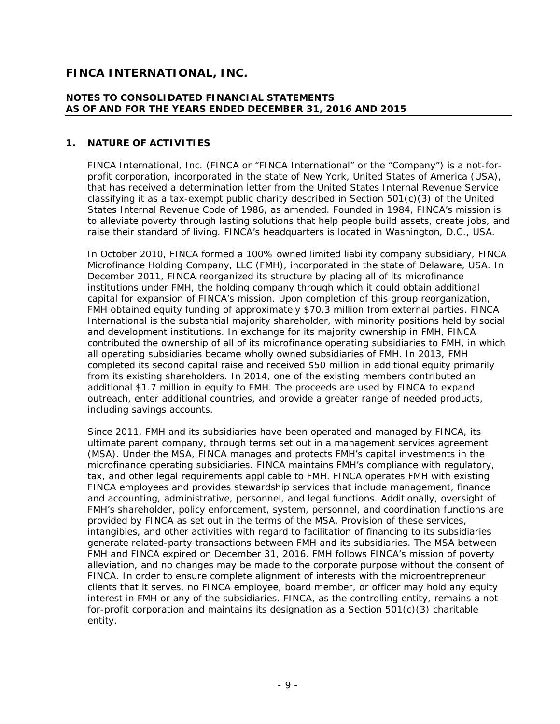#### **NOTES TO CONSOLIDATED FINANCIAL STATEMENTS AS OF AND FOR THE YEARS ENDED DECEMBER 31, 2016 AND 2015**

#### **1. NATURE OF ACTIVITIES**

FINCA International, Inc. (FINCA or "FINCA International" or the "Company") is a not-forprofit corporation, incorporated in the state of New York, United States of America (USA), that has received a determination letter from the United States Internal Revenue Service classifying it as a tax-exempt public charity described in Section  $501(c)(3)$  of the United States Internal Revenue Code of 1986, as amended. Founded in 1984, FINCA's mission is to alleviate poverty through lasting solutions that help people build assets, create jobs, and raise their standard of living. FINCA's headquarters is located in Washington, D.C., USA.

In October 2010, FINCA formed a 100% owned limited liability company subsidiary, FINCA Microfinance Holding Company, LLC (FMH), incorporated in the state of Delaware, USA. In December 2011, FINCA reorganized its structure by placing all of its microfinance institutions under FMH, the holding company through which it could obtain additional capital for expansion of FINCA's mission. Upon completion of this group reorganization, FMH obtained equity funding of approximately \$70.3 million from external parties. FINCA International is the substantial majority shareholder, with minority positions held by social and development institutions. In exchange for its majority ownership in FMH, FINCA contributed the ownership of all of its microfinance operating subsidiaries to FMH, in which all operating subsidiaries became wholly owned subsidiaries of FMH. In 2013, FMH completed its second capital raise and received \$50 million in additional equity primarily from its existing shareholders. In 2014, one of the existing members contributed an additional \$1.7 million in equity to FMH. The proceeds are used by FINCA to expand outreach, enter additional countries, and provide a greater range of needed products, including savings accounts.

Since 2011, FMH and its subsidiaries have been operated and managed by FINCA, its ultimate parent company, through terms set out in a management services agreement (MSA). Under the MSA, FINCA manages and protects FMH's capital investments in the microfinance operating subsidiaries. FINCA maintains FMH's compliance with regulatory, tax, and other legal requirements applicable to FMH. FINCA operates FMH with existing FINCA employees and provides stewardship services that include management, finance and accounting, administrative, personnel, and legal functions. Additionally, oversight of FMH's shareholder, policy enforcement, system, personnel, and coordination functions are provided by FINCA as set out in the terms of the MSA. Provision of these services, intangibles, and other activities with regard to facilitation of financing to its subsidiaries generate related-party transactions between FMH and its subsidiaries. The MSA between FMH and FINCA expired on December 31, 2016. FMH follows FINCA's mission of poverty alleviation, and no changes may be made to the corporate purpose without the consent of FINCA. In order to ensure complete alignment of interests with the microentrepreneur clients that it serves, no FINCA employee, board member, or officer may hold any equity interest in FMH or any of the subsidiaries. FINCA, as the controlling entity, remains a notfor-profit corporation and maintains its designation as a Section 501(c)(3) charitable entity.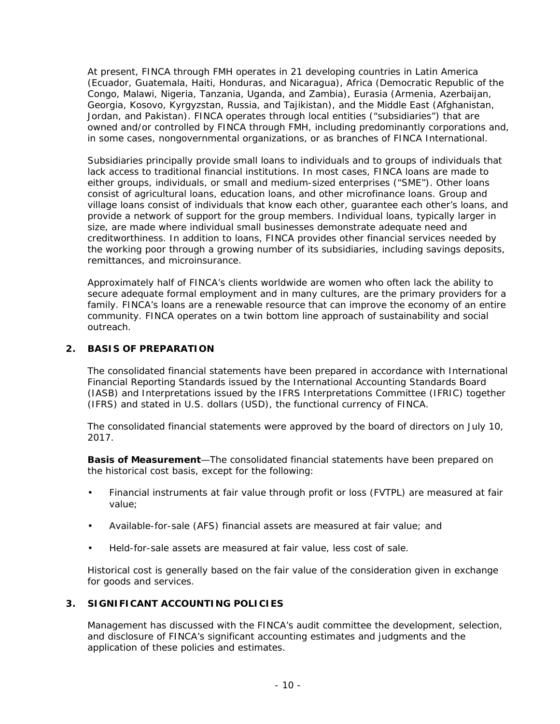At present, FINCA through FMH operates in 21 developing countries in Latin America (Ecuador, Guatemala, Haiti, Honduras, and Nicaragua), Africa (Democratic Republic of the Congo, Malawi, Nigeria, Tanzania, Uganda, and Zambia), Eurasia (Armenia, Azerbaijan, Georgia, Kosovo, Kyrgyzstan, Russia, and Tajikistan), and the Middle East (Afghanistan, Jordan, and Pakistan). FINCA operates through local entities ("subsidiaries") that are owned and/or controlled by FINCA through FMH, including predominantly corporations and, in some cases, nongovernmental organizations, or as branches of FINCA International.

Subsidiaries principally provide small loans to individuals and to groups of individuals that lack access to traditional financial institutions. In most cases, FINCA loans are made to either groups, individuals, or small and medium-sized enterprises ("SME"). Other loans consist of agricultural loans, education loans, and other microfinance loans. Group and village loans consist of individuals that know each other, guarantee each other's loans, and provide a network of support for the group members. Individual loans, typically larger in size, are made where individual small businesses demonstrate adequate need and creditworthiness. In addition to loans, FINCA provides other financial services needed by the working poor through a growing number of its subsidiaries, including savings deposits, remittances, and microinsurance.

Approximately half of FINCA's clients worldwide are women who often lack the ability to secure adequate formal employment and in many cultures, are the primary providers for a family. FINCA's loans are a renewable resource that can improve the economy of an entire community. FINCA operates on a twin bottom line approach of sustainability and social outreach.

#### **2. BASIS OF PREPARATION**

The consolidated financial statements have been prepared in accordance with International Financial Reporting Standards issued by the International Accounting Standards Board (IASB) and Interpretations issued by the IFRS Interpretations Committee (IFRIC) together (IFRS) and stated in U.S. dollars (USD), the functional currency of FINCA.

The consolidated financial statements were approved by the board of directors on July 10, 2017.

**Basis of Measurement**—The consolidated financial statements have been prepared on the historical cost basis, except for the following:

- Financial instruments at fair value through profit or loss (FVTPL) are measured at fair value;
- Available-for-sale (AFS) financial assets are measured at fair value; and
- Held-for-sale assets are measured at fair value, less cost of sale.

Historical cost is generally based on the fair value of the consideration given in exchange for goods and services.

#### **3. SIGNIFICANT ACCOUNTING POLICIES**

Management has discussed with the FINCA's audit committee the development, selection, and disclosure of FINCA's significant accounting estimates and judgments and the application of these policies and estimates.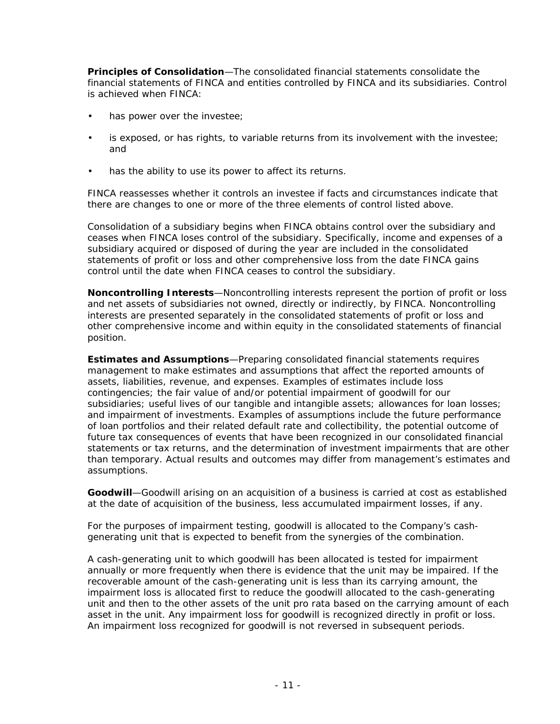**Principles of Consolidation**—The consolidated financial statements consolidate the financial statements of FINCA and entities controlled by FINCA and its subsidiaries. Control is achieved when FINCA:

- has power over the investee;
- is exposed, or has rights, to variable returns from its involvement with the investee; and
- has the ability to use its power to affect its returns.

FINCA reassesses whether it controls an investee if facts and circumstances indicate that there are changes to one or more of the three elements of control listed above.

Consolidation of a subsidiary begins when FINCA obtains control over the subsidiary and ceases when FINCA loses control of the subsidiary. Specifically, income and expenses of a subsidiary acquired or disposed of during the year are included in the consolidated statements of profit or loss and other comprehensive loss from the date FINCA gains control until the date when FINCA ceases to control the subsidiary.

**Noncontrolling Interests**—Noncontrolling interests represent the portion of profit or loss and net assets of subsidiaries not owned, directly or indirectly, by FINCA. Noncontrolling interests are presented separately in the consolidated statements of profit or loss and other comprehensive income and within equity in the consolidated statements of financial position.

**Estimates and Assumptions**—Preparing consolidated financial statements requires management to make estimates and assumptions that affect the reported amounts of assets, liabilities, revenue, and expenses. Examples of estimates include loss contingencies; the fair value of and/or potential impairment of goodwill for our subsidiaries; useful lives of our tangible and intangible assets; allowances for loan losses; and impairment of investments. Examples of assumptions include the future performance of loan portfolios and their related default rate and collectibility, the potential outcome of future tax consequences of events that have been recognized in our consolidated financial statements or tax returns, and the determination of investment impairments that are other than temporary. Actual results and outcomes may differ from management's estimates and assumptions.

**Goodwill**—Goodwill arising on an acquisition of a business is carried at cost as established at the date of acquisition of the business, less accumulated impairment losses, if any.

For the purposes of impairment testing, goodwill is allocated to the Company's cashgenerating unit that is expected to benefit from the synergies of the combination.

A cash-generating unit to which goodwill has been allocated is tested for impairment annually or more frequently when there is evidence that the unit may be impaired. If the recoverable amount of the cash-generating unit is less than its carrying amount, the impairment loss is allocated first to reduce the goodwill allocated to the cash-generating unit and then to the other assets of the unit pro rata based on the carrying amount of each asset in the unit. Any impairment loss for goodwill is recognized directly in profit or loss. An impairment loss recognized for goodwill is not reversed in subsequent periods.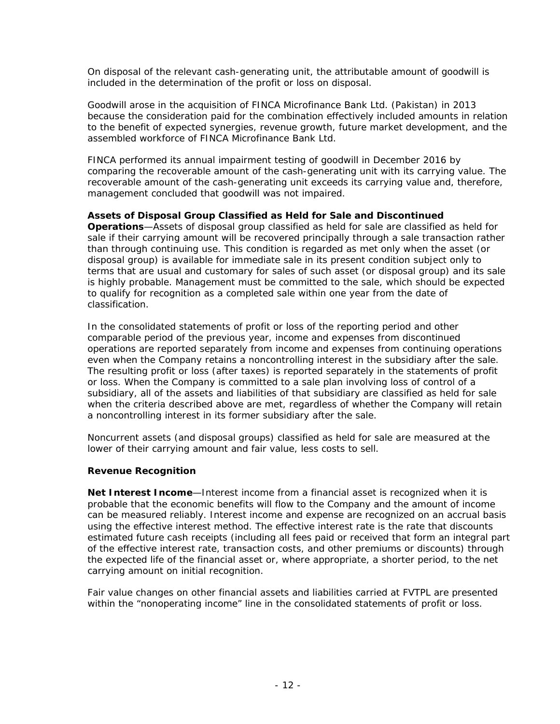On disposal of the relevant cash-generating unit, the attributable amount of goodwill is included in the determination of the profit or loss on disposal.

Goodwill arose in the acquisition of FINCA Microfinance Bank Ltd. (Pakistan) in 2013 because the consideration paid for the combination effectively included amounts in relation to the benefit of expected synergies, revenue growth, future market development, and the assembled workforce of FINCA Microfinance Bank Ltd.

FINCA performed its annual impairment testing of goodwill in December 2016 by comparing the recoverable amount of the cash-generating unit with its carrying value. The recoverable amount of the cash-generating unit exceeds its carrying value and, therefore, management concluded that goodwill was not impaired.

#### **Assets of Disposal Group Classified as Held for Sale and Discontinued**

**Operations**—Assets of disposal group classified as held for sale are classified as held for sale if their carrying amount will be recovered principally through a sale transaction rather than through continuing use. This condition is regarded as met only when the asset (or disposal group) is available for immediate sale in its present condition subject only to terms that are usual and customary for sales of such asset (or disposal group) and its sale is highly probable. Management must be committed to the sale, which should be expected to qualify for recognition as a completed sale within one year from the date of classification.

In the consolidated statements of profit or loss of the reporting period and other comparable period of the previous year, income and expenses from discontinued operations are reported separately from income and expenses from continuing operations even when the Company retains a noncontrolling interest in the subsidiary after the sale. The resulting profit or loss (after taxes) is reported separately in the statements of profit or loss. When the Company is committed to a sale plan involving loss of control of a subsidiary, all of the assets and liabilities of that subsidiary are classified as held for sale when the criteria described above are met, regardless of whether the Company will retain a noncontrolling interest in its former subsidiary after the sale.

Noncurrent assets (and disposal groups) classified as held for sale are measured at the lower of their carrying amount and fair value, less costs to sell.

#### **Revenue Recognition**

*Net Interest Income*—Interest income from a financial asset is recognized when it is probable that the economic benefits will flow to the Company and the amount of income can be measured reliably. Interest income and expense are recognized on an accrual basis using the effective interest method. The effective interest rate is the rate that discounts estimated future cash receipts (including all fees paid or received that form an integral part of the effective interest rate, transaction costs, and other premiums or discounts) through the expected life of the financial asset or, where appropriate, a shorter period, to the net carrying amount on initial recognition.

Fair value changes on other financial assets and liabilities carried at FVTPL are presented within the "nonoperating income" line in the consolidated statements of profit or loss.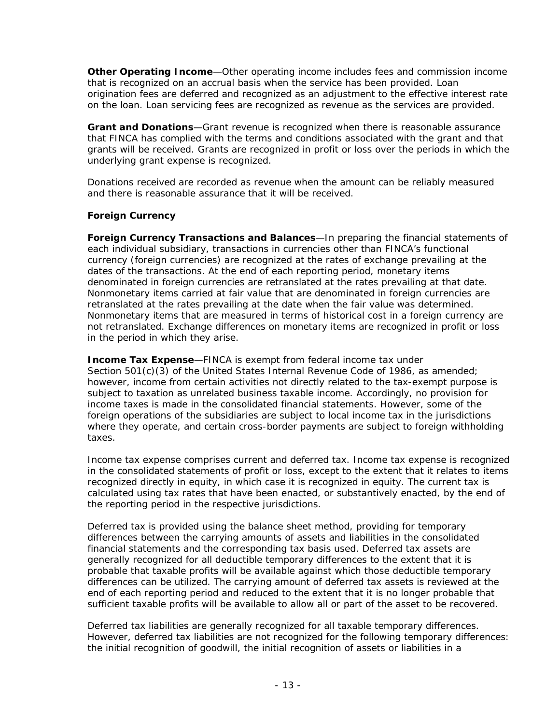*Other Operating Income*—Other operating income includes fees and commission income that is recognized on an accrual basis when the service has been provided. Loan origination fees are deferred and recognized as an adjustment to the effective interest rate on the loan. Loan servicing fees are recognized as revenue as the services are provided.

*Grant and Donations*—Grant revenue is recognized when there is reasonable assurance that FINCA has complied with the terms and conditions associated with the grant and that grants will be received. Grants are recognized in profit or loss over the periods in which the underlying grant expense is recognized.

Donations received are recorded as revenue when the amount can be reliably measured and there is reasonable assurance that it will be received.

#### **Foreign Currency**

*Foreign Currency Transactions and Balances*—In preparing the financial statements of each individual subsidiary, transactions in currencies other than FINCA's functional currency (foreign currencies) are recognized at the rates of exchange prevailing at the dates of the transactions. At the end of each reporting period, monetary items denominated in foreign currencies are retranslated at the rates prevailing at that date. Nonmonetary items carried at fair value that are denominated in foreign currencies are retranslated at the rates prevailing at the date when the fair value was determined. Nonmonetary items that are measured in terms of historical cost in a foreign currency are not retranslated. Exchange differences on monetary items are recognized in profit or loss in the period in which they arise.

**Income Tax Expense**—FINCA is exempt from federal income tax under Section 501(c)(3) of the United States Internal Revenue Code of 1986, as amended; however, income from certain activities not directly related to the tax-exempt purpose is subject to taxation as unrelated business taxable income. Accordingly, no provision for income taxes is made in the consolidated financial statements. However, some of the foreign operations of the subsidiaries are subject to local income tax in the jurisdictions where they operate, and certain cross-border payments are subject to foreign withholding taxes.

Income tax expense comprises current and deferred tax. Income tax expense is recognized in the consolidated statements of profit or loss, except to the extent that it relates to items recognized directly in equity, in which case it is recognized in equity. The current tax is calculated using tax rates that have been enacted, or substantively enacted, by the end of the reporting period in the respective jurisdictions.

Deferred tax is provided using the balance sheet method, providing for temporary differences between the carrying amounts of assets and liabilities in the consolidated financial statements and the corresponding tax basis used. Deferred tax assets are generally recognized for all deductible temporary differences to the extent that it is probable that taxable profits will be available against which those deductible temporary differences can be utilized. The carrying amount of deferred tax assets is reviewed at the end of each reporting period and reduced to the extent that it is no longer probable that sufficient taxable profits will be available to allow all or part of the asset to be recovered.

Deferred tax liabilities are generally recognized for all taxable temporary differences. However, deferred tax liabilities are not recognized for the following temporary differences: the initial recognition of goodwill, the initial recognition of assets or liabilities in a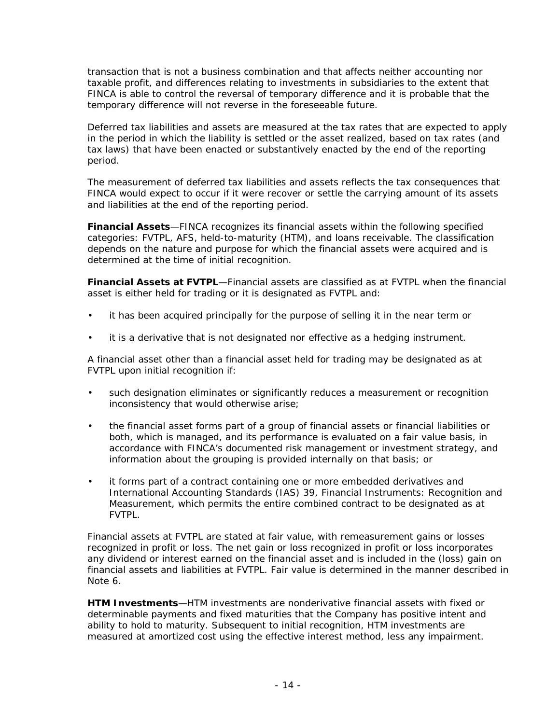transaction that is not a business combination and that affects neither accounting nor taxable profit, and differences relating to investments in subsidiaries to the extent that FINCA is able to control the reversal of temporary difference and it is probable that the temporary difference will not reverse in the foreseeable future.

Deferred tax liabilities and assets are measured at the tax rates that are expected to apply in the period in which the liability is settled or the asset realized, based on tax rates (and tax laws) that have been enacted or substantively enacted by the end of the reporting period.

The measurement of deferred tax liabilities and assets reflects the tax consequences that FINCA would expect to occur if it were recover or settle the carrying amount of its assets and liabilities at the end of the reporting period.

**Financial Assets**—FINCA recognizes its financial assets within the following specified categories: FVTPL, AFS, held-to-maturity (HTM), and loans receivable. The classification depends on the nature and purpose for which the financial assets were acquired and is determined at the time of initial recognition.

*Financial Assets at FVTPL*—Financial assets are classified as at FVTPL when the financial asset is either held for trading or it is designated as FVTPL and:

- it has been acquired principally for the purpose of selling it in the near term or
- it is a derivative that is not designated nor effective as a hedging instrument.

A financial asset other than a financial asset held for trading may be designated as at FVTPL upon initial recognition if:

- such designation eliminates or significantly reduces a measurement or recognition inconsistency that would otherwise arise;
- the financial asset forms part of a group of financial assets or financial liabilities or both, which is managed, and its performance is evaluated on a fair value basis, in accordance with FINCA's documented risk management or investment strategy, and information about the grouping is provided internally on that basis; or
- it forms part of a contract containing one or more embedded derivatives and International Accounting Standards (IAS) 39, Financial Instruments: Recognition and Measurement, which permits the entire combined contract to be designated as at FVTPL.

Financial assets at FVTPL are stated at fair value, with remeasurement gains or losses recognized in profit or loss. The net gain or loss recognized in profit or loss incorporates any dividend or interest earned on the financial asset and is included in the (loss) gain on financial assets and liabilities at FVTPL. Fair value is determined in the manner described in Note 6.

*HTM Investments*—HTM investments are nonderivative financial assets with fixed or determinable payments and fixed maturities that the Company has positive intent and ability to hold to maturity. Subsequent to initial recognition, HTM investments are measured at amortized cost using the effective interest method, less any impairment.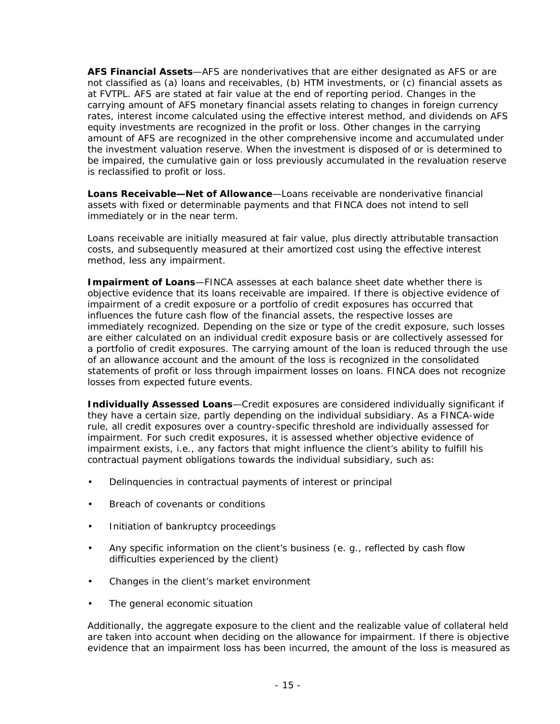*AFS Financial Assets*—AFS are nonderivatives that are either designated as AFS or are not classified as (a) loans and receivables, (b) HTM investments, or (c) financial assets as at FVTPL. AFS are stated at fair value at the end of reporting period. Changes in the carrying amount of AFS monetary financial assets relating to changes in foreign currency rates, interest income calculated using the effective interest method, and dividends on AFS equity investments are recognized in the profit or loss. Other changes in the carrying amount of AFS are recognized in the other comprehensive income and accumulated under the investment valuation reserve. When the investment is disposed of or is determined to be impaired, the cumulative gain or loss previously accumulated in the revaluation reserve is reclassified to profit or loss.

*Loans Receivable—Net of Allowance*—Loans receivable are nonderivative financial assets with fixed or determinable payments and that FINCA does not intend to sell immediately or in the near term.

Loans receivable are initially measured at fair value, plus directly attributable transaction costs, and subsequently measured at their amortized cost using the effective interest method, less any impairment.

*Impairment of Loans*—FINCA assesses at each balance sheet date whether there is objective evidence that its loans receivable are impaired. If there is objective evidence of impairment of a credit exposure or a portfolio of credit exposures has occurred that influences the future cash flow of the financial assets, the respective losses are immediately recognized. Depending on the size or type of the credit exposure, such losses are either calculated on an individual credit exposure basis or are collectively assessed for a portfolio of credit exposures. The carrying amount of the loan is reduced through the use of an allowance account and the amount of the loss is recognized in the consolidated statements of profit or loss through impairment losses on loans. FINCA does not recognize losses from expected future events.

*Individually Assessed Loans*—Credit exposures are considered individually significant if they have a certain size, partly depending on the individual subsidiary. As a FINCA-wide rule, all credit exposures over a country-specific threshold are individually assessed for impairment. For such credit exposures, it is assessed whether objective evidence of impairment exists, i.e., any factors that might influence the client's ability to fulfill his contractual payment obligations towards the individual subsidiary, such as:

- Delinquencies in contractual payments of interest or principal
- Breach of covenants or conditions
- Initiation of bankruptcy proceedings
- Any specific information on the client's business (e. g., reflected by cash flow difficulties experienced by the client)
- Changes in the client's market environment
- The general economic situation

Additionally, the aggregate exposure to the client and the realizable value of collateral held are taken into account when deciding on the allowance for impairment. If there is objective evidence that an impairment loss has been incurred, the amount of the loss is measured as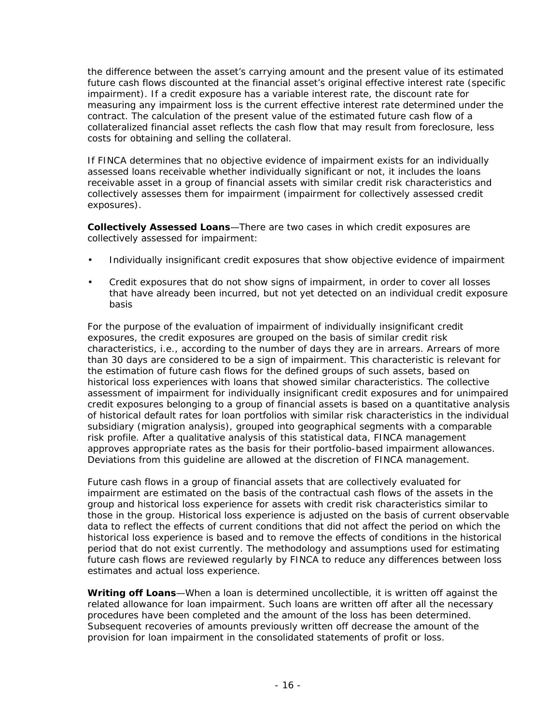the difference between the asset's carrying amount and the present value of its estimated future cash flows discounted at the financial asset's original effective interest rate (specific impairment). If a credit exposure has a variable interest rate, the discount rate for measuring any impairment loss is the current effective interest rate determined under the contract. The calculation of the present value of the estimated future cash flow of a collateralized financial asset reflects the cash flow that may result from foreclosure, less costs for obtaining and selling the collateral.

If FINCA determines that no objective evidence of impairment exists for an individually assessed loans receivable whether individually significant or not, it includes the loans receivable asset in a group of financial assets with similar credit risk characteristics and collectively assesses them for impairment (impairment for collectively assessed credit exposures).

*Collectively Assessed Loans*—There are two cases in which credit exposures are collectively assessed for impairment:

- Individually insignificant credit exposures that show objective evidence of impairment
- Credit exposures that do not show signs of impairment, in order to cover all losses that have already been incurred, but not yet detected on an individual credit exposure basis

For the purpose of the evaluation of impairment of individually insignificant credit exposures, the credit exposures are grouped on the basis of similar credit risk characteristics, i.e., according to the number of days they are in arrears. Arrears of more than 30 days are considered to be a sign of impairment. This characteristic is relevant for the estimation of future cash flows for the defined groups of such assets, based on historical loss experiences with loans that showed similar characteristics. The collective assessment of impairment for individually insignificant credit exposures and for unimpaired credit exposures belonging to a group of financial assets is based on a quantitative analysis of historical default rates for loan portfolios with similar risk characteristics in the individual subsidiary (migration analysis), grouped into geographical segments with a comparable risk profile. After a qualitative analysis of this statistical data, FINCA management approves appropriate rates as the basis for their portfolio-based impairment allowances. Deviations from this guideline are allowed at the discretion of FINCA management.

Future cash flows in a group of financial assets that are collectively evaluated for impairment are estimated on the basis of the contractual cash flows of the assets in the group and historical loss experience for assets with credit risk characteristics similar to those in the group. Historical loss experience is adjusted on the basis of current observable data to reflect the effects of current conditions that did not affect the period on which the historical loss experience is based and to remove the effects of conditions in the historical period that do not exist currently. The methodology and assumptions used for estimating future cash flows are reviewed regularly by FINCA to reduce any differences between loss estimates and actual loss experience.

*Writing off Loans*—When a loan is determined uncollectible, it is written off against the related allowance for loan impairment. Such loans are written off after all the necessary procedures have been completed and the amount of the loss has been determined. Subsequent recoveries of amounts previously written off decrease the amount of the provision for loan impairment in the consolidated statements of profit or loss.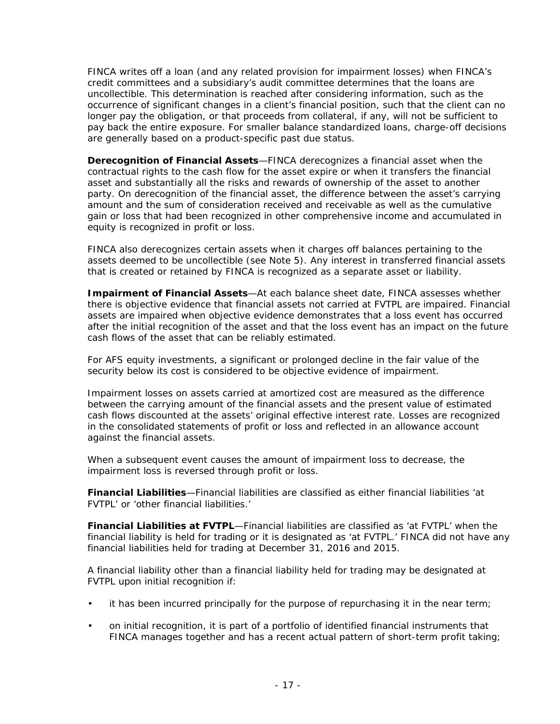FINCA writes off a loan (and any related provision for impairment losses) when FINCA's credit committees and a subsidiary's audit committee determines that the loans are uncollectible. This determination is reached after considering information, such as the occurrence of significant changes in a client's financial position, such that the client can no longer pay the obligation, or that proceeds from collateral, if any, will not be sufficient to pay back the entire exposure. For smaller balance standardized loans, charge-off decisions are generally based on a product-specific past due status.

*Derecognition of Financial Assets*—FINCA derecognizes a financial asset when the contractual rights to the cash flow for the asset expire or when it transfers the financial asset and substantially all the risks and rewards of ownership of the asset to another party. On derecognition of the financial asset, the difference between the asset's carrying amount and the sum of consideration received and receivable as well as the cumulative gain or loss that had been recognized in other comprehensive income and accumulated in equity is recognized in profit or loss.

FINCA also derecognizes certain assets when it charges off balances pertaining to the assets deemed to be uncollectible (see Note 5). Any interest in transferred financial assets that is created or retained by FINCA is recognized as a separate asset or liability.

*Impairment of Financial Assets*—At each balance sheet date, FINCA assesses whether there is objective evidence that financial assets not carried at FVTPL are impaired. Financial assets are impaired when objective evidence demonstrates that a loss event has occurred after the initial recognition of the asset and that the loss event has an impact on the future cash flows of the asset that can be reliably estimated.

For AFS equity investments, a significant or prolonged decline in the fair value of the security below its cost is considered to be objective evidence of impairment.

Impairment losses on assets carried at amortized cost are measured as the difference between the carrying amount of the financial assets and the present value of estimated cash flows discounted at the assets' original effective interest rate. Losses are recognized in the consolidated statements of profit or loss and reflected in an allowance account against the financial assets.

When a subsequent event causes the amount of impairment loss to decrease, the impairment loss is reversed through profit or loss.

**Financial Liabilities**—Financial liabilities are classified as either financial liabilities 'at FVTPL' or 'other financial liabilities.'

*Financial Liabilities at FVTPL*—Financial liabilities are classified as 'at FVTPL' when the financial liability is held for trading or it is designated as 'at FVTPL.' FINCA did not have any financial liabilities held for trading at December 31, 2016 and 2015.

A financial liability other than a financial liability held for trading may be designated at FVTPL upon initial recognition if:

- it has been incurred principally for the purpose of repurchasing it in the near term;
- on initial recognition, it is part of a portfolio of identified financial instruments that FINCA manages together and has a recent actual pattern of short-term profit taking;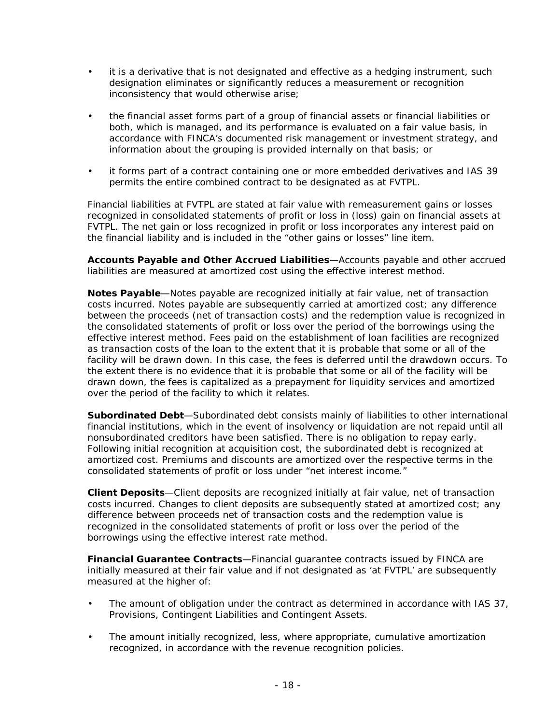- it is a derivative that is not designated and effective as a hedging instrument, such designation eliminates or significantly reduces a measurement or recognition inconsistency that would otherwise arise;
- the financial asset forms part of a group of financial assets or financial liabilities or both, which is managed, and its performance is evaluated on a fair value basis, in accordance with FINCA's documented risk management or investment strategy, and information about the grouping is provided internally on that basis; or
- it forms part of a contract containing one or more embedded derivatives and IAS 39 permits the entire combined contract to be designated as at FVTPL.

Financial liabilities at FVTPL are stated at fair value with remeasurement gains or losses recognized in consolidated statements of profit or loss in (loss) gain on financial assets at FVTPL. The net gain or loss recognized in profit or loss incorporates any interest paid on the financial liability and is included in the "other gains or losses" line item.

*Accounts Payable and Other Accrued Liabilities*—Accounts payable and other accrued liabilities are measured at amortized cost using the effective interest method.

*Notes Payable*—Notes payable are recognized initially at fair value, net of transaction costs incurred. Notes payable are subsequently carried at amortized cost; any difference between the proceeds (net of transaction costs) and the redemption value is recognized in the consolidated statements of profit or loss over the period of the borrowings using the effective interest method. Fees paid on the establishment of loan facilities are recognized as transaction costs of the loan to the extent that it is probable that some or all of the facility will be drawn down. In this case, the fees is deferred until the drawdown occurs. To the extent there is no evidence that it is probable that some or all of the facility will be drawn down, the fees is capitalized as a prepayment for liquidity services and amortized over the period of the facility to which it relates.

*Subordinated Debt*—Subordinated debt consists mainly of liabilities to other international financial institutions, which in the event of insolvency or liquidation are not repaid until all nonsubordinated creditors have been satisfied. There is no obligation to repay early. Following initial recognition at acquisition cost, the subordinated debt is recognized at amortized cost. Premiums and discounts are amortized over the respective terms in the consolidated statements of profit or loss under "net interest income."

*Client Deposits*—Client deposits are recognized initially at fair value, net of transaction costs incurred. Changes to client deposits are subsequently stated at amortized cost; any difference between proceeds net of transaction costs and the redemption value is recognized in the consolidated statements of profit or loss over the period of the borrowings using the effective interest rate method.

*Financial Guarantee Contracts*—Financial guarantee contracts issued by FINCA are initially measured at their fair value and if not designated as 'at FVTPL' are subsequently measured at the higher of:

- The amount of obligation under the contract as determined in accordance with IAS 37, *Provisions, Contingent Liabilities and Contingent Assets*.
- The amount initially recognized, less, where appropriate, cumulative amortization recognized, in accordance with the revenue recognition policies.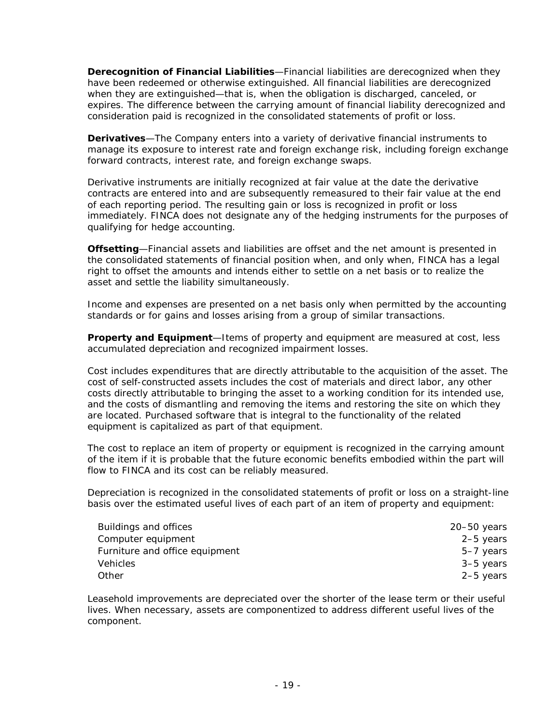*Derecognition of Financial Liabilities*—Financial liabilities are derecognized when they have been redeemed or otherwise extinguished. All financial liabilities are derecognized when they are extinguished—that is, when the obligation is discharged, canceled, or expires. The difference between the carrying amount of financial liability derecognized and consideration paid is recognized in the consolidated statements of profit or loss.

**Derivatives**—The Company enters into a variety of derivative financial instruments to manage its exposure to interest rate and foreign exchange risk, including foreign exchange forward contracts, interest rate, and foreign exchange swaps.

Derivative instruments are initially recognized at fair value at the date the derivative contracts are entered into and are subsequently remeasured to their fair value at the end of each reporting period. The resulting gain or loss is recognized in profit or loss immediately. FINCA does not designate any of the hedging instruments for the purposes of qualifying for hedge accounting.

**Offsetting**—Financial assets and liabilities are offset and the net amount is presented in the consolidated statements of financial position when, and only when, FINCA has a legal right to offset the amounts and intends either to settle on a net basis or to realize the asset and settle the liability simultaneously.

Income and expenses are presented on a net basis only when permitted by the accounting standards or for gains and losses arising from a group of similar transactions.

**Property and Equipment**—Items of property and equipment are measured at cost, less accumulated depreciation and recognized impairment losses.

Cost includes expenditures that are directly attributable to the acquisition of the asset. The cost of self-constructed assets includes the cost of materials and direct labor, any other costs directly attributable to bringing the asset to a working condition for its intended use, and the costs of dismantling and removing the items and restoring the site on which they are located. Purchased software that is integral to the functionality of the related equipment is capitalized as part of that equipment.

The cost to replace an item of property or equipment is recognized in the carrying amount of the item if it is probable that the future economic benefits embodied within the part will flow to FINCA and its cost can be reliably measured.

Depreciation is recognized in the consolidated statements of profit or loss on a straight-line basis over the estimated useful lives of each part of an item of property and equipment:

| Buildings and offices          | $20 - 50$ years |
|--------------------------------|-----------------|
| Computer equipment             | 2-5 years       |
| Furniture and office equipment | 5–7 years       |
| Vehicles                       | 3–5 years       |
| Other                          | 2-5 years       |

Leasehold improvements are depreciated over the shorter of the lease term or their useful lives. When necessary, assets are componentized to address different useful lives of the component.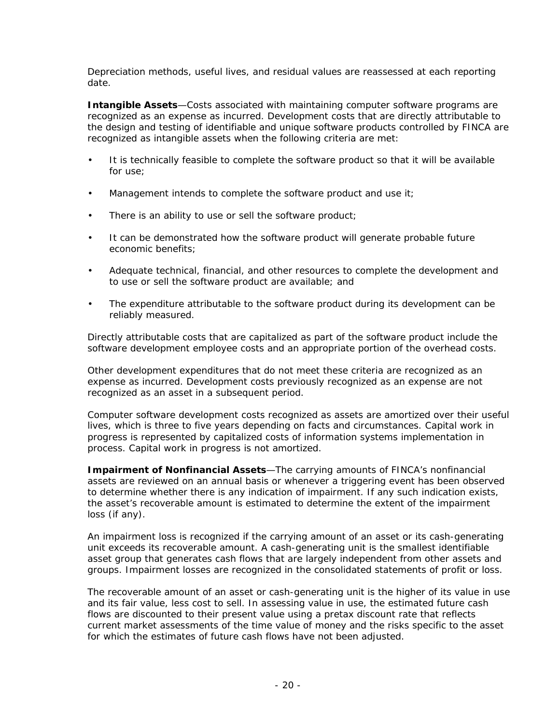Depreciation methods, useful lives, and residual values are reassessed at each reporting date.

**Intangible Assets**—Costs associated with maintaining computer software programs are recognized as an expense as incurred. Development costs that are directly attributable to the design and testing of identifiable and unique software products controlled by FINCA are recognized as intangible assets when the following criteria are met:

- It is technically feasible to complete the software product so that it will be available for use;
- Management intends to complete the software product and use it;
- There is an ability to use or sell the software product;
- It can be demonstrated how the software product will generate probable future economic benefits;
- Adequate technical, financial, and other resources to complete the development and to use or sell the software product are available; and
- The expenditure attributable to the software product during its development can be reliably measured.

Directly attributable costs that are capitalized as part of the software product include the software development employee costs and an appropriate portion of the overhead costs.

Other development expenditures that do not meet these criteria are recognized as an expense as incurred. Development costs previously recognized as an expense are not recognized as an asset in a subsequent period.

Computer software development costs recognized as assets are amortized over their useful lives, which is three to five years depending on facts and circumstances. Capital work in progress is represented by capitalized costs of information systems implementation in process. Capital work in progress is not amortized.

**Impairment of Nonfinancial Assets**—The carrying amounts of FINCA's nonfinancial assets are reviewed on an annual basis or whenever a triggering event has been observed to determine whether there is any indication of impairment. If any such indication exists, the asset's recoverable amount is estimated to determine the extent of the impairment loss (if any).

An impairment loss is recognized if the carrying amount of an asset or its cash-generating unit exceeds its recoverable amount. A cash-generating unit is the smallest identifiable asset group that generates cash flows that are largely independent from other assets and groups. Impairment losses are recognized in the consolidated statements of profit or loss.

The recoverable amount of an asset or cash-generating unit is the higher of its value in use and its fair value, less cost to sell. In assessing value in use, the estimated future cash flows are discounted to their present value using a pretax discount rate that reflects current market assessments of the time value of money and the risks specific to the asset for which the estimates of future cash flows have not been adjusted.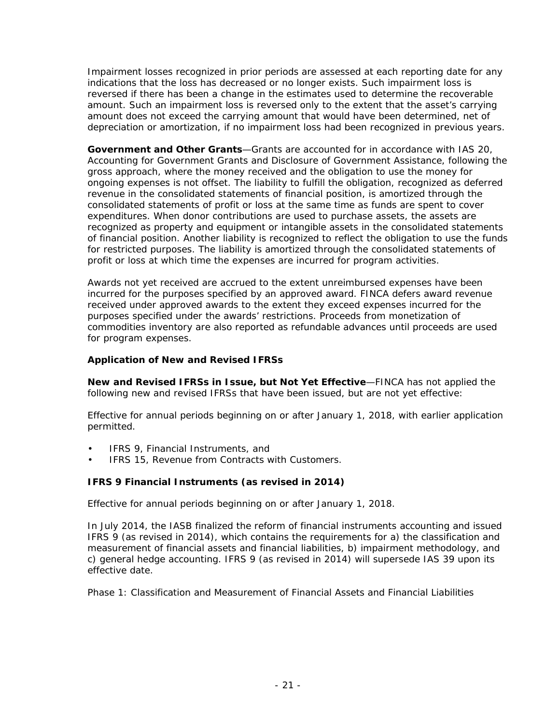Impairment losses recognized in prior periods are assessed at each reporting date for any indications that the loss has decreased or no longer exists. Such impairment loss is reversed if there has been a change in the estimates used to determine the recoverable amount. Such an impairment loss is reversed only to the extent that the asset's carrying amount does not exceed the carrying amount that would have been determined, net of depreciation or amortization, if no impairment loss had been recognized in previous years.

**Government and Other Grants**—Grants are accounted for in accordance with IAS 20, *Accounting for Government Grants and Disclosure of Government Assistance*, following the gross approach, where the money received and the obligation to use the money for ongoing expenses is not offset. The liability to fulfill the obligation, recognized as deferred revenue in the consolidated statements of financial position, is amortized through the consolidated statements of profit or loss at the same time as funds are spent to cover expenditures. When donor contributions are used to purchase assets, the assets are recognized as property and equipment or intangible assets in the consolidated statements of financial position. Another liability is recognized to reflect the obligation to use the funds for restricted purposes. The liability is amortized through the consolidated statements of profit or loss at which time the expenses are incurred for program activities.

Awards not yet received are accrued to the extent unreimbursed expenses have been incurred for the purposes specified by an approved award. FINCA defers award revenue received under approved awards to the extent they exceed expenses incurred for the purposes specified under the awards' restrictions. Proceeds from monetization of commodities inventory are also reported as refundable advances until proceeds are used for program expenses.

#### **Application of New and Revised IFRSs**

*New and Revised IFRSs in Issue, but Not Yet Effective*—FINCA has not applied the following new and revised IFRSs that have been issued, but are not yet effective:

*Effective for annual periods beginning on or after January 1, 2018, with earlier application permitted.* 

- IFRS 9, *Financial Instruments, and*
- IFRS 15, *Revenue from Contracts with Customers*.

#### **IFRS 9** *Financial Instruments (as revised in 2014)*

*Effective for annual periods beginning on or after January 1, 2018.* 

In July 2014, the IASB finalized the reform of financial instruments accounting and issued IFRS 9 (as revised in 2014), which contains the requirements for a) the classification and measurement of financial assets and financial liabilities, b) impairment methodology, and c) general hedge accounting. IFRS 9 (as revised in 2014) will supersede IAS 39 upon its effective date.

*Phase 1: Classification and Measurement of Financial Assets and Financial Liabilities*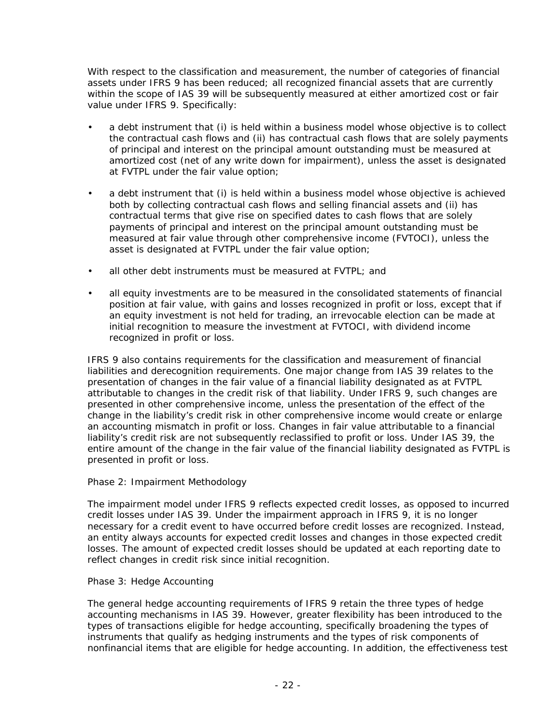With respect to the classification and measurement, the number of categories of financial assets under IFRS 9 has been reduced; all recognized financial assets that are currently within the scope of IAS 39 will be subsequently measured at either amortized cost or fair value under IFRS 9. Specifically:

- a debt instrument that (i) is held within a business model whose objective is to collect the contractual cash flows and (ii) has contractual cash flows that are solely payments of principal and interest on the principal amount outstanding must be measured at amortized cost (net of any write down for impairment), unless the asset is designated at FVTPL under the fair value option;
- a debt instrument that (i) is held within a business model whose objective is achieved both by collecting contractual cash flows and selling financial assets and (ii) has contractual terms that give rise on specified dates to cash flows that are solely payments of principal and interest on the principal amount outstanding must be measured at fair value through other comprehensive income (FVTOCI), unless the asset is designated at FVTPL under the fair value option;
- all other debt instruments must be measured at FVTPL; and
- all equity investments are to be measured in the consolidated statements of financial position at fair value, with gains and losses recognized in profit or loss, except that if an equity investment is not held for trading, an irrevocable election can be made at initial recognition to measure the investment at FVTOCI, with dividend income recognized in profit or loss.

IFRS 9 also contains requirements for the classification and measurement of financial liabilities and derecognition requirements. One major change from IAS 39 relates to the presentation of changes in the fair value of a financial liability designated as at FVTPL attributable to changes in the credit risk of that liability. Under IFRS 9, such changes are presented in other comprehensive income, unless the presentation of the effect of the change in the liability's credit risk in other comprehensive income would create or enlarge an accounting mismatch in profit or loss. Changes in fair value attributable to a financial liability's credit risk are not subsequently reclassified to profit or loss. Under IAS 39, the entire amount of the change in the fair value of the financial liability designated as FVTPL is presented in profit or loss.

#### *Phase 2: Impairment Methodology*

The impairment model under IFRS 9 reflects *expected* credit losses, as opposed to incurred credit losses under IAS 39. Under the impairment approach in IFRS 9, it is no longer necessary for a credit event to have occurred before credit losses are recognized. Instead, an entity always accounts for expected credit losses and changes in those expected credit losses. The amount of expected credit losses should be updated at each reporting date to reflect changes in credit risk since initial recognition.

#### *Phase 3: Hedge Accounting*

The general hedge accounting requirements of IFRS 9 retain the three types of hedge accounting mechanisms in IAS 39. However, greater flexibility has been introduced to the types of transactions eligible for hedge accounting, specifically broadening the types of instruments that qualify as hedging instruments and the types of risk components of nonfinancial items that are eligible for hedge accounting. In addition, the effectiveness test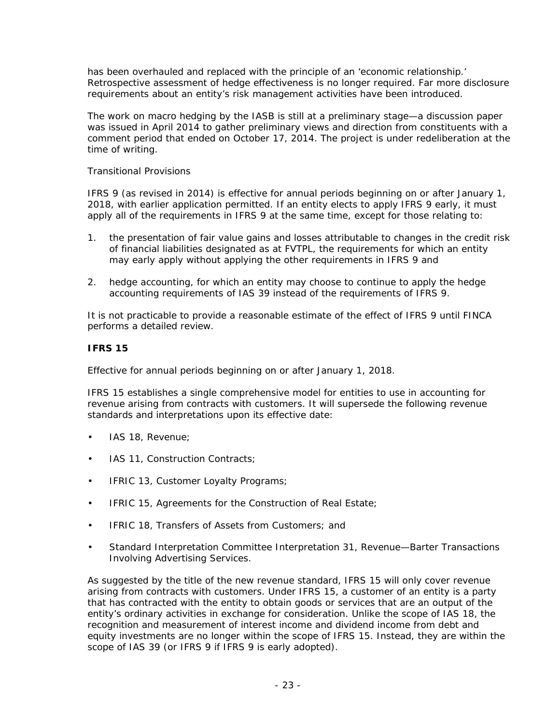has been overhauled and replaced with the principle of an 'economic relationship.' Retrospective assessment of hedge effectiveness is no longer required. Far more disclosure requirements about an entity's risk management activities have been introduced.

The work on macro hedging by the IASB is still at a preliminary stage—a discussion paper was issued in April 2014 to gather preliminary views and direction from constituents with a comment period that ended on October 17, 2014. The project is under redeliberation at the time of writing.

#### *Transitional Provisions*

IFRS 9 (as revised in 2014) is effective for annual periods beginning on or after January 1, 2018, with earlier application permitted. If an entity elects to apply IFRS 9 early, it must apply all of the requirements in IFRS 9 at the same time, except for those relating to:

- 1. the presentation of fair value gains and losses attributable to changes in the credit risk of financial liabilities designated as at FVTPL, the requirements for which an entity may early apply without applying the other requirements in IFRS 9 and
- 2. hedge accounting, for which an entity may choose to continue to apply the hedge accounting requirements of IAS 39 instead of the requirements of IFRS 9.

It is not practicable to provide a reasonable estimate of the effect of IFRS 9 until FINCA performs a detailed review.

#### **IFRS 15**

*Effective for annual periods beginning on or after January 1, 2018.* 

IFRS 15 establishes a single comprehensive model for entities to use in accounting for revenue arising from contracts with customers. It will supersede the following revenue standards and interpretations upon its effective date:

- IAS 18, *Revenue*;
- IAS 11, *Construction Contracts;*
- IFRIC 13, *Customer Loyalty Programs;*
- IFRIC 15, *Agreements for the Construction of Real Estate;*
- IFRIC 18, *Transfers of Assets from Customers;* and
- Standard Interpretation Committee Interpretation 31, *Revenue—Barter Transactions Involving Advertising Services.*

As suggested by the title of the new revenue standard, IFRS 15 will only cover revenue arising from contracts with customers. Under IFRS 15, a customer of an entity is a party that has contracted with the entity to obtain goods or services that are an output of the entity's ordinary activities in exchange for consideration. Unlike the scope of IAS 18, the recognition and measurement of interest income and dividend income from debt and equity investments are no longer within the scope of IFRS 15. Instead, they are within the scope of IAS 39 (or IFRS 9 if IFRS 9 is early adopted).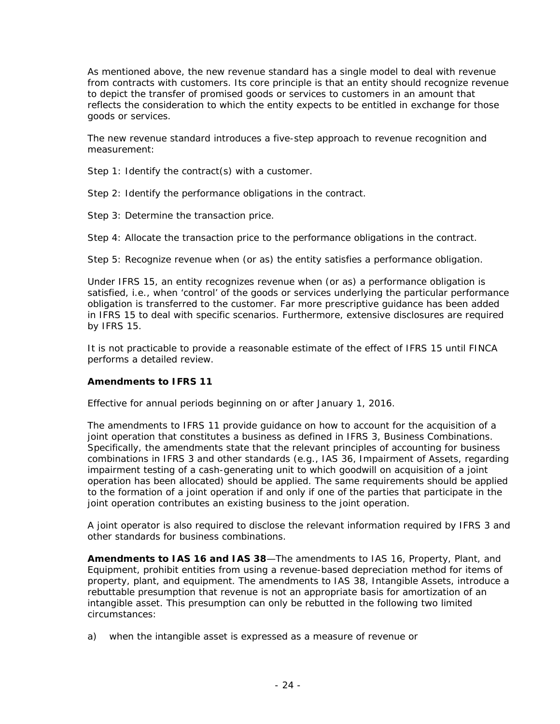As mentioned above, the new revenue standard has a single model to deal with revenue from contracts with customers. Its core principle is that an entity should recognize revenue to depict the transfer of promised goods or services to customers in an amount that reflects the consideration to which the entity expects to be entitled in exchange for those goods or services.

The new revenue standard introduces a five-step approach to revenue recognition and measurement:

Step 1: Identify the contract(s) with a customer.

Step 2: Identify the performance obligations in the contract.

Step 3: Determine the transaction price.

Step 4: Allocate the transaction price to the performance obligations in the contract.

Step 5: Recognize revenue when (or as) the entity satisfies a performance obligation.

Under IFRS 15, an entity recognizes revenue when (or as) a performance obligation is satisfied, i.e., when 'control' of the goods or services underlying the particular performance obligation is transferred to the customer. Far more prescriptive guidance has been added in IFRS 15 to deal with specific scenarios. Furthermore, extensive disclosures are required by IFRS 15.

It is not practicable to provide a reasonable estimate of the effect of IFRS 15 until FINCA performs a detailed review.

#### **Amendments to IFRS 11**

#### *Effective for annual periods beginning on or after January 1, 2016.*

The amendments to IFRS 11 provide guidance on how to account for the acquisition of a joint operation that constitutes a business as defined in IFRS 3, *Business Combinations*. Specifically, the amendments state that the relevant principles of accounting for business combinations in IFRS 3 and other standards (e.g., IAS 36, *Impairment of Assets*, regarding impairment testing of a cash-generating unit to which goodwill on acquisition of a joint operation has been allocated) should be applied. The same requirements should be applied to the formation of a joint operation if and only if one of the parties that participate in the joint operation contributes an existing business to the joint operation.

A joint operator is also required to disclose the relevant information required by IFRS 3 and other standards for business combinations.

**Amendments to IAS 16 and IAS 38**—The amendments to IAS 16, *Property, Plant, and Equipment*, prohibit entities from using a revenue-based depreciation method for items of property, plant, and equipment. The amendments to IAS 38, *Intangible Assets*, introduce a rebuttable presumption that revenue is not an appropriate basis for amortization of an intangible asset. This presumption can only be rebutted in the following two limited circumstances:

a) when the intangible asset is expressed as a measure of revenue or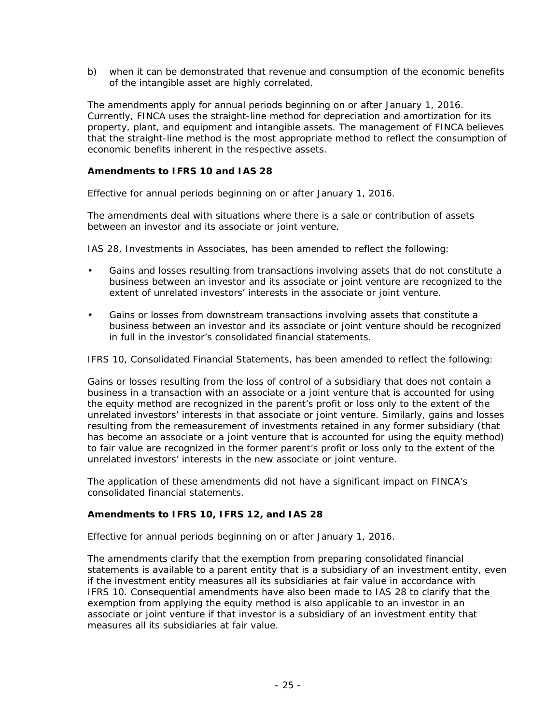b) when it can be demonstrated that revenue and consumption of the economic benefits of the intangible asset are highly correlated.

The amendments apply for annual periods beginning on or after January 1, 2016. Currently, FINCA uses the straight-line method for depreciation and amortization for its property, plant, and equipment and intangible assets. The management of FINCA believes that the straight-line method is the most appropriate method to reflect the consumption of economic benefits inherent in the respective assets.

#### **Amendments to IFRS 10 and IAS 28**

*Effective for annual periods beginning on or after January 1, 2016.* 

The amendments deal with situations where there is a sale or contribution of assets between an investor and its associate or joint venture.

IAS 28, *Investments in Associates*, has been amended to reflect the following:

- Gains and losses resulting from transactions involving assets that do not constitute a business between an investor and its associate or joint venture are recognized to the extent of unrelated investors' interests in the associate or joint venture.
- Gains or losses from downstream transactions involving assets that constitute a business between an investor and its associate or joint venture should be recognized in full in the investor's consolidated financial statements.

IFRS 10, *Consolidated Financial Statements*, has been amended to reflect the following:

Gains or losses resulting from the loss of control of a subsidiary that does not contain a business in a transaction with an associate or a joint venture that is accounted for using the equity method are recognized in the parent's profit or loss only to the extent of the unrelated investors' interests in that associate or joint venture. Similarly, gains and losses resulting from the remeasurement of investments retained in any former subsidiary (that has become an associate or a joint venture that is accounted for using the equity method) to fair value are recognized in the former parent's profit or loss only to the extent of the unrelated investors' interests in the new associate or joint venture.

The application of these amendments did not have a significant impact on FINCA's consolidated financial statements.

#### **Amendments to IFRS 10, IFRS 12, and IAS 28**

#### *Effective for annual periods beginning on or after January 1, 2016.*

The amendments clarify that the exemption from preparing consolidated financial statements is available to a parent entity that is a subsidiary of an investment entity, even if the investment entity measures all its subsidiaries at fair value in accordance with IFRS 10. Consequential amendments have also been made to IAS 28 to clarify that the exemption from applying the equity method is also applicable to an investor in an associate or joint venture if that investor is a subsidiary of an investment entity that measures all its subsidiaries at fair value.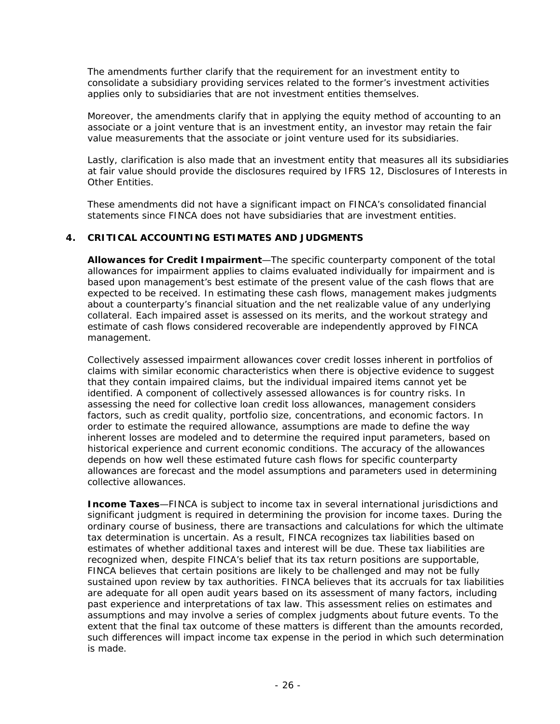The amendments further clarify that the requirement for an investment entity to consolidate a subsidiary providing services related to the former's investment activities applies only to subsidiaries that are not investment entities themselves.

Moreover, the amendments clarify that in applying the equity method of accounting to an associate or a joint venture that is an investment entity, an investor may retain the fair value measurements that the associate or joint venture used for its subsidiaries.

Lastly, clarification is also made that an investment entity that measures all its subsidiaries at fair value should provide the disclosures required by IFRS 12, *Disclosures of Interests in Other Entities*.

These amendments did not have a significant impact on FINCA's consolidated financial statements since FINCA does not have subsidiaries that are investment entities.

#### **4. CRITICAL ACCOUNTING ESTIMATES AND JUDGMENTS**

**Allowances for Credit Impairment**—The specific counterparty component of the total allowances for impairment applies to claims evaluated individually for impairment and is based upon management's best estimate of the present value of the cash flows that are expected to be received. In estimating these cash flows, management makes judgments about a counterparty's financial situation and the net realizable value of any underlying collateral. Each impaired asset is assessed on its merits, and the workout strategy and estimate of cash flows considered recoverable are independently approved by FINCA management.

Collectively assessed impairment allowances cover credit losses inherent in portfolios of claims with similar economic characteristics when there is objective evidence to suggest that they contain impaired claims, but the individual impaired items cannot yet be identified. A component of collectively assessed allowances is for country risks. In assessing the need for collective loan credit loss allowances, management considers factors, such as credit quality, portfolio size, concentrations, and economic factors. In order to estimate the required allowance, assumptions are made to define the way inherent losses are modeled and to determine the required input parameters, based on historical experience and current economic conditions. The accuracy of the allowances depends on how well these estimated future cash flows for specific counterparty allowances are forecast and the model assumptions and parameters used in determining collective allowances.

**Income Taxes**—FINCA is subject to income tax in several international jurisdictions and significant judgment is required in determining the provision for income taxes. During the ordinary course of business, there are transactions and calculations for which the ultimate tax determination is uncertain. As a result, FINCA recognizes tax liabilities based on estimates of whether additional taxes and interest will be due. These tax liabilities are recognized when, despite FINCA's belief that its tax return positions are supportable, FINCA believes that certain positions are likely to be challenged and may not be fully sustained upon review by tax authorities. FINCA believes that its accruals for tax liabilities are adequate for all open audit years based on its assessment of many factors, including past experience and interpretations of tax law. This assessment relies on estimates and assumptions and may involve a series of complex judgments about future events. To the extent that the final tax outcome of these matters is different than the amounts recorded, such differences will impact income tax expense in the period in which such determination is made.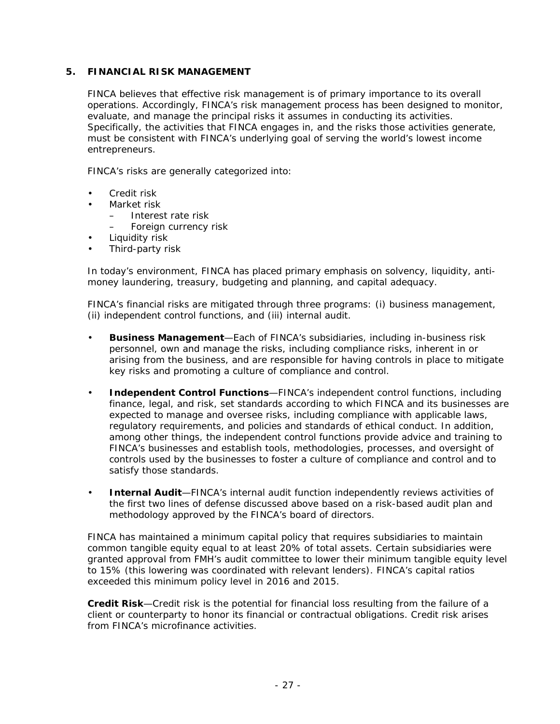#### **5. FINANCIAL RISK MANAGEMENT**

FINCA believes that effective risk management is of primary importance to its overall operations. Accordingly, FINCA's risk management process has been designed to monitor, evaluate, and manage the principal risks it assumes in conducting its activities. Specifically, the activities that FINCA engages in, and the risks those activities generate, must be consistent with FINCA's underlying goal of serving the world's lowest income entrepreneurs.

FINCA's risks are generally categorized into:

- Credit risk
- Market risk
	- Interest rate risk
	- Foreign currency risk
- Liquidity risk
- Third-party risk

In today's environment, FINCA has placed primary emphasis on solvency, liquidity, antimoney laundering, treasury, budgeting and planning, and capital adequacy.

FINCA's financial risks are mitigated through three programs: (i) business management, (ii) independent control functions, and (iii) internal audit.

- *Business Management*—Each of FINCA's subsidiaries, including in-business risk personnel, own and manage the risks, including compliance risks, inherent in or arising from the business, and are responsible for having controls in place to mitigate key risks and promoting a culture of compliance and control.
- *Independent Control Functions*—FINCA's independent control functions, including finance, legal, and risk, set standards according to which FINCA and its businesses are expected to manage and oversee risks, including compliance with applicable laws, regulatory requirements, and policies and standards of ethical conduct. In addition, among other things, the independent control functions provide advice and training to FINCA's businesses and establish tools, methodologies, processes, and oversight of controls used by the businesses to foster a culture of compliance and control and to satisfy those standards.
- **Internal Audit-FINCA's internal audit function independently reviews activities of** the first two lines of defense discussed above based on a risk-based audit plan and methodology approved by the FINCA's board of directors.

FINCA has maintained a minimum capital policy that requires subsidiaries to maintain common tangible equity equal to at least 20% of total assets. Certain subsidiaries were granted approval from FMH's audit committee to lower their minimum tangible equity level to 15% (this lowering was coordinated with relevant lenders). FINCA's capital ratios exceeded this minimum policy level in 2016 and 2015.

**Credit Risk**—Credit risk is the potential for financial loss resulting from the failure of a client or counterparty to honor its financial or contractual obligations. Credit risk arises from FINCA's microfinance activities.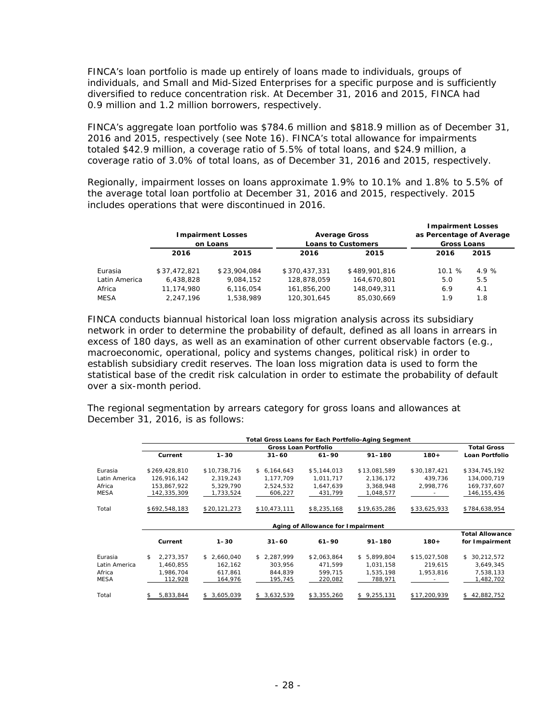FINCA's loan portfolio is made up entirely of loans made to individuals, groups of individuals, and Small and Mid-Sized Enterprises for a specific purpose and is sufficiently diversified to reduce concentration risk. At December 31, 2016 and 2015, FINCA had 0.9 million and 1.2 million borrowers, respectively.

FINCA's aggregate loan portfolio was \$784.6 million and \$818.9 million as of December 31, 2016 and 2015, respectively (see Note 16). FINCA's total allowance for impairments totaled \$42.9 million, a coverage ratio of 5.5% of total loans, and \$24.9 million, a coverage ratio of 3.0% of total loans, as of December 31, 2016 and 2015, respectively.

Regionally, impairment losses on loans approximate 1.9% to 10.1% and 1.8% to 5.5% of the average total loan portfolio at December 31, 2016 and 2015, respectively. 2015 includes operations that were discontinued in 2016.

|               | I mpairment Losses<br>on Loans |              |               | <b>Average Gross</b><br>Loans to Customers | <b>Impairment Losses</b><br>as Percentage of Average<br>Gross Loans |         |  |
|---------------|--------------------------------|--------------|---------------|--------------------------------------------|---------------------------------------------------------------------|---------|--|
|               | 2016                           | 2015         | 2016          | 2015                                       | 2016                                                                | 2015    |  |
| Eurasia       | \$37,472,821                   | \$23,904,084 | \$370,437,331 | \$489,901,816                              | 10.1%                                                               | 4.9 $%$ |  |
| Latin America | 6.438.828                      | 9.084.152    | 128.878.059   | 164.670.801                                | 5.0                                                                 | 5.5     |  |
| Africa        | 11.174.980                     | 6.116.054    | 161,856,200   | 148,049,311                                | 6.9                                                                 | 4.1     |  |
| <b>MESA</b>   | 2.247.196                      | 1.538.989    | 120,301.645   | 85.030.669                                 | 1.9                                                                 | 1.8     |  |

FINCA conducts biannual historical loan loss migration analysis across its subsidiary network in order to determine the probability of default, defined as all loans in arrears in excess of 180 days, as well as an examination of other current observable factors (e.g., macroeconomic, operational, policy and systems changes, political risk) in order to establish subsidiary credit reserves. The loan loss migration data is used to form the statistical base of the credit risk calculation in order to estimate the probability of default over a six-month period.

The regional segmentation by arrears category for gross loans and allowances at December 31, 2016, is as follows:

|               |                 |              | Total Gross Loans for Each Portfolio-Aging Segment |                                   |                           |              |                                          |
|---------------|-----------------|--------------|----------------------------------------------------|-----------------------------------|---------------------------|--------------|------------------------------------------|
|               |                 |              | <b>Gross Loan Portfolio</b>                        |                                   |                           |              | <b>Total Gross</b>                       |
|               | Current         | $1 - 30$     | $31 - 60$                                          | $61 - 90$                         | $91 - 180$                | $180+$       | Loan Portfolio                           |
| Eurasia       | \$269,428,810   | \$10,738,716 | \$6.164.643                                        | \$5,144,013                       | \$13,081,589              | \$30,187,421 | \$334,745,192                            |
| Latin America | 126,916,142     | 2.319.243    | 1,177,709                                          | 1,011,717                         | 2,136,172                 | 439.736      | 134,000,719                              |
| Africa        | 153.867.922     | 5.329.790    | 2.524.532                                          | 1.647.639                         | 3.368.948                 | 2.998.776    | 169,737,607                              |
| <b>MESA</b>   | 142,335,309     | 1,733,524    | 606,227                                            | 431,799                           | 1,048,577                 |              | 146, 155, 436                            |
| Total         | \$692,548,183   | \$20,121,273 | \$10,473,111                                       | \$8,235,168                       | \$19,635,286              | \$33,625,933 | \$784,638,954                            |
|               |                 |              |                                                    | Aging of Allowance for Impairment |                           |              |                                          |
|               | Current         | $1 - 30$     | $31 - 60$                                          | $61 - 90$                         | $91 - 180$                | $180+$       | <b>Total Allowance</b><br>for Impairment |
| Eurasia       | 2,273,357<br>\$ | \$2,660,040  | \$2.287.999                                        | \$2,063,864                       | 5.899.804<br>$\mathbb{S}$ | \$15,027,508 | 30.212.572<br>\$                         |
| Latin America | 1,460,855       | 162,162      | 303,956                                            | 471,599                           | 1,031,158                 | 219,615      | 3,649,345                                |
| Africa        | 1.986.704       | 617.861      | 844.839                                            | 599.715                           | 1.535.198                 | 1,953,816    | 7,538,133                                |
| <b>MESA</b>   | 112,928         | 164,976      | 195,745                                            | 220,082                           | 788,971                   |              | 1,482,702                                |
| Total         | 5,833,844       | 3,605,039    | 3,632,539                                          | \$3,355,260                       | 9,255,131<br>\$           | \$17,200,939 | 42,882,752<br>\$                         |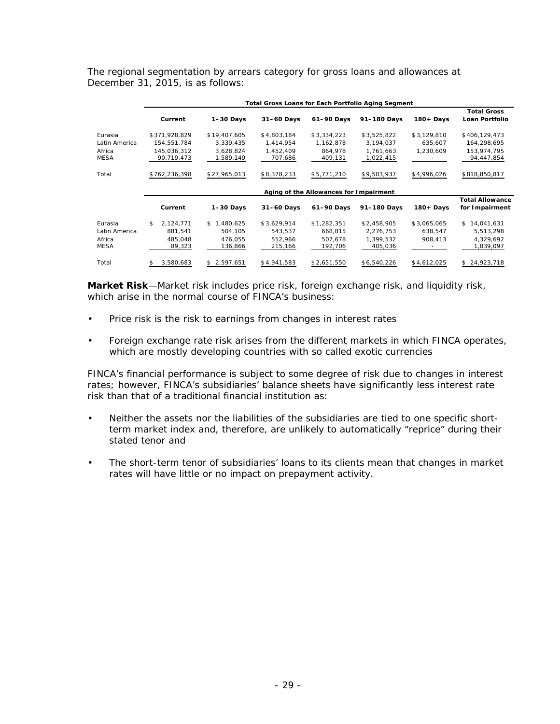|                       | Total Gross Loans for Each Portfolio Aging Segment |                        |                      |                                        |                        |              |                           |  |
|-----------------------|----------------------------------------------------|------------------------|----------------------|----------------------------------------|------------------------|--------------|---------------------------|--|
|                       |                                                    |                        |                      |                                        |                        |              | <b>Total Gross</b>        |  |
|                       | Current                                            | $1-30$ Days            | 31-60 Days           | 61-90 Days                             | 91-180 Days            | $180 +$ Days | Loan Portfolio            |  |
| Eurasia               | \$371,928,829                                      | \$19,407,605           | \$4,803,184          | \$3,334,223                            | \$3,525,822            | \$3,129,810  | \$406,129,473             |  |
| Latin America         | 154.551.784                                        | 3.339.435              | 1.414.954            | 1.162.878                              | 3.194.037              | 635.607      | 164.298.695               |  |
| Africa<br><b>MESA</b> | 145,036,312<br>90,719,473                          | 3,628,824<br>1,589,149 | 1,452,409<br>707,686 | 864,978<br>409,131                     | 1,761,663<br>1,022,415 | 1,230,609    | 153,974,795<br>94,447,854 |  |
| Total                 | \$762,236,398                                      | \$27,965,013           | \$8,378,233          | \$5,771,210                            | \$9,503,937            | \$4,996,026  | \$818,850,817             |  |
|                       |                                                    |                        |                      | Aging of the Allowances for Impairment |                        |              |                           |  |
|                       |                                                    |                        |                      |                                        |                        |              | <b>Total Allowance</b>    |  |
|                       | Current                                            | $1-30$ Days            | 31-60 Days           | 61-90 Days                             | 91-180 Days            | $180 +$ Days | for Impairment            |  |
| Eurasia               | \$<br>2.124.771                                    | \$1.480.625            | \$3,629,914          | \$1,282,351                            | \$2,458,905            | \$3,065,065  | 14.041.631<br>\$          |  |
| Latin America         | 881.541                                            | 504.105                | 543.537              | 668.815                                | 2.276.753              | 638.547      | 5,513,298                 |  |
| Africa                | 485.048                                            | 476.055                | 552.966              | 507.678                                | 1.399.532              | 908,413      | 4,329,692                 |  |
| <b>MESA</b>           | 89,323                                             | 136,866                | 215,166              | 192,706                                | 405,036                |              | 1,039,097                 |  |
| Total                 | 3,580,683<br>\$                                    | \$2,597,651            | \$4,941,583          | \$2,651,550                            | \$6,540,226            | \$4,612,025  | 24,923,718<br>\$          |  |

The regional segmentation by arrears category for gross loans and allowances at December 31, 2015, is as follows:

**Market Risk**—Market risk includes price risk, foreign exchange risk, and liquidity risk, which arise in the normal course of FINCA's business:

- Price risk is the risk to earnings from changes in interest rates
- Foreign exchange rate risk arises from the different markets in which FINCA operates, which are mostly developing countries with so called exotic currencies

FINCA's financial performance is subject to some degree of risk due to changes in interest rates; however, FINCA's subsidiaries' balance sheets have significantly less interest rate risk than that of a traditional financial institution as:

- Neither the assets nor the liabilities of the subsidiaries are tied to one specific shortterm market index and, therefore, are unlikely to automatically "reprice" during their stated tenor and
- The short-term tenor of subsidiaries' loans to its clients mean that changes in market rates will have little or no impact on prepayment activity.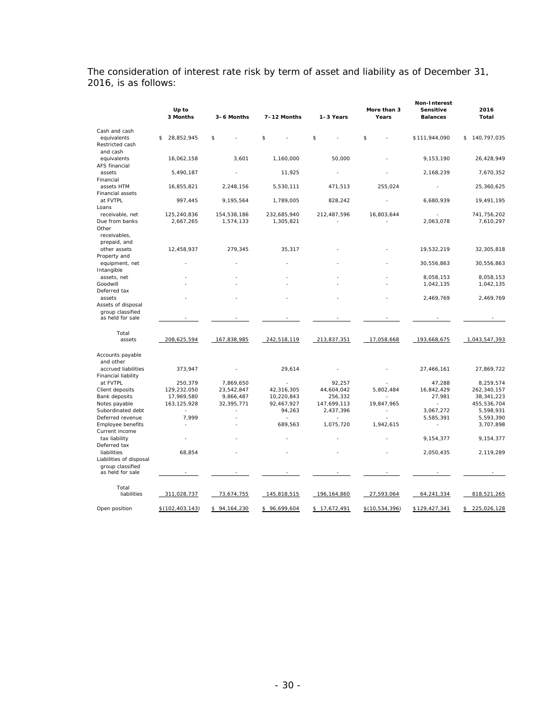#### The consideration of interest rate risk by term of asset and liability as of December 31, 2016, is as follows:

|                                                                            | Up to<br>3 Months        | 3-6 Months               | 7-12 Months              | 1-3 Years              | More than 3<br>Years | Non-Interest<br>Sensitive<br><b>Balances</b> | 2016<br>Total             |
|----------------------------------------------------------------------------|--------------------------|--------------------------|--------------------------|------------------------|----------------------|----------------------------------------------|---------------------------|
| Cash and cash                                                              |                          |                          |                          |                        |                      |                                              |                           |
| equivalents<br>Restricted cash<br>and cash                                 | \$<br>28,852,945         | \$                       | \$                       | \$                     | \$                   | \$111,944,090                                | \$<br>140,797,035         |
| equivalents<br>AFS financial                                               | 16.062.158               | 3.601                    | 1.160.000                | 50.000                 |                      | 9.153.190                                    | 26.428.949                |
| assets<br>Financial                                                        | 5,490,187                |                          | 11,925                   |                        |                      | 2,168,239                                    | 7,670,352                 |
| assets HTM<br>Financial assets                                             | 16,855,821               | 2,248,156                | 5,530,111                | 471,513                | 255,024              |                                              | 25,360,625                |
| at FVTPL<br>Loans                                                          | 997,445                  | 9,195,564                | 1,789,005                | 828,242                |                      | 6,680,939                                    | 19,491,195                |
| receivable, net<br>Due from banks<br>Other<br>receivables,<br>prepaid, and | 125,240,836<br>2,667,265 | 154,538,186<br>1,574,133 | 232,685,940<br>1,305,821 | 212,487,596            | 16,803,644           | 2,063,078                                    | 741,756,202<br>7,610,297  |
| other assets<br>Property and                                               | 12,458,937               | 279,345                  | 35,317                   |                        |                      | 19,532,219                                   | 32,305,818                |
| equipment, net<br>Intangible                                               |                          |                          |                          |                        |                      | 30,556,863                                   | 30,556,863                |
| assets, net<br>Goodwill                                                    |                          |                          |                          |                        |                      | 8,058,153<br>1,042,135                       | 8,058,153<br>1,042,135    |
| Deferred tax<br>assets<br>Assets of disposal                               |                          |                          |                          |                        |                      | 2,469,769                                    | 2,469,769                 |
| group classified<br>as held for sale                                       |                          |                          |                          |                        |                      |                                              |                           |
| Total<br>assets                                                            | 208,625,594              | 167,838,985              | 242,518,119              | 213,837,351            | 17,058,668           | 193,668,675                                  | 1,043,547,393             |
| Accounts payable<br>and other                                              |                          |                          |                          |                        |                      |                                              |                           |
| accrued liabilities<br>Financial liability                                 | 373,947                  |                          | 29,614                   |                        |                      | 27,466,161                                   | 27,869,722                |
| at FVTPL                                                                   | 250,379                  | 7,869,650                |                          | 92,257                 |                      | 47,288                                       | 8,259,574                 |
| Client deposits                                                            | 129,232,050              | 23,542,847               | 42,316,305               | 44,604,042             | 5,802,484            | 16,842,429                                   | 262,340,157               |
| Bank deposits<br>Notes payable                                             | 17,969,580               | 9,866,487<br>32,395,771  | 10,220,843<br>92,467,927 | 256,332<br>147,699,113 | 19,847,965           | 27,981                                       | 38,341,223<br>455,536,704 |
| Subordinated debt                                                          | 163, 125, 928            |                          | 94,263                   | 2,437,396              | $\overline{a}$       | 3,067,272                                    | 5,598,931                 |
| Deferred revenue                                                           | 7,999                    |                          |                          |                        |                      | 5,585,391                                    | 5,593,390                 |
| Employee benefits<br>Current income                                        |                          |                          | 689,563                  | 1,075,720              | 1,942,615            | ÷.                                           | 3,707,898                 |
| tax liability                                                              |                          |                          |                          |                        |                      | 9,154,377                                    | 9,154,377                 |
| Deferred tax<br>liabilities                                                | 68,854                   |                          |                          |                        |                      | 2,050,435                                    | 2,119,289                 |
| Liabilities of disposal<br>group classified<br>as held for sale            |                          |                          |                          |                        |                      |                                              |                           |
| Total<br>liabilities                                                       | 311,028,737              | 73,674,755               | 145,818,515              | 196, 164, 860          | 27,593,064           | 64,241,334                                   | 818,521,265               |
| Open position                                                              | \$(102, 403, 143)        | \$94,164,230             | \$96,699,604             | \$17,672,491           | \$(10,534,396)       | \$129,427,341                                | 225,026,128<br>\$         |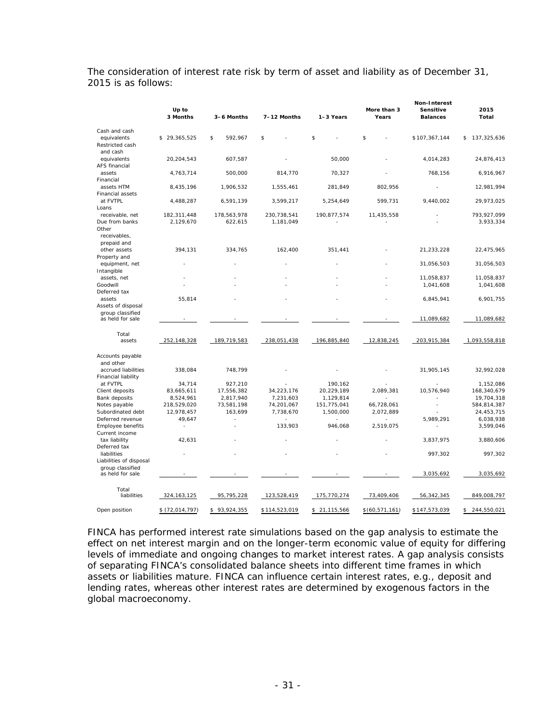The consideration of interest rate risk by term of asset and liability as of December 31, 2015 is as follows:

|                                                        | Up to<br>3 Months        | 3-6 Months    | 7-12 Months   | 1-3 Years        | More than 3<br>Years | Non-Interest<br>Sensitive<br><b>Balances</b> | 2015<br>Total           |
|--------------------------------------------------------|--------------------------|---------------|---------------|------------------|----------------------|----------------------------------------------|-------------------------|
| Cash and cash                                          |                          |               |               |                  |                      |                                              |                         |
| equivalents<br>Restricted cash<br>and cash             | \$29,365,525             | \$<br>592,967 | \$            | \$               | \$                   | \$107,367,144                                | \$<br>137,325,636       |
| equivalents<br>AFS financial                           | 20,204,543               | 607,587       |               | 50,000           |                      | 4,014,283                                    | 24,876,413              |
| assets<br>Financial                                    | 4,763,714                | 500,000       | 814,770       | 70,327           |                      | 768,156                                      | 6,916,967               |
| assets HTM<br>Financial assets                         | 8,435,196                | 1,906,532     | 1,555,461     | 281,849          | 802,956              |                                              | 12,981,994              |
| at FVTPL<br>Loans                                      | 4,488,287                | 6,591,139     | 3,599,217     | 5,254,649        | 599,731              | 9.440.002                                    | 29,973,025              |
| receivable, net                                        | 182, 311, 448            | 178,563,978   | 230,738,541   | 190,877,574      | 11,435,558           |                                              | 793,927,099             |
| Due from banks<br>Other<br>receivables,<br>prepaid and | 2,129,670                | 622,615       | 1,181,049     |                  |                      |                                              | 3,933,334               |
| other assets<br>Property and                           | 394,131                  | 334,765       | 162,400       | 351,441          |                      | 21,233,228                                   | 22,475,965              |
| equipment, net<br>Intangible                           |                          |               |               |                  |                      | 31,056,503                                   | 31,056,503              |
| assets, net<br>Goodwill                                |                          |               |               |                  |                      | 11,058,837<br>1,041,608                      | 11,058,837<br>1,041,608 |
| Deferred tax                                           |                          |               |               |                  |                      |                                              |                         |
| assets<br>Assets of disposal                           | 55,814                   |               |               |                  |                      | 6,845,941                                    | 6,901,755               |
| group classified<br>as held for sale                   |                          |               |               |                  |                      | 11,089,682                                   | 11,089,682              |
| Total<br>assets                                        | 252,148,328              | 189,719,583   | 238,051,438   | 196,885,840      | 12,838,245           | 203,915,384                                  | 1,093,558,818           |
| Accounts payable<br>and other                          |                          |               |               |                  |                      |                                              |                         |
| accrued liabilities<br>Financial liability             | 338,084                  | 748,799       |               |                  |                      | 31,905,145                                   | 32,992,028              |
| at FVTPL                                               | 34,714                   | 927,210       |               | 190,162          |                      |                                              | 1,152,086               |
| Client deposits                                        | 83,665,611               | 17,556,382    | 34,223,176    | 20,229,189       | 2,089,381            | 10,576,940                                   | 168,340,679             |
| <b>Bank deposits</b>                                   | 8,524,961                | 2,817,940     | 7,231,603     | 1,129,814        |                      |                                              | 19,704,318              |
| Notes payable                                          | 218,529,020              | 73,581,198    | 74,201,067    | 151,775,041      | 66,728,061           |                                              | 584,814,387             |
| Subordinated debt                                      | 12,978,457               | 163,699       | 7,738,670     | 1,500,000        | 2,072,889            |                                              | 24,453,715              |
| Deferred revenue                                       | 49,647                   | ÷,            |               |                  |                      | 5,989,291                                    | 6,038,938               |
| <b>Employee benefits</b>                               | $\overline{\phantom{a}}$ |               | 133.903       | 946.068          | 2,519,075            |                                              | 3,599,046               |
| Current income                                         |                          |               |               |                  |                      |                                              |                         |
| tax liability<br>Deferred tax                          | 42,631                   |               |               |                  |                      | 3,837,975                                    | 3,880,606               |
| liabilities<br>Liabilities of disposal                 |                          |               |               |                  |                      | 997,302                                      | 997,302                 |
| group classified<br>as held for sale                   |                          |               |               |                  |                      | 3,035,692                                    | 3,035,692               |
| Total<br>liabilities                                   | 324,163,125              | 95,795,228    | 123,528,419   | 175,770,274      | 73,409,406           | 56,342,345                                   | 849,008,797             |
| Open position                                          | \$(72,014,797)           | \$93,924,355  | \$114,523,019 | 21,115,566<br>\$ | \$(60, 571, 161)     | \$147,573,039                                | 244,550,021<br>\$       |

FINCA has performed interest rate simulations based on the gap analysis to estimate the effect on net interest margin and on the longer-term economic value of equity for differing levels of immediate and ongoing changes to market interest rates. A gap analysis consists of separating FINCA's consolidated balance sheets into different time frames in which assets or liabilities mature. FINCA can influence certain interest rates, e.g., deposit and lending rates, whereas other interest rates are determined by exogenous factors in the global macroeconomy.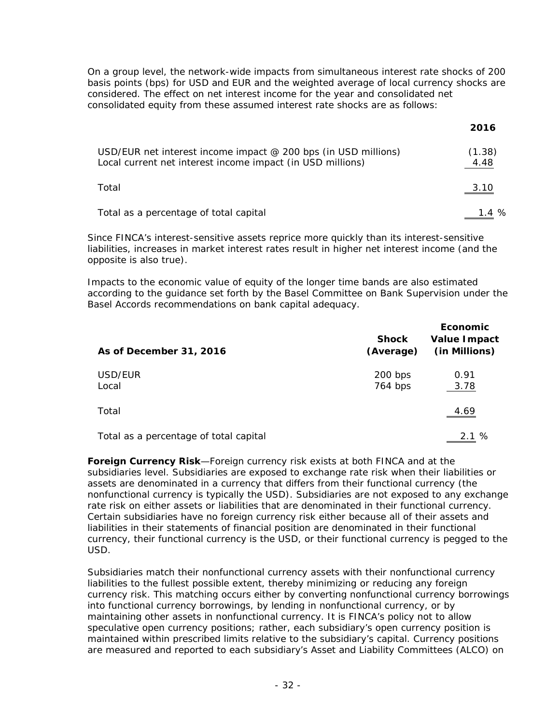On a group level, the network-wide impacts from simultaneous interest rate shocks of 200 basis points (bps) for USD and EUR and the weighted average of local currency shocks are considered. The effect on net interest income for the year and consolidated net consolidated equity from these assumed interest rate shocks are as follows:

|                                                                                                                              | 2016           |
|------------------------------------------------------------------------------------------------------------------------------|----------------|
| USD/EUR net interest income impact @ 200 bps (in USD millions)<br>Local current net interest income impact (in USD millions) | (1.38)<br>4.48 |
| Total                                                                                                                        | 3.10           |
| Total as a percentage of total capital                                                                                       | 1.4 $%$        |

Since FINCA's interest-sensitive assets reprice more quickly than its interest-sensitive liabilities, increases in market interest rates result in higher net interest income (and the opposite is also true).

Impacts to the economic value of equity of the longer time bands are also estimated according to the guidance set forth by the Basel Committee on Bank Supervision under the Basel Accords recommendations on bank capital adequacy.

| As of December 31, 2016                | <b>Shock</b><br>(Average) | Economic<br>Value Impact<br>(in Millions) |
|----------------------------------------|---------------------------|-------------------------------------------|
| USD/EUR<br>Local                       | $200$ bps<br>764 bps      | 0.91<br>3.78                              |
| Total                                  |                           | 4.69                                      |
| Total as a percentage of total capital |                           | 2.1%                                      |

**Foreign Currency Risk**—Foreign currency risk exists at both FINCA and at the subsidiaries level. Subsidiaries are exposed to exchange rate risk when their liabilities or assets are denominated in a currency that differs from their functional currency (the nonfunctional currency is typically the USD). Subsidiaries are not exposed to any exchange rate risk on either assets or liabilities that are denominated in their functional currency. Certain subsidiaries have no foreign currency risk either because all of their assets and liabilities in their statements of financial position are denominated in their functional currency, their functional currency is the USD, or their functional currency is pegged to the USD.

Subsidiaries match their nonfunctional currency assets with their nonfunctional currency liabilities to the fullest possible extent, thereby minimizing or reducing any foreign currency risk. This matching occurs either by converting nonfunctional currency borrowings into functional currency borrowings, by lending in nonfunctional currency, or by maintaining other assets in nonfunctional currency. It is FINCA's policy not to allow speculative open currency positions; rather, each subsidiary's open currency position is maintained within prescribed limits relative to the subsidiary's capital. Currency positions are measured and reported to each subsidiary's Asset and Liability Committees (ALCO) on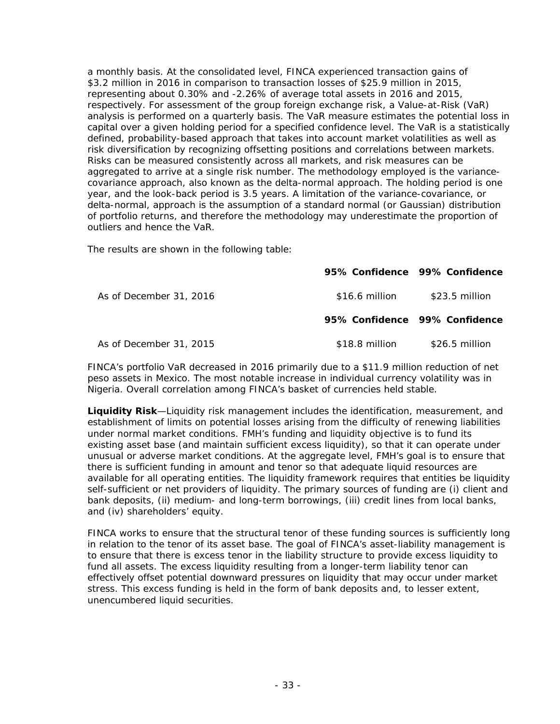a monthly basis. At the consolidated level, FINCA experienced transaction gains of \$3.2 million in 2016 in comparison to transaction losses of \$25.9 million in 2015, representing about 0.30% and -2.26% of average total assets in 2016 and 2015, respectively. For assessment of the group foreign exchange risk, a Value-at-Risk (VaR) analysis is performed on a quarterly basis. The VaR measure estimates the potential loss in capital over a given holding period for a specified confidence level. The VaR is a statistically defined, probability-based approach that takes into account market volatilities as well as risk diversification by recognizing offsetting positions and correlations between markets. Risks can be measured consistently across all markets, and risk measures can be aggregated to arrive at a single risk number. The methodology employed is the variancecovariance approach, also known as the delta-normal approach. The holding period is one year, and the look-back period is 3.5 years. A limitation of the variance-covariance, or delta-normal, approach is the assumption of a standard normal (or Gaussian) distribution of portfolio returns, and therefore the methodology may underestimate the proportion of outliers and hence the VaR.

The results are shown in the following table:

|                         |                | 95% Confidence 99% Confidence |
|-------------------------|----------------|-------------------------------|
| As of December 31, 2016 | \$16.6 million | \$23.5 million                |
|                         |                | 95% Confidence 99% Confidence |
| As of December 31, 2015 | \$18.8 million | $$26.5$ million               |

FINCA's portfolio VaR decreased in 2016 primarily due to a \$11.9 million reduction of net peso assets in Mexico. The most notable increase in individual currency volatility was in Nigeria. Overall correlation among FINCA's basket of currencies held stable.

**Liquidity Risk**—Liquidity risk management includes the identification, measurement, and establishment of limits on potential losses arising from the difficulty of renewing liabilities under normal market conditions. FMH's funding and liquidity objective is to fund its existing asset base (and maintain sufficient excess liquidity), so that it can operate under unusual or adverse market conditions. At the aggregate level, FMH's goal is to ensure that there is sufficient funding in amount and tenor so that adequate liquid resources are available for all operating entities. The liquidity framework requires that entities be liquidity self-sufficient or net providers of liquidity. The primary sources of funding are (i) client and bank deposits, (ii) medium- and long-term borrowings, (iii) credit lines from local banks, and (iv) shareholders' equity.

FINCA works to ensure that the structural tenor of these funding sources is sufficiently long in relation to the tenor of its asset base. The goal of FINCA's asset-liability management is to ensure that there is excess tenor in the liability structure to provide excess liquidity to fund all assets. The excess liquidity resulting from a longer-term liability tenor can effectively offset potential downward pressures on liquidity that may occur under market stress. This excess funding is held in the form of bank deposits and, to lesser extent, unencumbered liquid securities.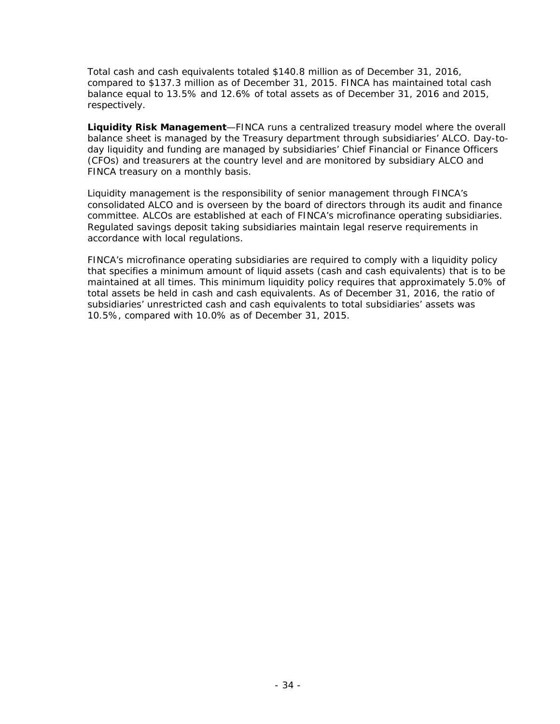Total cash and cash equivalents totaled \$140.8 million as of December 31, 2016, compared to \$137.3 million as of December 31, 2015. FINCA has maintained total cash balance equal to 13.5% and 12.6% of total assets as of December 31, 2016 and 2015, respectively.

**Liquidity Risk Management**—FINCA runs a centralized treasury model where the overall balance sheet is managed by the Treasury department through subsidiaries' ALCO. Day-today liquidity and funding are managed by subsidiaries' Chief Financial or Finance Officers (CFOs) and treasurers at the country level and are monitored by subsidiary ALCO and FINCA treasury on a monthly basis.

Liquidity management is the responsibility of senior management through FINCA's consolidated ALCO and is overseen by the board of directors through its audit and finance committee. ALCOs are established at each of FINCA's microfinance operating subsidiaries. Regulated savings deposit taking subsidiaries maintain legal reserve requirements in accordance with local regulations.

FINCA's microfinance operating subsidiaries are required to comply with a liquidity policy that specifies a minimum amount of liquid assets (cash and cash equivalents) that is to be maintained at all times. This minimum liquidity policy requires that approximately 5.0% of total assets be held in cash and cash equivalents. As of December 31, 2016, the ratio of subsidiaries' unrestricted cash and cash equivalents to total subsidiaries' assets was 10.5%, compared with 10.0% as of December 31, 2015.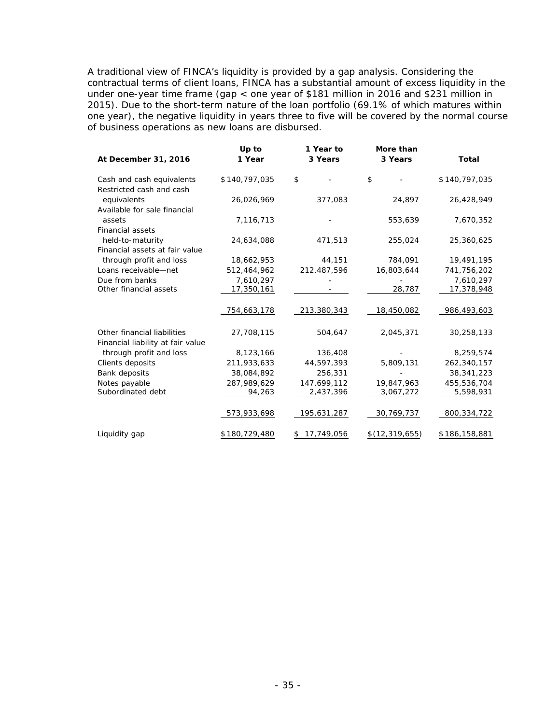A traditional view of FINCA's liquidity is provided by a gap analysis. Considering the contractual terms of client loans, FINCA has a substantial amount of excess liquidity in the under one-year time frame (gap < one year of \$181 million in 2016 and \$231 million in 2015). Due to the short-term nature of the loan portfolio (69.1% of which matures within one year), the negative liquidity in years three to five will be covered by the normal course of business operations as new loans are disbursed.

| At December 31, 2016                                             | Up to<br>1 Year | 1 Year to<br>3 Years | More than<br>3 Years | Total         |
|------------------------------------------------------------------|-----------------|----------------------|----------------------|---------------|
| Cash and cash equivalents<br>Restricted cash and cash            | \$140,797,035   | \$                   | \$                   | \$140,797,035 |
| equivalents                                                      | 26,026,969      | 377,083              | 24,897               | 26,428,949    |
| Available for sale financial                                     |                 |                      |                      |               |
| assets                                                           | 7,116,713       |                      | 553,639              | 7,670,352     |
| <b>Financial assets</b>                                          |                 |                      |                      |               |
| held-to-maturity                                                 | 24,634,088      | 471,513              | 255,024              | 25,360,625    |
| Financial assets at fair value                                   |                 |                      |                      |               |
| through profit and loss                                          | 18,662,953      | 44,151               | 784,091              | 19,491,195    |
| Loans receivable-net                                             | 512,464,962     | 212,487,596          | 16,803,644           | 741,756,202   |
| Due from banks                                                   | 7,610,297       |                      |                      | 7,610,297     |
| Other financial assets                                           | 17,350,161      |                      | 28,787               | 17,378,948    |
|                                                                  | 754,663,178     | 213,380,343          | 18,450,082           | 986,493,603   |
| Other financial liabilities<br>Financial liability at fair value | 27,708,115      | 504,647              | 2,045,371            | 30,258,133    |
| through profit and loss                                          | 8,123,166       | 136,408              |                      | 8,259,574     |
| Clients deposits                                                 | 211,933,633     | 44,597,393           | 5,809,131            | 262,340,157   |
| Bank deposits                                                    | 38,084,892      | 256,331              |                      | 38,341,223    |
| Notes payable                                                    | 287.989.629     | 147.699.112          | 19.847.963           | 455,536,704   |
| Subordinated debt                                                | 94,263          | 2,437,396            | 3,067,272            | 5,598,931     |
|                                                                  | 573,933,698     | 195,631,287          | 30,769,737           | 800,334,722   |
| Liquidity gap                                                    | \$180,729,480   | 17,749,056<br>\$     | \$(12, 319, 655)     | \$186,158,881 |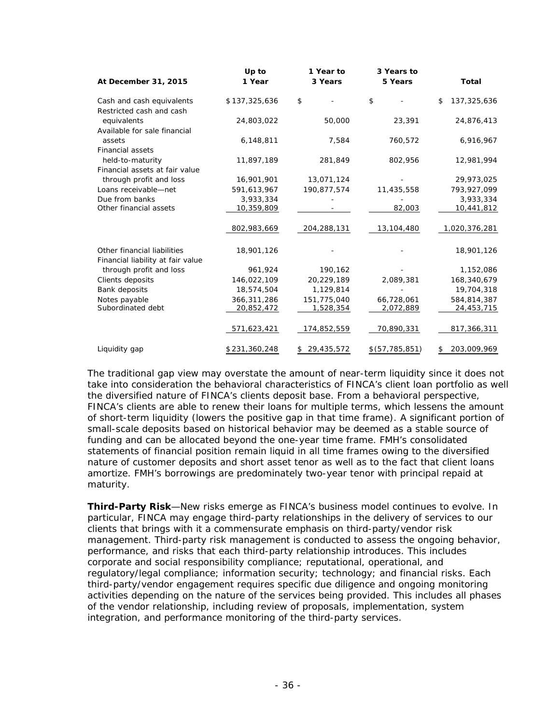|                                                                  | Up to         | 1 Year to        | 3 Years to       |                   |
|------------------------------------------------------------------|---------------|------------------|------------------|-------------------|
| At December 31, 2015                                             | 1 Year        | 3 Years          | 5 Years          | Total             |
| Cash and cash equivalents                                        | \$137,325,636 | \$               | \$               | 137,325,636<br>\$ |
| Restricted cash and cash                                         |               |                  |                  |                   |
| equivalents                                                      | 24,803,022    | 50,000           | 23,391           | 24,876,413        |
| Available for sale financial                                     |               |                  |                  |                   |
| assets                                                           | 6,148,811     | 7,584            | 760,572          | 6,916,967         |
| <b>Financial assets</b>                                          |               |                  |                  |                   |
| held-to-maturity                                                 | 11,897,189    | 281,849          | 802,956          | 12,981,994        |
| Financial assets at fair value                                   |               |                  |                  |                   |
| through profit and loss                                          | 16,901,901    | 13,071,124       |                  | 29,973,025        |
| Loans receivable-net                                             | 591,613,967   | 190,877,574      | 11,435,558       | 793,927,099       |
| Due from banks                                                   | 3,933,334     |                  |                  | 3,933,334         |
| Other financial assets                                           | 10,359,809    |                  | 82,003           | 10,441,812        |
|                                                                  | 802,983,669   | 204,288,131      | 13,104,480       | 1,020,376,281     |
|                                                                  |               |                  |                  |                   |
| Other financial liabilities<br>Financial liability at fair value | 18,901,126    |                  |                  | 18,901,126        |
| through profit and loss                                          | 961,924       | 190,162          |                  | 1,152,086         |
| Clients deposits                                                 | 146,022,109   | 20,229,189       | 2,089,381        | 168,340,679       |
| Bank deposits                                                    | 18,574,504    | 1,129,814        |                  | 19,704,318        |
| Notes payable                                                    | 366,311,286   | 151,775,040      | 66,728,061       | 584,814,387       |
| Subordinated debt                                                | 20,852,472    | 1,528,354        | 2,072,889        | 24,453,715        |
|                                                                  | 571,623,421   | 174,852,559      | 70,890,331       | 817,366,311       |
|                                                                  |               |                  |                  |                   |
| Liquidity gap                                                    | \$231,360,248 | 29,435,572<br>\$ | \$(57, 785, 851) | 203,009,969<br>\$ |

The traditional gap view may overstate the amount of near-term liquidity since it does not take into consideration the behavioral characteristics of FINCA's client loan portfolio as well the diversified nature of FINCA's clients deposit base. From a behavioral perspective, FINCA's clients are able to renew their loans for multiple terms, which lessens the amount of short-term liquidity (lowers the positive gap in that time frame). A significant portion of small-scale deposits based on historical behavior may be deemed as a stable source of funding and can be allocated beyond the one-year time frame. FMH's consolidated statements of financial position remain liquid in all time frames owing to the diversified nature of customer deposits and short asset tenor as well as to the fact that client loans amortize. FMH's borrowings are predominately two-year tenor with principal repaid at maturity.

**Third-Party Risk**—New risks emerge as FINCA's business model continues to evolve. In particular, FINCA may engage third-party relationships in the delivery of services to our clients that brings with it a commensurate emphasis on third-party/vendor risk management. Third-party risk management is conducted to assess the ongoing behavior, performance, and risks that each third-party relationship introduces. This includes corporate and social responsibility compliance; reputational, operational, and regulatory/legal compliance; information security; technology; and financial risks. Each third-party/vendor engagement requires specific due diligence and ongoing monitoring activities depending on the nature of the services being provided. This includes all phases of the vendor relationship, including review of proposals, implementation, system integration, and performance monitoring of the third-party services.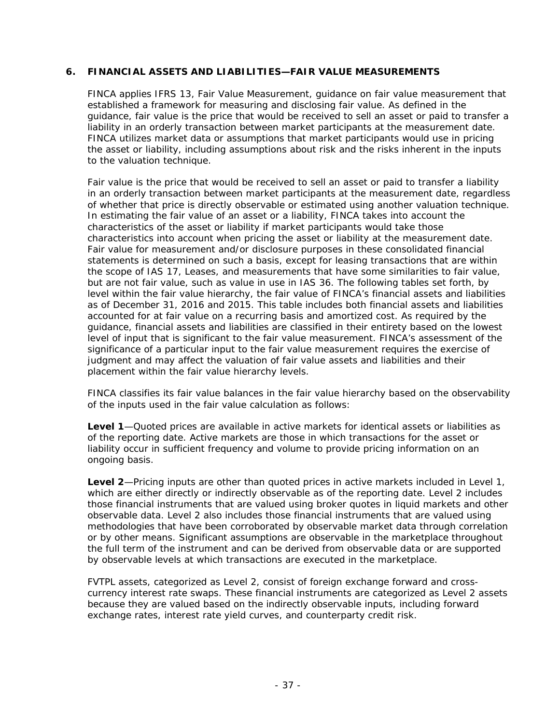#### **6. FINANCIAL ASSETS AND LIABILITIES—FAIR VALUE MEASUREMENTS**

FINCA applies IFRS 13, *Fair Value Measurement*, guidance on fair value measurement that established a framework for measuring and disclosing fair value. As defined in the guidance, fair value is the price that would be received to sell an asset or paid to transfer a liability in an orderly transaction between market participants at the measurement date. FINCA utilizes market data or assumptions that market participants would use in pricing the asset or liability, including assumptions about risk and the risks inherent in the inputs to the valuation technique.

Fair value is the price that would be received to sell an asset or paid to transfer a liability in an orderly transaction between market participants at the measurement date, regardless of whether that price is directly observable or estimated using another valuation technique. In estimating the fair value of an asset or a liability, FINCA takes into account the characteristics of the asset or liability if market participants would take those characteristics into account when pricing the asset or liability at the measurement date. Fair value for measurement and/or disclosure purposes in these consolidated financial statements is determined on such a basis, except for leasing transactions that are within the scope of IAS 17, *Leases*, and measurements that have some similarities to fair value, but are not fair value, such as value in use in IAS 36. The following tables set forth, by level within the fair value hierarchy, the fair value of FINCA's financial assets and liabilities as of December 31, 2016 and 2015. This table includes both financial assets and liabilities accounted for at fair value on a recurring basis and amortized cost. As required by the guidance, financial assets and liabilities are classified in their entirety based on the lowest level of input that is significant to the fair value measurement. FINCA's assessment of the significance of a particular input to the fair value measurement requires the exercise of judgment and may affect the valuation of fair value assets and liabilities and their placement within the fair value hierarchy levels.

FINCA classifies its fair value balances in the fair value hierarchy based on the observability of the inputs used in the fair value calculation as follows:

*Level 1*—Quoted prices are available in active markets for identical assets or liabilities as of the reporting date. Active markets are those in which transactions for the asset or liability occur in sufficient frequency and volume to provide pricing information on an ongoing basis.

*Level 2*—Pricing inputs are other than quoted prices in active markets included in Level 1, which are either directly or indirectly observable as of the reporting date. Level 2 includes those financial instruments that are valued using broker quotes in liquid markets and other observable data. Level 2 also includes those financial instruments that are valued using methodologies that have been corroborated by observable market data through correlation or by other means. Significant assumptions are observable in the marketplace throughout the full term of the instrument and can be derived from observable data or are supported by observable levels at which transactions are executed in the marketplace.

FVTPL assets, categorized as Level 2, consist of foreign exchange forward and crosscurrency interest rate swaps. These financial instruments are categorized as Level 2 assets because they are valued based on the indirectly observable inputs, including forward exchange rates, interest rate yield curves, and counterparty credit risk.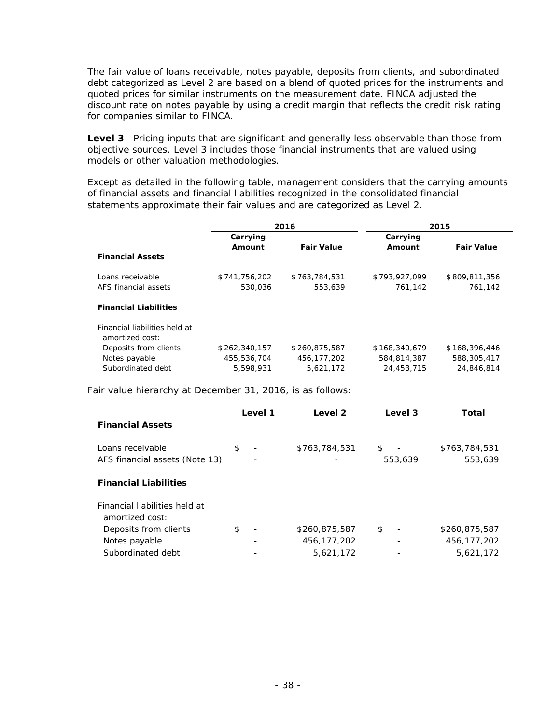The fair value of loans receivable, notes payable, deposits from clients, and subordinated debt categorized as Level 2 are based on a blend of quoted prices for the instruments and quoted prices for similar instruments on the measurement date. FINCA adjusted the discount rate on notes payable by using a credit margin that reflects the credit risk rating for companies similar to FINCA.

*Level 3*—Pricing inputs that are significant and generally less observable than those from objective sources. Level 3 includes those financial instruments that are valued using models or other valuation methodologies.

Except as detailed in the following table, management considers that the carrying amounts of financial assets and financial liabilities recognized in the consolidated financial statements approximate their fair values and are categorized as Level 2.

|                                                                                            | 2016                         |                              |                              | 2015                         |
|--------------------------------------------------------------------------------------------|------------------------------|------------------------------|------------------------------|------------------------------|
|                                                                                            | Carrying<br>Amount           | <b>Fair Value</b>            | Carrying<br>Amount           | <b>Fair Value</b>            |
| <b>Financial Assets</b>                                                                    |                              |                              |                              |                              |
| Loans receivable<br>AFS financial assets                                                   | \$741,756,202<br>530,036     | \$763,784,531<br>553.639     | \$793,927,099<br>761.142     | \$809,811,356<br>761,142     |
| <b>Financial Liabilities</b>                                                               |                              |                              |                              |                              |
| Financial liabilities held at<br>amortized cost:<br>Deposits from clients<br>Notes payable | \$262,340,157<br>455,536,704 | \$260,875,587<br>456.177.202 | \$168,340.679<br>584.814.387 | \$168,396,446<br>588,305,417 |
| Subordinated debt                                                                          | 5,598,931                    | 5,621,172                    | 24,453,715                   | 24,846,814                   |

Fair value hierarchy at December 31, 2016, is as follows:

|                                                    | Level 1                        | Level 2       |    | Level 3                             | Total                    |
|----------------------------------------------------|--------------------------------|---------------|----|-------------------------------------|--------------------------|
| <b>Financial Assets</b>                            |                                |               |    |                                     |                          |
| Loans receivable<br>AFS financial assets (Note 13) | \$<br>$\overline{\phantom{a}}$ | \$763,784,531 | \$ | $\overline{\phantom{a}}$<br>553,639 | \$763,784,531<br>553,639 |
| <b>Financial Liabilities</b>                       |                                |               |    |                                     |                          |
| Financial liabilities held at<br>amortized cost:   |                                |               |    |                                     |                          |
| Deposits from clients                              | \$                             | \$260,875,587 | \$ |                                     | \$260,875,587            |
| Notes payable                                      | ۰                              | 456.177.202   |    |                                     | 456,177,202              |
| Subordinated debt                                  |                                | 5.621.172     |    |                                     | 5.621.172                |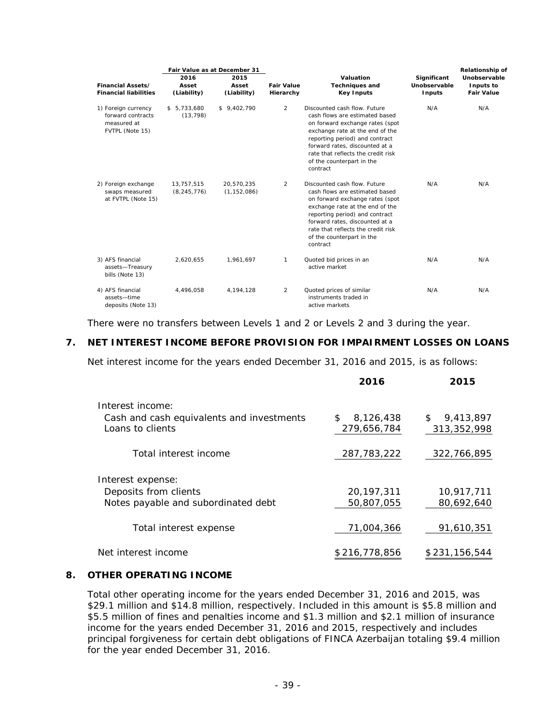|                                                                            |                              | Fair Value as at December 31 |                                |                                                                                                                                                                                                                                                                                         |                                       | Relationship of                                |
|----------------------------------------------------------------------------|------------------------------|------------------------------|--------------------------------|-----------------------------------------------------------------------------------------------------------------------------------------------------------------------------------------------------------------------------------------------------------------------------------------|---------------------------------------|------------------------------------------------|
| Financial Assets/<br><b>Financial liabilities</b>                          | 2016<br>Asset<br>(Liability) | 2015<br>Asset<br>(Liability) | <b>Fair Value</b><br>Hierarchy | Valuation<br>Techniques and<br>Key Inputs                                                                                                                                                                                                                                               | Significant<br>Unobservable<br>Inputs | Unobservable<br>Inputs to<br><b>Fair Value</b> |
| 1) Foreign currency<br>forward contracts<br>measured at<br>FVTPL (Note 15) | \$5,733,680<br>(13, 798)     | \$9,402,790                  | 2                              | Discounted cash flow. Future<br>cash flows are estimated based<br>on forward exchange rates (spot<br>exchange rate at the end of the<br>reporting period) and contract<br>forward rates, discounted at a<br>rate that reflects the credit risk<br>of the counterpart in the<br>contract | N/A                                   | N/A                                            |
| 2) Foreign exchange<br>swaps measured<br>at FVTPL (Note 15)                | 13,757,515<br>(8, 245, 776)  | 20,570,235<br>(1, 152, 086)  | 2                              | Discounted cash flow. Future<br>cash flows are estimated based<br>on forward exchange rates (spot<br>exchange rate at the end of the<br>reporting period) and contract<br>forward rates, discounted at a<br>rate that reflects the credit risk<br>of the counterpart in the<br>contract | N/A                                   | N/A                                            |
| 3) AFS financial<br>assets-Treasury<br>bills (Note 13)                     | 2,620,655                    | 1,961,697                    | 1                              | Quoted bid prices in an<br>active market                                                                                                                                                                                                                                                | N/A                                   | N/A                                            |
| 4) AFS financial<br>assets-time<br>deposits (Note 13)                      | 4.496.058                    | 4,194,128                    | 2                              | Quoted prices of similar<br>instruments traded in<br>active markets                                                                                                                                                                                                                     | N/A                                   | N/A                                            |

There were no transfers between Levels 1 and 2 or Levels 2 and 3 during the year.

#### **7. NET INTEREST INCOME BEFORE PROVISION FOR IMPAIRMENT LOSSES ON LOANS**

Net interest income for the years ended December 31, 2016 and 2015, is as follows:

|                                                                                   | 2016                           | 2015                             |
|-----------------------------------------------------------------------------------|--------------------------------|----------------------------------|
| Interest income:<br>Cash and cash equivalents and investments<br>Loans to clients | 8,126,438<br>\$<br>279,656,784 | 9,413,897<br>\$<br>313, 352, 998 |
| Total interest income                                                             | 287,783,222                    | 322,766,895                      |
| Interest expense:<br>Deposits from clients<br>Notes payable and subordinated debt | 20.197.311<br>50,807,055       | 10,917,711<br>80,692,640         |
| Total interest expense                                                            | 71,004,366                     | 91,610,351                       |
| Net interest income                                                               | \$216,778,856                  | \$231,156,544                    |

#### **8. OTHER OPERATING INCOME**

Total other operating income for the years ended December 31, 2016 and 2015, was \$29.1 million and \$14.8 million, respectively. Included in this amount is \$5.8 million and \$5.5 million of fines and penalties income and \$1.3 million and \$2.1 million of insurance income for the years ended December 31, 2016 and 2015, respectively and includes principal forgiveness for certain debt obligations of FINCA Azerbaijan totaling \$9.4 million for the year ended December 31, 2016.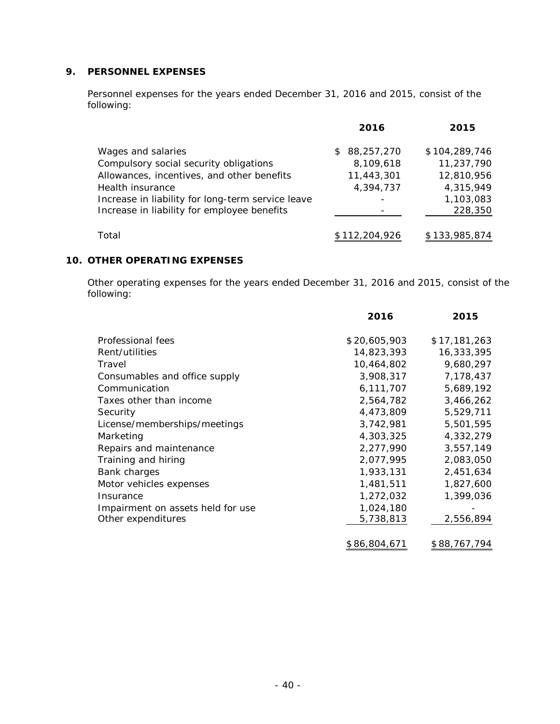#### **9. PERSONNEL EXPENSES**

Personnel expenses for the years ended December 31, 2016 and 2015, consist of the following:

|                                                                                      | 2016                    | 2015                     |
|--------------------------------------------------------------------------------------|-------------------------|--------------------------|
| Wages and salaries                                                                   | 88,257,270<br>\$.       | \$104,289,746            |
| Compulsory social security obligations<br>Allowances, incentives, and other benefits | 8,109,618<br>11,443,301 | 11,237,790<br>12,810,956 |
| Health insurance<br>Increase in liability for long-term service leave                | 4,394,737               | 4,315,949<br>1,103,083   |
| Increase in liability for employee benefits                                          |                         | 228,350                  |
| Total                                                                                | \$112,204,926           | \$133,985,874            |

#### **10. OTHER OPERATING EXPENSES**

Other operating expenses for the years ended December 31, 2016 and 2015, consist of the following:

|                                   | 2016         | 2015         |
|-----------------------------------|--------------|--------------|
| Professional fees                 | \$20,605,903 | \$17,181,263 |
| Rent/utilities                    | 14,823,393   | 16,333,395   |
| Travel                            | 10,464,802   | 9,680,297    |
| Consumables and office supply     | 3,908,317    | 7,178,437    |
| Communication                     | 6,111,707    | 5,689,192    |
| Taxes other than income           | 2,564,782    | 3,466,262    |
| Security                          | 4,473,809    | 5,529,711    |
| License/memberships/meetings      | 3,742,981    | 5,501,595    |
| Marketing                         | 4,303,325    | 4,332,279    |
| Repairs and maintenance           | 2,277,990    | 3,557,149    |
| Training and hiring               | 2,077,995    | 2,083,050    |
| Bank charges                      | 1,933,131    | 2,451,634    |
| Motor vehicles expenses           | 1,481,511    | 1,827,600    |
| Insurance                         | 1,272,032    | 1,399,036    |
| Impairment on assets held for use | 1,024,180    |              |
| Other expenditures                | 5,738,813    | 2,556,894    |
|                                   |              |              |

\$ 86,804,671 \$ 88,767,794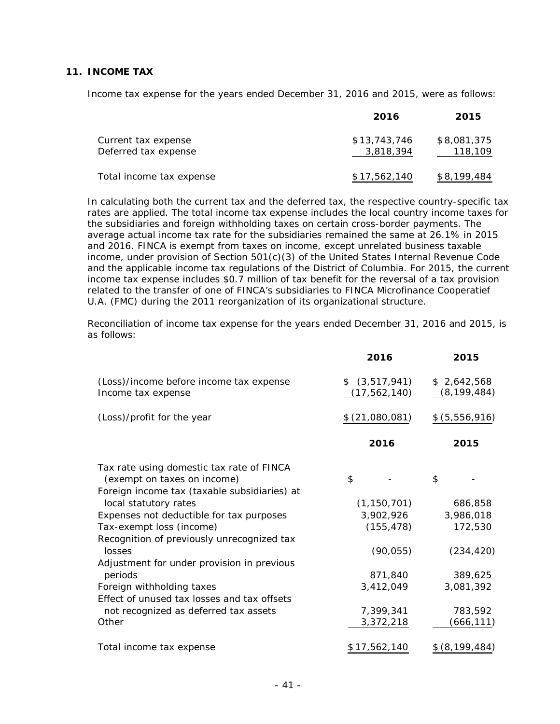#### **11. INCOME TAX**

Income tax expense for the years ended December 31, 2016 and 2015, were as follows:

|                                             | 2016                      | 2015                   |
|---------------------------------------------|---------------------------|------------------------|
| Current tax expense<br>Deferred tax expense | \$13,743,746<br>3,818,394 | \$8,081,375<br>118,109 |
| Total income tax expense                    | \$17,562,140              | \$8,199,484            |

In calculating both the current tax and the deferred tax, the respective country-specific tax rates are applied. The total income tax expense includes the local country income taxes for the subsidiaries and foreign withholding taxes on certain cross-border payments. The average actual income tax rate for the subsidiaries remained the same at 26.1% in 2015 and 2016. FINCA is exempt from taxes on income, except unrelated business taxable income, under provision of Section  $501(c)(3)$  of the United States Internal Revenue Code and the applicable income tax regulations of the District of Columbia. For 2015, the current income tax expense includes \$0.7 million of tax benefit for the reversal of a tax provision related to the transfer of one of FINCA's subsidiaries to FINCA Microfinance Cooperatief U.A. (FMC) during the 2011 reorganization of its organizational structure.

Reconciliation of income tax expense for the years ended December 31, 2016 and 2015, is as follows:

|                                                                                                                          | 2016                            | 2015                         |
|--------------------------------------------------------------------------------------------------------------------------|---------------------------------|------------------------------|
| (Loss)/income before income tax expense<br>Income tax expense                                                            | \$(3,517,941)<br>(17, 562, 140) | \$2,642,568<br>(8, 199, 484) |
| (Loss)/profit for the year                                                                                               | \$(21,080,081)                  | \$ (5,556,916)               |
|                                                                                                                          | 2016                            | 2015                         |
| Tax rate using domestic tax rate of FINCA<br>(exempt on taxes on income)<br>Foreign income tax (taxable subsidiaries) at | \$                              | \$                           |
| local statutory rates                                                                                                    | (1, 150, 701)                   | 686,858                      |
| Expenses not deductible for tax purposes                                                                                 | 3,902,926                       | 3,986,018                    |
| Tax-exempt loss (income)<br>Recognition of previously unrecognized tax                                                   | (155, 478)                      | 172,530                      |
| losses                                                                                                                   | (90, 055)                       | (234, 420)                   |
| Adjustment for under provision in previous                                                                               |                                 |                              |
| periods                                                                                                                  | 871,840                         | 389,625                      |
| Foreign withholding taxes                                                                                                | 3,412,049                       | 3,081,392                    |
| Effect of unused tax losses and tax offsets                                                                              |                                 |                              |
| not recognized as deferred tax assets                                                                                    | 7,399,341                       | 783,592                      |
| Other                                                                                                                    | 3,372,218                       | (666,111)                    |
| Total income tax expense                                                                                                 | \$17,562,140                    | \$ (8, 199, 484)             |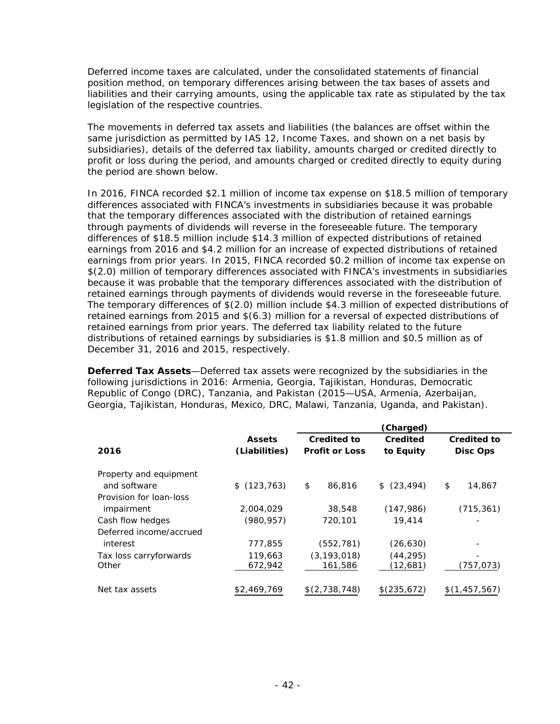Deferred income taxes are calculated, under the consolidated statements of financial position method, on temporary differences arising between the tax bases of assets and liabilities and their carrying amounts, using the applicable tax rate as stipulated by the tax legislation of the respective countries.

The movements in deferred tax assets and liabilities (the balances are offset within the same jurisdiction as permitted by IAS 12, *Income Taxes*, and shown on a net basis by subsidiaries), details of the deferred tax liability, amounts charged or credited directly to profit or loss during the period, and amounts charged or credited directly to equity during the period are shown below.

In 2016, FINCA recorded \$2.1 million of income tax expense on \$18.5 million of temporary differences associated with FINCA's investments in subsidiaries because it was probable that the temporary differences associated with the distribution of retained earnings through payments of dividends will reverse in the foreseeable future. The temporary differences of \$18.5 million include \$14.3 million of expected distributions of retained earnings from 2016 and \$4.2 million for an increase of expected distributions of retained earnings from prior years. In 2015, FINCA recorded \$0.2 million of income tax expense on \$(2.0) million of temporary differences associated with FINCA's investments in subsidiaries because it was probable that the temporary differences associated with the distribution of retained earnings through payments of dividends would reverse in the foreseeable future. The temporary differences of \$(2.0) million include \$4.3 million of expected distributions of retained earnings from 2015 and \$(6.3) million for a reversal of expected distributions of retained earnings from prior years. The deferred tax liability related to the future distributions of retained earnings by subsidiaries is \$1.8 million and \$0.5 million as of December 31, 2016 and 2015, respectively.

**Deferred Tax Assets**—Deferred tax assets were recognized by the subsidiaries in the following jurisdictions in 2016: Armenia, Georgia, Tajikistan, Honduras, Democratic Republic of Congo (DRC), Tanzania, and Pakistan (2015—USA, Armenia, Azerbaijan, Georgia, Tajikistan, Honduras, Mexico, DRC, Malawi, Tanzania, Uganda, and Pakistan).

|                         |               | (Charged)             |             |                 |  |  |
|-------------------------|---------------|-----------------------|-------------|-----------------|--|--|
|                         | Assets        | Credited to           | Credited    | Credited to     |  |  |
| 2016                    | (Liabilities) | <b>Profit or Loss</b> | to Equity   | Disc Ops        |  |  |
| Property and equipment  |               |                       |             |                 |  |  |
| and software            | \$(123, 763)  | \$<br>86,816          | \$(23, 494) | \$<br>14,867    |  |  |
| Provision for Ioan-Joss |               |                       |             |                 |  |  |
| impairment              | 2,004,029     | 38,548                | (147,986)   | (715, 361)      |  |  |
| Cash flow hedges        | (980, 957)    | 720,101               | 19,414      |                 |  |  |
| Deferred income/accrued |               |                       |             |                 |  |  |
| interest                | 777,855       | (552, 781)            | (26, 630)   |                 |  |  |
| Tax loss carryforwards  | 119,663       | (3, 193, 018)         | (44, 295)   |                 |  |  |
| Other                   | 672,942       | 161,586               | (12,681)    | (757,073)       |  |  |
| Net tax assets          | \$2,469,769   | \$(2,738,748)         | \$(235,672) | \$(1, 457, 567) |  |  |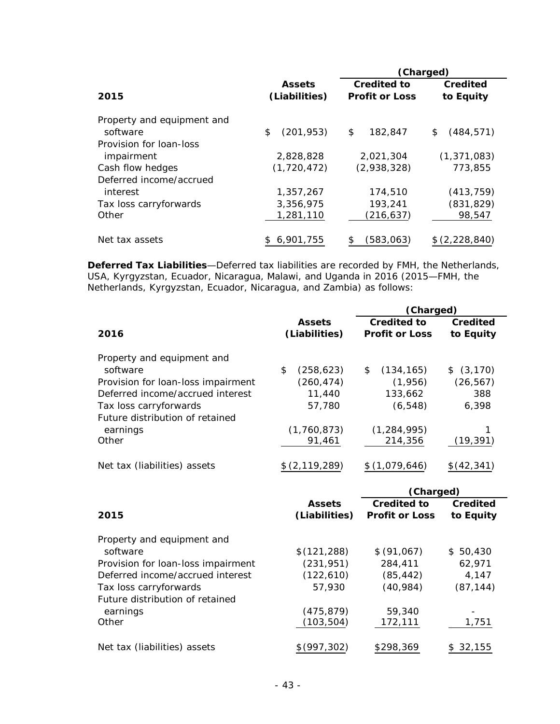|                            |                  | (Charged)             |                  |  |  |
|----------------------------|------------------|-----------------------|------------------|--|--|
|                            | Assets           | Credited to           | Credited         |  |  |
| 2015                       | (Liabilities)    | <b>Profit or Loss</b> | to Equity        |  |  |
| Property and equipment and |                  |                       |                  |  |  |
| software                   | (201, 953)<br>\$ | \$<br>182,847         | (484, 571)<br>\$ |  |  |
| Provision for Ioan-Joss    |                  |                       |                  |  |  |
| impairment                 | 2,828,828        | 2,021,304             | (1, 371, 083)    |  |  |
| Cash flow hedges           | (1, 720, 472)    | (2,938,328)           | 773,855          |  |  |
| Deferred income/accrued    |                  |                       |                  |  |  |
| interest                   | 1,357,267        | 174,510               | (413, 759)       |  |  |
| Tax loss carryforwards     | 3,356,975        | 193,241               | (831, 829)       |  |  |
| Other                      | 1,281,110        | (216, 637)            | 98,547           |  |  |
| Net tax assets             | 6,901,755        | (583,063)             | (2,228,840       |  |  |

**Deferred Tax Liabilities**—Deferred tax liabilities are recorded by FMH, the Netherlands, USA, Kyrgyzstan, Ecuador, Nicaragua, Malawi, and Uganda in 2016 (2015—FMH, the Netherlands, Kyrgyzstan, Ecuador, Nicaragua, and Zambia) as follows:

|                                                                                                                                                                                                    |                                                                                | (Charged)                                                                      |                                                               |  |  |
|----------------------------------------------------------------------------------------------------------------------------------------------------------------------------------------------------|--------------------------------------------------------------------------------|--------------------------------------------------------------------------------|---------------------------------------------------------------|--|--|
|                                                                                                                                                                                                    | <b>Assets</b>                                                                  | <b>Credited to</b>                                                             | Credited                                                      |  |  |
| 2016                                                                                                                                                                                               | (Liabilities)                                                                  | Profit or Loss                                                                 | to Equity                                                     |  |  |
| Property and equipment and<br>software<br>Provision for loan-loss impairment<br>Deferred income/accrued interest<br>Tax loss carryforwards<br>Future distribution of retained<br>earnings<br>Other | \$<br>(258, 623)<br>(260, 474)<br>11,440<br>57,780<br>(1,760,873)<br>91,461    | \$<br>(134, 165)<br>(1,956)<br>133,662<br>(6, 548)<br>(1, 284, 995)<br>214,356 | (3, 170)<br>\$<br>(26, 567)<br>388<br>6,398<br>1<br>(19, 391) |  |  |
| Net tax (liabilities) assets                                                                                                                                                                       | \$(2, 119, 289)                                                                | \$(1,079,646)<br>(Charged)                                                     | \$(42,341)                                                    |  |  |
|                                                                                                                                                                                                    | <b>Assets</b>                                                                  | <b>Credited to</b>                                                             | Credited                                                      |  |  |
| 2015                                                                                                                                                                                               | (Liabilities)                                                                  | Profit or Loss                                                                 | to Equity                                                     |  |  |
| Property and equipment and<br>software<br>Provision for loan-loss impairment<br>Deferred income/accrued interest<br>Tax loss carryforwards<br>Future distribution of retained<br>earnings<br>Other | \$(121, 288)<br>(231, 951)<br>(122, 610)<br>57,930<br>(475, 879)<br>(103, 504) | \$ (91,067)<br>284,411<br>(85, 442)<br>(40, 984)<br>59,340<br>172,111          | \$50,430<br>62,971<br>4,147<br>(87, 144)<br>1,751             |  |  |
| Net tax (liabilities) assets                                                                                                                                                                       | \$(997,302)                                                                    | \$298,369                                                                      | \$ 32,155                                                     |  |  |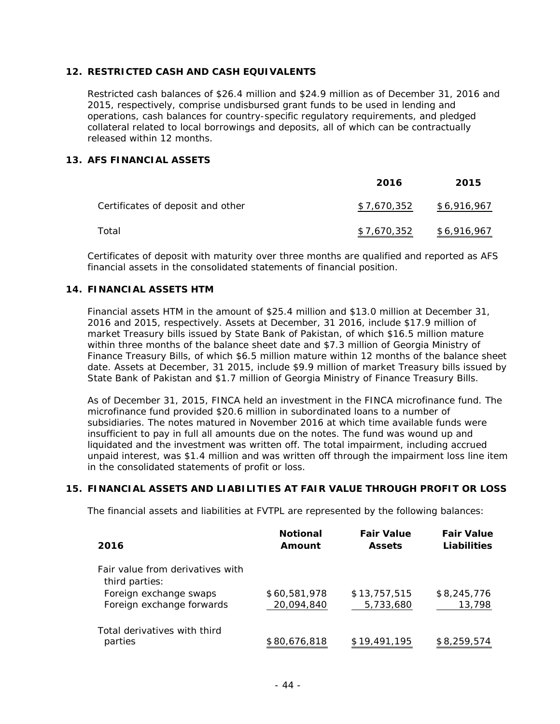#### **12. RESTRICTED CASH AND CASH EQUIVALENTS**

Restricted cash balances of \$26.4 million and \$24.9 million as of December 31, 2016 and 2015, respectively, comprise undisbursed grant funds to be used in lending and operations, cash balances for country-specific regulatory requirements, and pledged collateral related to local borrowings and deposits, all of which can be contractually released within 12 months.

#### **13. AFS FINANCIAL ASSETS**

|                                   | 2016        | 2015        |
|-----------------------------------|-------------|-------------|
| Certificates of deposit and other | \$7,670,352 | \$6,916,967 |
| Total                             | \$7,670,352 | \$6,916,967 |

Certificates of deposit with maturity over three months are qualified and reported as AFS financial assets in the consolidated statements of financial position.

#### **14. FINANCIAL ASSETS HTM**

Financial assets HTM in the amount of \$25.4 million and \$13.0 million at December 31, 2016 and 2015, respectively. Assets at December, 31 2016, include \$17.9 million of market Treasury bills issued by State Bank of Pakistan, of which \$16.5 million mature within three months of the balance sheet date and \$7.3 million of Georgia Ministry of Finance Treasury Bills, of which \$6.5 million mature within 12 months of the balance sheet date. Assets at December, 31 2015, include \$9.9 million of market Treasury bills issued by State Bank of Pakistan and \$1.7 million of Georgia Ministry of Finance Treasury Bills.

As of December 31, 2015, FINCA held an investment in the FINCA microfinance fund. The microfinance fund provided \$20.6 million in subordinated loans to a number of subsidiaries. The notes matured in November 2016 at which time available funds were insufficient to pay in full all amounts due on the notes. The fund was wound up and liquidated and the investment was written off. The total impairment, including accrued unpaid interest, was \$1.4 million and was written off through the impairment loss line item in the consolidated statements of profit or loss.

#### **15. FINANCIAL ASSETS AND LIABILITIES AT FAIR VALUE THROUGH PROFIT OR LOSS**

The financial assets and liabilities at FVTPL are represented by the following balances:

| 2016                                               | <b>Notional</b> | <b>Fair Value</b> | <b>Fair Value</b> |  |
|----------------------------------------------------|-----------------|-------------------|-------------------|--|
|                                                    | Amount          | Assets            | Liabilities       |  |
| Fair value from derivatives with<br>third parties: |                 |                   |                   |  |
| Foreign exchange swaps                             | \$60,581,978    | \$13,757,515      | \$8,245,776       |  |
| Foreign exchange forwards                          | 20,094,840      | 5,733,680         | 13,798            |  |
| Total derivatives with third<br>parties            | \$80,676,818    | \$19,491,195      | \$8,259,574       |  |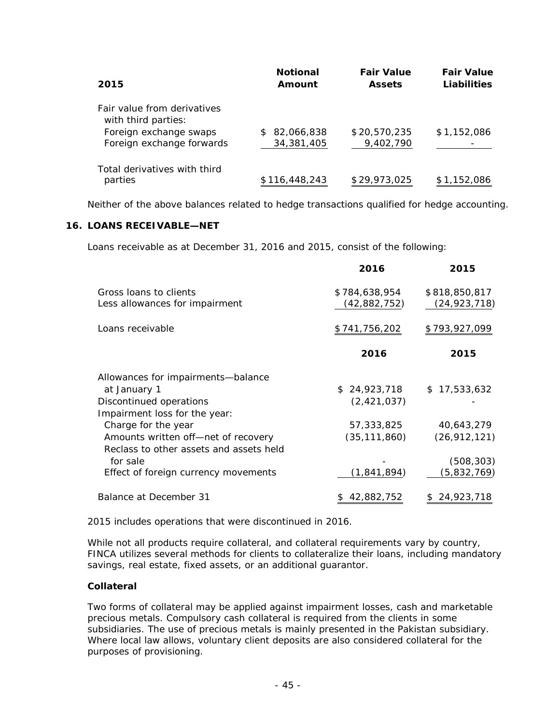| 2015                                                                                                      | <b>Notional</b><br>Amount      | <b>Fair Value</b><br>Assets | <b>Fair Value</b><br>Liabilities |
|-----------------------------------------------------------------------------------------------------------|--------------------------------|-----------------------------|----------------------------------|
| Fair value from derivatives<br>with third parties:<br>Foreign exchange swaps<br>Foreign exchange forwards | 82,066,838<br>S.<br>34,381,405 | \$20,570,235<br>9,402,790   | \$1,152,086                      |
| Total derivatives with third<br>parties                                                                   | 116,448,243                    | \$29,973,025                | \$1,152,086                      |

Neither of the above balances related to hedge transactions qualified for hedge accounting.

#### **16. LOANS RECEIVABLE—NET**

Loans receivable as at December 31, 2016 and 2015, consist of the following:

|                                                                                | 2016                          | 2015                          |
|--------------------------------------------------------------------------------|-------------------------------|-------------------------------|
| Gross loans to clients<br>Less allowances for impairment                       | \$784,638,954<br>(42,882,752) | \$818,850,817<br>(24,923,718) |
| Loans receivable                                                               | \$741,756,202                 | \$793,927,099                 |
|                                                                                | 2016                          | 2015                          |
| Allowances for impairments-balance                                             |                               |                               |
| at January 1                                                                   | \$24,923,718                  | \$17,533,632                  |
| Discontinued operations                                                        | (2, 421, 037)                 |                               |
| Impairment loss for the year:                                                  |                               |                               |
| Charge for the year                                                            | 57,333,825                    | 40,643,279                    |
| Amounts written off-net of recovery<br>Reclass to other assets and assets held | (35, 111, 860)                | (26, 912, 121)                |
| for sale                                                                       |                               | (508, 303)                    |
| Effect of foreign currency movements                                           | (1, 841, 894)                 | (5,832,769)                   |
| Balance at December 31                                                         | 42,882,752                    | 24,923,718<br>\$              |
|                                                                                |                               |                               |

2015 includes operations that were discontinued in 2016.

While not all products require collateral, and collateral requirements vary by country, FINCA utilizes several methods for clients to collateralize their loans, including mandatory savings, real estate, fixed assets, or an additional guarantor.

#### **Collateral**

Two forms of collateral may be applied against impairment losses, cash and marketable precious metals. Compulsory cash collateral is required from the clients in some subsidiaries. The use of precious metals is mainly presented in the Pakistan subsidiary. Where local law allows, voluntary client deposits are also considered collateral for the purposes of provisioning.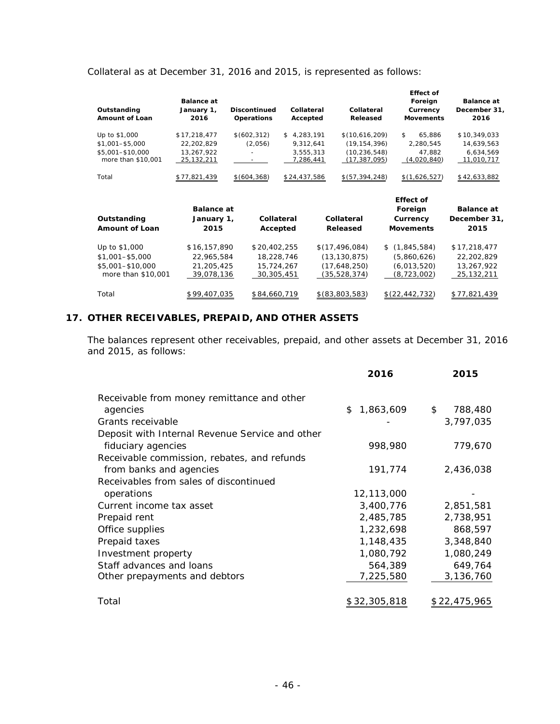| Outstanding<br>Amount of Loan                                              | Balance at<br>January 1,<br>2016                       | Discontinued<br>Operations                             | Collateral<br>Accepted                             | Collateral<br>Released                                               | Effect of<br>Foreign<br>Currency<br><b>Movements</b>       | Balance at<br>December 31,<br>2016                     |
|----------------------------------------------------------------------------|--------------------------------------------------------|--------------------------------------------------------|----------------------------------------------------|----------------------------------------------------------------------|------------------------------------------------------------|--------------------------------------------------------|
| Up to \$1,000<br>\$1,001-\$5,000<br>\$5,001-\$10,000<br>more than \$10,001 | \$17,218,477<br>22,202,829<br>13.267.922<br>25,132,211 | \$ (602, 312)<br>(2,056)                               | \$4,283,191<br>9,312,641<br>3.555.313<br>7,286,441 | \$(10,616,209)<br>(19, 154, 396)<br>(10, 236, 548)<br>(17,387,095)   | 65,886<br>\$<br>2,280,545<br>47.882<br>(4,020,840)         | \$10,349,033<br>14,639,563<br>6,634,569<br>11,010,717  |
| Total                                                                      | \$77,821,439                                           | \$(604,368)                                            | \$24,437,586                                       | \$(57, 394, 248)                                                     | \$(1,626,527)                                              | \$42,633,882                                           |
| Outstanding<br>Amount of Loan                                              | Balance at<br>January 1,<br>2015                       | Collateral<br>Accepted                                 |                                                    | Collateral<br>Released                                               | Effect of<br>Foreign<br>Currency<br><b>Movements</b>       | Balance at<br>December 31,<br>2015                     |
| Up to \$1,000<br>\$1,001-\$5,000<br>\$5,001-\$10,000<br>more than \$10,001 | \$16,157,890<br>22,965,584<br>21,205,425<br>39,078,136 | \$20,402,255<br>18,228,746<br>15,724,267<br>30,305,451 |                                                    | \$(17, 496, 084)<br>(13, 130, 875)<br>(17,648,250)<br>(35, 528, 374) | \$(1,845,584)<br>(5,860,626)<br>(6,013,520)<br>(8,723,002) | \$17,218,477<br>22,202,829<br>13,267,922<br>25,132,211 |
| Total                                                                      | \$99,407,035                                           | \$84,660,719                                           |                                                    | \$ (83,803,583)                                                      | \$(22, 442, 732)                                           | \$77,821,439                                           |

#### Collateral as at December 31, 2016 and 2015, is represented as follows:

### **17. OTHER RECEIVABLES, PREPAID, AND OTHER ASSETS**

The balances represent other receivables, prepaid, and other assets at December 31, 2016 and 2015, as follows:

|                                                 | 2016             | 2015          |
|-------------------------------------------------|------------------|---------------|
| Receivable from money remittance and other      |                  |               |
| agencies                                        | \$.<br>1,863,609 | \$<br>788,480 |
| Grants receivable                               |                  | 3,797,035     |
| Deposit with Internal Revenue Service and other |                  |               |
| fiduciary agencies                              | 998,980          | 779,670       |
| Receivable commission, rebates, and refunds     |                  |               |
| from banks and agencies                         | 191,774          | 2,436,038     |
| Receivables from sales of discontinued          |                  |               |
| operations                                      | 12,113,000       |               |
| Current income tax asset                        | 3,400,776        | 2,851,581     |
| Prepaid rent                                    | 2,485,785        | 2,738,951     |
| Office supplies                                 | 1,232,698        | 868,597       |
| Prepaid taxes                                   | 1,148,435        | 3,348,840     |
| Investment property                             | 1,080,792        | 1,080,249     |
| Staff advances and loans                        | 564,389          | 649,764       |
| Other prepayments and debtors                   | 7,225,580        | 3,136,760     |
| Total                                           | \$32,305,818     | \$22,475,965  |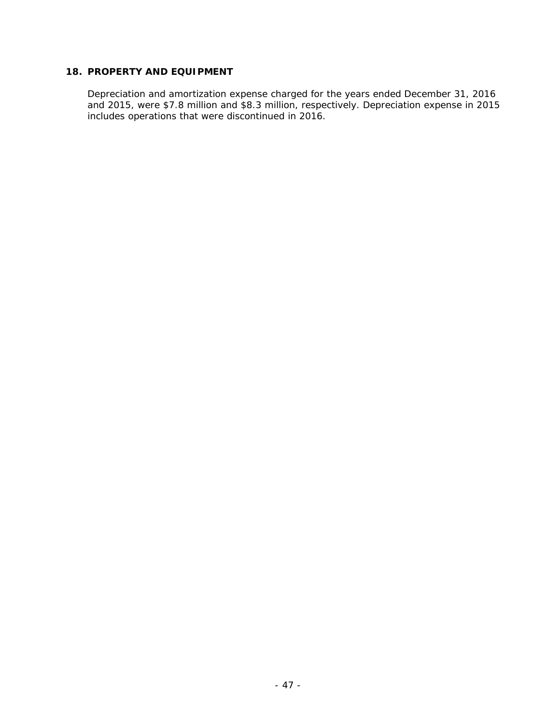#### **18. PROPERTY AND EQUIPMENT**

Depreciation and amortization expense charged for the years ended December 31, 2016 and 2015, were \$7.8 million and \$8.3 million, respectively. Depreciation expense in 2015 includes operations that were discontinued in 2016.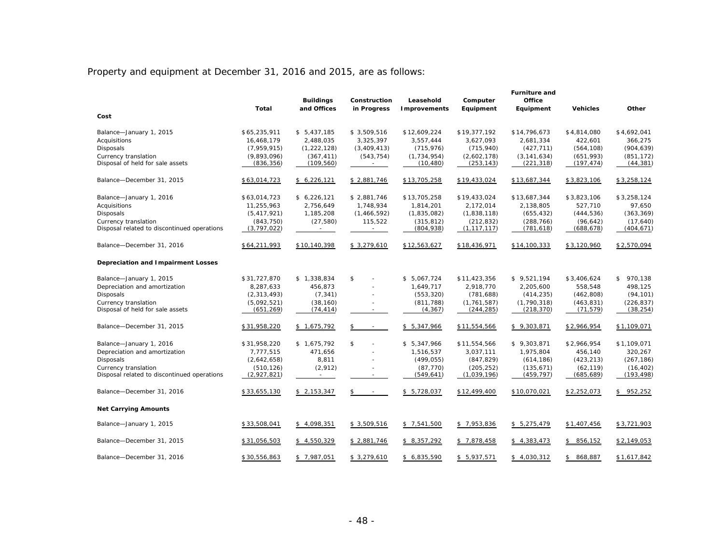#### Property and equipment at December 31, 2016 and 2015, are as follows:

| Cost                                        | Total         | <b>Buildings</b><br>and Offices | Construction<br>in Progress | Leasehold<br>Improvements | Computer<br>Equipment | <b>Furniture and</b><br>Office<br>Equipment | <b>Vehicles</b> | Other       |
|---------------------------------------------|---------------|---------------------------------|-----------------------------|---------------------------|-----------------------|---------------------------------------------|-----------------|-------------|
|                                             |               |                                 |                             |                           |                       |                                             |                 |             |
| Balance-January 1, 2015                     | \$65,235,911  | \$5,437,185                     | \$3,509,516                 | \$12,609,224              | \$19,377,192          | \$14,796,673                                | \$4,814,080     | \$4,692,041 |
| Acquisitions                                | 16,468,179    | 2,488,035                       | 3,325,397                   | 3,557,444                 | 3,627,093             | 2,681,334                                   | 422,601         | 366,275     |
| Disposals                                   | (7,959,915)   | (1,222,128)                     | (3,409,413)                 | (715, 976)                | (715, 940)            | (427, 711)                                  | (564, 108)      | (904, 639)  |
| Currency translation                        | (9,893,096)   | (367, 411)                      | (543, 754)                  | (1, 734, 954)             | (2,602,178)           | (3, 141, 634)                               | (651, 993)      | (851, 172)  |
| Disposal of held for sale assets            | (836, 356)    | (109, 560)                      | $\sim$                      | (10, 480)                 | (253, 143)            | (221, 318)                                  | (197, 474)      | (44, 381)   |
| Balance-December 31, 2015                   | \$63,014,723  | \$6,226,121                     | \$2,881,746                 | \$13,705,258              | \$19,433,024          | \$13,687,344                                | \$3,823,106     | \$3,258,124 |
| Balance-January 1, 2016                     | \$63,014,723  | \$6.226.121                     | \$2.881.746                 | \$13.705.258              | \$19,433,024          | \$13,687,344                                | \$3,823,106     | \$3.258.124 |
| Acquisitions                                | 11,255,963    | 2,756,649                       | 1,748,934                   | 1,814,201                 | 2,172,014             | 2,138,805                                   | 527,710         | 97,650      |
| <b>Disposals</b>                            | (5, 417, 921) | 1,185,208                       | (1,466,592)                 | (1,835,082)               | (1,838,118)           | (655, 432)                                  | (444, 536)      | (363, 369)  |
| Currency translation                        | (843, 750)    | (27, 580)                       | 115,522                     | (315, 812)                | (212, 832)            | (288, 766)                                  | (96, 642)       | (17, 640)   |
| Disposal related to discontinued operations | (3, 797, 022) | $\sim 100$                      | $\sim$                      | (804, 938)                | (1, 117, 117)         | (781, 618)                                  | (688, 678)      | (404, 671)  |
| Balance-December 31, 2016                   | \$64,211,993  | \$10,140,398                    | \$3,279,610                 | \$12,563,627              | \$18,436,971          | \$14,100,333                                | \$3,120,960     | \$2,570,094 |
| Depreciation and Impairment Losses          |               |                                 |                             |                           |                       |                                             |                 |             |
| Balance-January 1, 2015                     | \$31,727,870  | \$1,338,834                     | \$                          | \$5,067,724               | \$11,423,356          | \$9,521,194                                 | \$3,406,624     | \$970,138   |
| Depreciation and amortization               | 8,287,633     | 456,873                         |                             | 1,649,717                 | 2,918,770             | 2,205,600                                   | 558,548         | 498,125     |
| <b>Disposals</b>                            | (2, 313, 493) | (7, 341)                        |                             | (553, 320)                | (781, 688)            | (414, 235)                                  | (462, 808)      | (94, 101)   |
| Currency translation                        | (5,092,521)   | (38, 160)                       |                             | (811, 788)                | (1, 761, 587)         | (1, 790, 318)                               | (463, 831)      | (226, 837)  |
| Disposal of held for sale assets            | (651, 269)    | (74, 414)                       |                             | (4, 367)                  | (244, 285)            | (218, 370)                                  | (71, 579)       | (38, 254)   |
| Balance-December 31, 2015                   | \$31,958,220  | \$1,675,792                     | \$<br>$\sim$                | \$5,347,966               | \$11,554,566          | \$9,303,871                                 | \$2,966,954     | \$1,109,071 |
| Balance-January 1, 2016                     | \$31,958,220  | \$1,675,792                     | \$                          | \$5,347,966               | \$11,554,566          | \$9,303,871                                 | \$2,966,954     | \$1,109,071 |
| Depreciation and amortization               | 7,777,515     | 471,656                         |                             | 1,516,537                 | 3,037,111             | 1,975,804                                   | 456,140         | 320,267     |
| Disposals                                   | (2,642,658)   | 8,811                           |                             | (499, 055)                | (847, 829)            | (614, 186)                                  | (423, 213)      | (267, 186)  |
| Currency translation                        | (510, 126)    | (2,912)                         |                             | (87, 770)                 | (205, 252)            | (135, 671)                                  | (62, 119)       | (16, 402)   |
| Disposal related to discontinued operations | (2,927,821)   | $\sim$                          |                             | (549, 641)                | (1,039,196)           | (459, 797)                                  | (685, 689)      | (193, 498)  |
| Balance-December 31, 2016                   | \$33,655,130  | \$2,153,347                     | \$<br>$\sim$                | \$5,728,037               | \$12,499,400          | \$10,070,021                                | \$2,252,073     | \$952,252   |
| <b>Net Carrying Amounts</b>                 |               |                                 |                             |                           |                       |                                             |                 |             |
| Balance-January 1, 2015                     | \$33,508,041  | \$4,098,351                     | \$3,509,516                 | \$7,541,500               | \$7,953,836           | \$5,275,479                                 | \$1,407,456     | \$3,721,903 |
| Balance-December 31, 2015                   | \$31,056,503  | \$4,550,329                     | \$2,881,746                 | \$8,357,292               | \$7,878,458           | \$4,383,473                                 | \$856,152       | \$2,149,053 |
| Balance-December 31, 2016                   | \$30,556,863  | \$7,987,051                     | \$3,279,610                 | \$6,835,590               | \$5,937,571           | \$4,030,312                                 | \$ 868,887      | \$1,617,842 |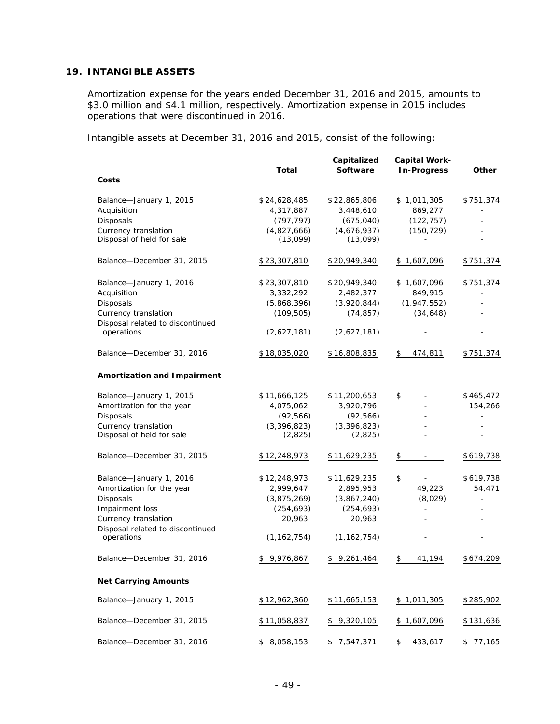#### **19. INTANGIBLE ASSETS**

Amortization expense for the years ended December 31, 2016 and 2015, amounts to \$3.0 million and \$4.1 million, respectively. Amortization expense in 2015 includes operations that were discontinued in 2016.

Intangible assets at December 31, 2016 and 2015, consist of the following:

|                                                | Total         | Capitalized<br>Software | Capital Work-<br>In-Progress | Other                    |
|------------------------------------------------|---------------|-------------------------|------------------------------|--------------------------|
| Costs                                          |               |                         |                              |                          |
| Balance-January 1, 2015                        | \$24,628,485  | \$22,865,806            | \$1,011,305                  | \$751,374                |
| Acquisition                                    | 4,317,887     | 3,448,610               | 869,277                      |                          |
| Disposals                                      | (797, 797)    | (675, 040)              | (122, 757)                   |                          |
| Currency translation                           | (4,827,666)   | (4,676,937)             | (150, 729)                   |                          |
| Disposal of held for sale                      | (13,099)      | (13,099)                |                              |                          |
| Balance-December 31, 2015                      | \$23,307,810  | \$20,949,340            | \$1,607,096                  | \$751,374                |
| Balance-January 1, 2016                        | \$23,307,810  | \$20,949,340            | \$1,607,096                  | \$751,374                |
| Acquisition                                    | 3,332,292     | 2,482,377               | 849,915                      | $\blacksquare$           |
| Disposals                                      | (5,868,396)   | (3,920,844)             | (1, 947, 552)                |                          |
| Currency translation                           | (109, 505)    | (74, 857)               | (34, 648)                    |                          |
| Disposal related to discontinued<br>operations | (2,627,181)   | (2,627,181)             |                              |                          |
| Balance-December 31, 2016                      | \$18,035,020  | \$16,808,835            | 474,811<br>\$                | \$751,374                |
| Amortization and Impairment                    |               |                         |                              |                          |
| Balance-January 1, 2015                        | \$11,666,125  | \$11,200,653            | \$                           | \$465,472                |
| Amortization for the year                      | 4,075,062     | 3,920,796               |                              | 154,266                  |
| Disposals                                      | (92, 566)     | (92, 566)               |                              | $\overline{\phantom{a}}$ |
| Currency translation                           | (3,396,823)   | (3, 396, 823)           |                              |                          |
| Disposal of held for sale                      | (2,825)       | (2,825)                 |                              |                          |
| Balance-December 31, 2015                      | \$12,248,973  | \$11,629,235            | \$                           | \$619,738                |
| Balance-January 1, 2016                        | \$12,248,973  | \$11,629,235            | \$                           | \$619,738                |
| Amortization for the year                      | 2,999,647     | 2,895,953               | 49,223                       | 54,471                   |
| Disposals                                      | (3,875,269)   | (3,867,240)             | (8,029)                      | $\frac{1}{2}$            |
| Impairment loss                                | (254, 693)    | (254, 693)              |                              |                          |
| Currency translation                           | 20,963        | 20,963                  |                              |                          |
| Disposal related to discontinued               |               |                         |                              |                          |
| operations                                     | (1, 162, 754) | (1, 162, 754)           |                              |                          |
| Balance-December 31, 2016                      | \$9,976,867   | \$9,261,464             | \$<br>41,194                 | \$674,209                |
| <b>Net Carrying Amounts</b>                    |               |                         |                              |                          |
| Balance-January 1, 2015                        | \$12,962,360  | \$11,665,153            | \$1,011,305                  | \$285,902                |
| Balance-December 31, 2015                      | \$11,058,837  | \$9,320,105             | \$1,607,096                  | \$131,636                |
| Balance-December 31, 2016                      | \$8,058,153   | \$7,547,371             | \$<br>433,617                | \$77,165                 |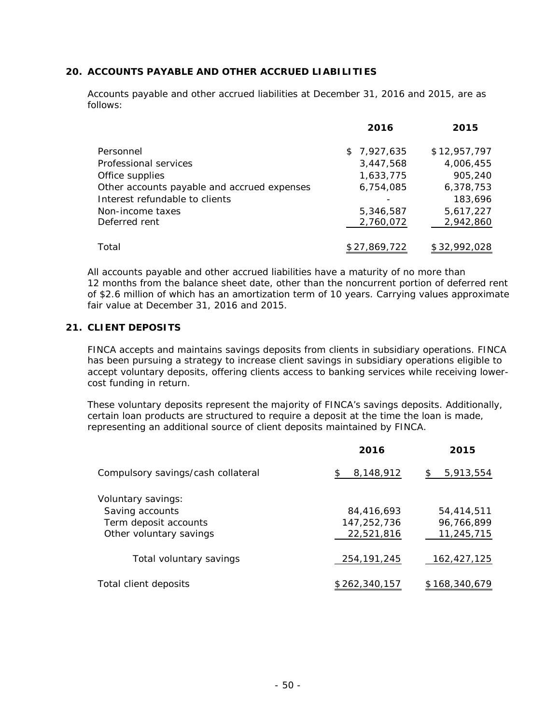#### **20. ACCOUNTS PAYABLE AND OTHER ACCRUED LIABILITIES**

Accounts payable and other accrued liabilities at December 31, 2016 and 2015, are as follows:

|                                             | 2016         | 2015         |
|---------------------------------------------|--------------|--------------|
| Personnel                                   | \$7,927,635  | \$12,957,797 |
| Professional services                       | 3,447,568    | 4,006,455    |
| Office supplies                             | 1,633,775    | 905,240      |
| Other accounts payable and accrued expenses | 6.754.085    | 6,378,753    |
| Interest refundable to clients              |              | 183,696      |
| Non-income taxes                            | 5,346,587    | 5,617,227    |
| Deferred rent                               | 2,760,072    | 2,942,860    |
| Total                                       | \$27,869,722 | \$32,992,028 |

All accounts payable and other accrued liabilities have a maturity of no more than 12 months from the balance sheet date, other than the noncurrent portion of deferred rent of \$2.6 million of which has an amortization term of 10 years. Carrying values approximate fair value at December 31, 2016 and 2015.

#### **21. CLIENT DEPOSITS**

FINCA accepts and maintains savings deposits from clients in subsidiary operations. FINCA has been pursuing a strategy to increase client savings in subsidiary operations eligible to accept voluntary deposits, offering clients access to banking services while receiving lowercost funding in return.

These voluntary deposits represent the majority of FINCA's savings deposits. Additionally, certain loan products are structured to require a deposit at the time the loan is made, representing an additional source of client deposits maintained by FINCA.

|                                    | 2016            | 2015           |
|------------------------------------|-----------------|----------------|
| Compulsory savings/cash collateral | 8,148,912<br>S. | 5,913,554<br>S |
| Voluntary savings:                 |                 |                |
| Saving accounts                    | 84,416,693      | 54,414,511     |
| Term deposit accounts              | 147,252,736     | 96,766,899     |
| Other voluntary savings            | 22,521,816      | 11,245,715     |
| Total voluntary savings            | 254, 191, 245   | 162,427,125    |
| Total client deposits              | \$262,340,157   | \$168,340,679  |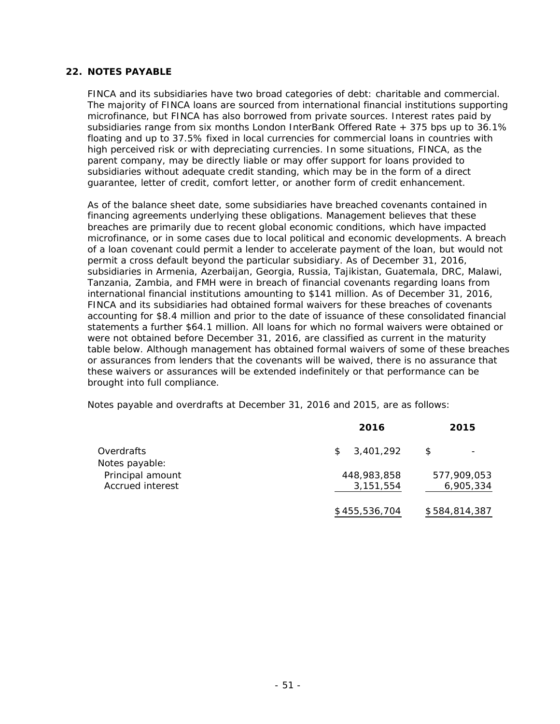#### **22. NOTES PAYABLE**

FINCA and its subsidiaries have two broad categories of debt: charitable and commercial. The majority of FINCA loans are sourced from international financial institutions supporting microfinance, but FINCA has also borrowed from private sources. Interest rates paid by subsidiaries range from six months London InterBank Offered Rate + 375 bps up to 36.1% floating and up to 37.5% fixed in local currencies for commercial loans in countries with high perceived risk or with depreciating currencies. In some situations, FINCA, as the parent company, may be directly liable or may offer support for loans provided to subsidiaries without adequate credit standing, which may be in the form of a direct guarantee, letter of credit, comfort letter, or another form of credit enhancement.

As of the balance sheet date, some subsidiaries have breached covenants contained in financing agreements underlying these obligations. Management believes that these breaches are primarily due to recent global economic conditions, which have impacted microfinance, or in some cases due to local political and economic developments. A breach of a loan covenant could permit a lender to accelerate payment of the loan, but would not permit a cross default beyond the particular subsidiary. As of December 31, 2016, subsidiaries in Armenia, Azerbaijan, Georgia, Russia, Tajikistan, Guatemala, DRC, Malawi, Tanzania, Zambia, and FMH were in breach of financial covenants regarding loans from international financial institutions amounting to \$141 million. As of December 31, 2016, FINCA and its subsidiaries had obtained formal waivers for these breaches of covenants accounting for \$8.4 million and prior to the date of issuance of these consolidated financial statements a further \$64.1 million. All loans for which no formal waivers were obtained or were not obtained before December 31, 2016, are classified as current in the maturity table below. Although management has obtained formal waivers of some of these breaches or assurances from lenders that the covenants will be waived, there is no assurance that these waivers or assurances will be extended indefinitely or that performance can be brought into full compliance.

Notes payable and overdrafts at December 31, 2016 and 2015, are as follows:

|                  | 2016           | 2015          |
|------------------|----------------|---------------|
| Overdrafts       | 3,401,292<br>S | \$            |
| Notes payable:   |                |               |
| Principal amount | 448,983,858    | 577,909,053   |
| Accrued interest | 3, 151, 554    | 6,905,334     |
|                  | \$455,536,704  | \$584,814,387 |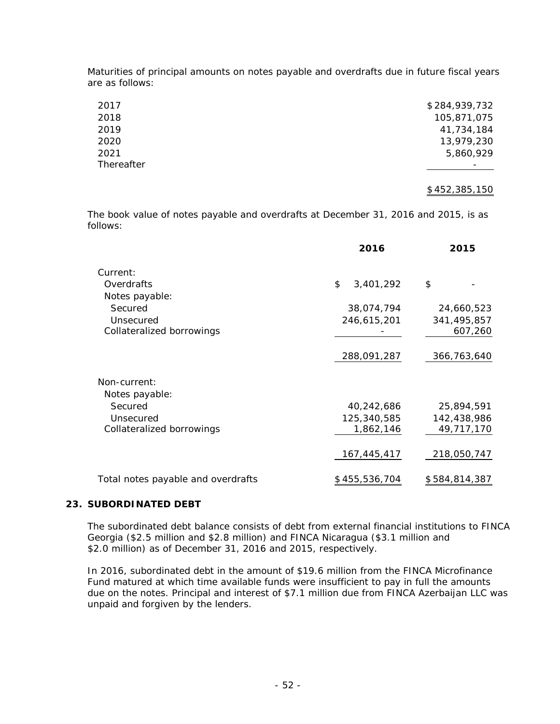Maturities of principal amounts on notes payable and overdrafts due in future fiscal years are as follows:

| 2017       | \$284,939,732 |
|------------|---------------|
| 2018       | 105,871,075   |
| 2019       | 41,734,184    |
| 2020       | 13,979,230    |
| 2021       | 5,860,929     |
| Thereafter |               |
|            |               |

#### \$ 452,385,150

The book value of notes payable and overdrafts at December 31, 2016 and 2015, is as follows:

|                                    | 2016            | 2015          |
|------------------------------------|-----------------|---------------|
| Current:                           |                 |               |
| Overdrafts                         | \$<br>3,401,292 | \$            |
| Notes payable:                     |                 |               |
| Secured                            | 38,074,794      | 24,660,523    |
| Unsecured                          | 246,615,201     | 341,495,857   |
| Collateralized borrowings          |                 | 607,260       |
|                                    | 288,091,287     | 366,763,640   |
| Non-current:                       |                 |               |
| Notes payable:                     |                 |               |
| Secured                            | 40,242,686      | 25,894,591    |
| Unsecured                          | 125,340,585     | 142,438,986   |
| Collateralized borrowings          | 1,862,146       | 49,717,170    |
|                                    | 167,445,417     | 218,050,747   |
| Total notes payable and overdrafts | \$455,536,704   | \$584,814,387 |

#### **23. SUBORDINATED DEBT**

The subordinated debt balance consists of debt from external financial institutions to FINCA Georgia (\$2.5 million and \$2.8 million) and FINCA Nicaragua (\$3.1 million and \$2.0 million) as of December 31, 2016 and 2015, respectively.

In 2016, subordinated debt in the amount of \$19.6 million from the FINCA Microfinance Fund matured at which time available funds were insufficient to pay in full the amounts due on the notes. Principal and interest of \$7.1 million due from FINCA Azerbaijan LLC was unpaid and forgiven by the lenders.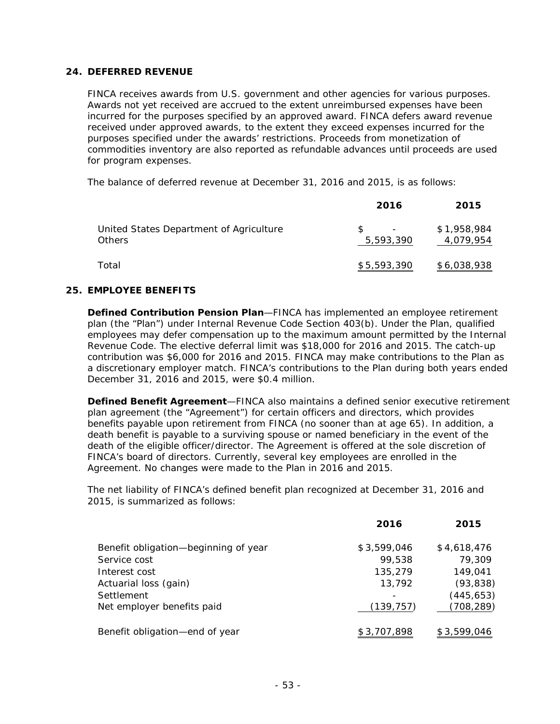#### **24. DEFERRED REVENUE**

FINCA receives awards from U.S. government and other agencies for various purposes. Awards not yet received are accrued to the extent unreimbursed expenses have been incurred for the purposes specified by an approved award. FINCA defers award revenue received under approved awards, to the extent they exceed expenses incurred for the purposes specified under the awards' restrictions. Proceeds from monetization of commodities inventory are also reported as refundable advances until proceeds are used for program expenses.

The balance of deferred revenue at December 31, 2016 and 2015, is as follows:

|                                                   | 2016        | 2015                     |
|---------------------------------------------------|-------------|--------------------------|
| United States Department of Agriculture<br>Others | 5,593,390   | \$1,958,984<br>4,079,954 |
| Total                                             | \$5,593,390 | \$6,038,938              |

#### **25. EMPLOYEE BENEFITS**

**Defined Contribution Pension Plan**—FINCA has implemented an employee retirement plan (the "Plan") under Internal Revenue Code Section 403(b). Under the Plan, qualified employees may defer compensation up to the maximum amount permitted by the Internal Revenue Code. The elective deferral limit was \$18,000 for 2016 and 2015. The catch-up contribution was \$6,000 for 2016 and 2015. FINCA may make contributions to the Plan as a discretionary employer match. FINCA's contributions to the Plan during both years ended December 31, 2016 and 2015, were \$0.4 million.

**Defined Benefit Agreement**—FINCA also maintains a defined senior executive retirement plan agreement (the "Agreement") for certain officers and directors, which provides benefits payable upon retirement from FINCA (no sooner than at age 65). In addition, a death benefit is payable to a surviving spouse or named beneficiary in the event of the death of the eligible officer/director. The Agreement is offered at the sole discretion of FINCA's board of directors. Currently, several key employees are enrolled in the Agreement. No changes were made to the Plan in 2016 and 2015.

The net liability of FINCA's defined benefit plan recognized at December 31, 2016 and 2015, is summarized as follows:

|                                      | 2016        | 2015        |
|--------------------------------------|-------------|-------------|
| Benefit obligation-beginning of year | \$3,599,046 | \$4,618,476 |
| Service cost                         | 99,538      | 79,309      |
| Interest cost                        | 135,279     | 149,041     |
| Actuarial loss (gain)                | 13,792      | (93, 838)   |
| Settlement                           |             | (445, 653)  |
| Net employer benefits paid           | (139,757)   | (708,289)   |
| Benefit obligation-end of year       | \$3,707,898 | \$3,599,046 |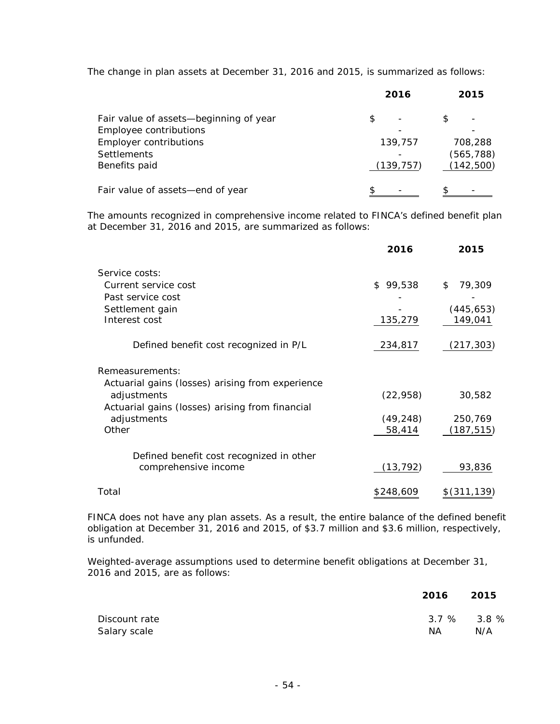The change in plan assets at December 31, 2016 and 2015, is summarized as follows:

|                                        | 2016       | 2015       |
|----------------------------------------|------------|------------|
| Fair value of assets-beginning of year | S          |            |
| Employee contributions                 |            |            |
| Employer contributions                 | 139,757    | 708,288    |
| <b>Settlements</b>                     |            | (565, 788) |
| Benefits paid                          | (139, 757) | (142,500)  |
| Fair value of assets-end of year       |            |            |

The amounts recognized in comprehensive income related to FINCA's defined benefit plan at December 31, 2016 and 2015, are summarized as follows:

|                                                  | 2016          | 2015         |
|--------------------------------------------------|---------------|--------------|
| Service costs:                                   |               |              |
| Current service cost                             | 99,538<br>\$. | 79,309<br>\$ |
| Past service cost                                |               |              |
| Settlement gain                                  |               | (445, 653)   |
| Interest cost                                    | 135,279       | 149,041      |
| Defined benefit cost recognized in P/L           | 234,817       | (217, 303)   |
| Remeasurements:                                  |               |              |
| Actuarial gains (losses) arising from experience |               |              |
| adjustments                                      | (22, 958)     | 30,582       |
| Actuarial gains (losses) arising from financial  |               |              |
| adjustments                                      | (49, 248)     | 250,769      |
| Other                                            | 58,414        | (187, 515)   |
| Defined benefit cost recognized in other         |               |              |
| comprehensive income                             | (13,792)      | 93,836       |
| Total                                            | \$248,609     | \$(311, 139) |

FINCA does not have any plan assets. As a result, the entire balance of the defined benefit obligation at December 31, 2016 and 2015, of \$3.7 million and \$3.6 million, respectively, is unfunded.

Weighted-average assumptions used to determine benefit obligations at December 31, 2016 and 2015, are as follows:

|               | 2016 2015 |                 |
|---------------|-----------|-----------------|
| Discount rate |           | $3.7\%$ $3.8\%$ |
| Salary scale  | NA.       | N/A             |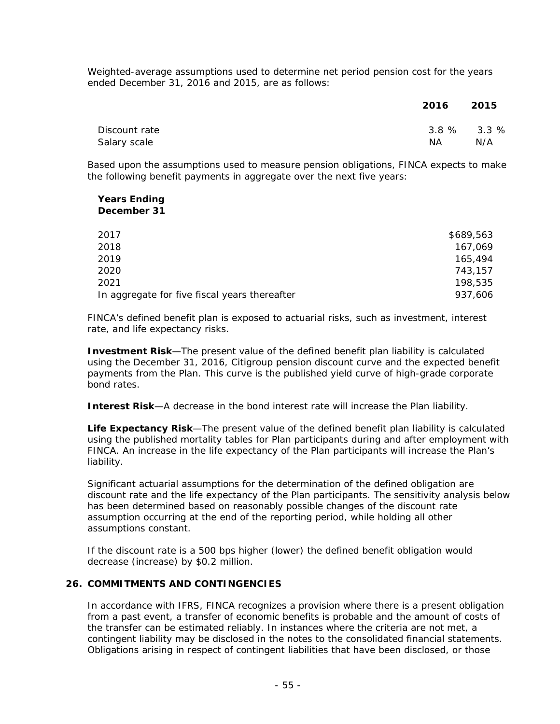Weighted-average assumptions used to determine net period pension cost for the years ended December 31, 2016 and 2015, are as follows:

|               | 2016 2015 |               |
|---------------|-----------|---------------|
| Discount rate |           | $3.8\%$ 3.3 % |
| Salary scale  | NA.       | N/A           |

Based upon the assumptions used to measure pension obligations, FINCA expects to make the following benefit payments in aggregate over the next five years:

#### **Years Ending December 31**

| 2017                                          | \$689,563 |
|-----------------------------------------------|-----------|
| 2018                                          | 167.069   |
| 2019                                          | 165,494   |
| 2020                                          | 743.157   |
| 2021                                          | 198,535   |
| In aggregate for five fiscal years thereafter | 937,606   |
|                                               |           |

FINCA's defined benefit plan is exposed to actuarial risks, such as investment, interest rate, and life expectancy risks.

**Investment Risk**—The present value of the defined benefit plan liability is calculated using the December 31, 2016, Citigroup pension discount curve and the expected benefit payments from the Plan. This curve is the published yield curve of high-grade corporate bond rates.

**Interest Risk**—A decrease in the bond interest rate will increase the Plan liability.

**Life Expectancy Risk**—The present value of the defined benefit plan liability is calculated using the published mortality tables for Plan participants during and after employment with FINCA. An increase in the life expectancy of the Plan participants will increase the Plan's liability.

Significant actuarial assumptions for the determination of the defined obligation are discount rate and the life expectancy of the Plan participants. The sensitivity analysis below has been determined based on reasonably possible changes of the discount rate assumption occurring at the end of the reporting period, while holding all other assumptions constant.

If the discount rate is a 500 bps higher (lower) the defined benefit obligation would decrease (increase) by \$0.2 million.

#### **26. COMMITMENTS AND CONTINGENCIES**

In accordance with IFRS, FINCA recognizes a provision where there is a present obligation from a past event, a transfer of economic benefits is probable and the amount of costs of the transfer can be estimated reliably. In instances where the criteria are not met, a contingent liability may be disclosed in the notes to the consolidated financial statements. Obligations arising in respect of contingent liabilities that have been disclosed, or those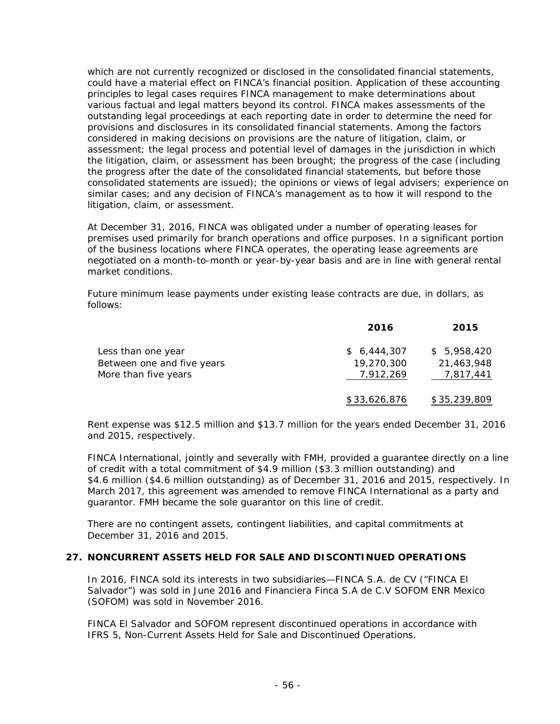which are not currently recognized or disclosed in the consolidated financial statements, could have a material effect on FINCA's financial position. Application of these accounting principles to legal cases requires FINCA management to make determinations about various factual and legal matters beyond its control. FINCA makes assessments of the outstanding legal proceedings at each reporting date in order to determine the need for provisions and disclosures in its consolidated financial statements. Among the factors considered in making decisions on provisions are the nature of litigation, claim, or assessment; the legal process and potential level of damages in the jurisdiction in which the litigation, claim, or assessment has been brought; the progress of the case (including the progress after the date of the consolidated financial statements, but before those consolidated statements are issued); the opinions or views of legal advisers; experience on similar cases; and any decision of FINCA's management as to how it will respond to the litigation, claim, or assessment.

At December 31, 2016, FINCA was obligated under a number of operating leases for premises used primarily for branch operations and office purposes. In a significant portion of the business locations where FINCA operates, the operating lease agreements are negotiated on a month-to-month or year-by-year basis and are in line with general rental market conditions.

Future minimum lease payments under existing lease contracts are due, in dollars, as follows:

|                                                                          | 2016                                   | 2015                                   |
|--------------------------------------------------------------------------|----------------------------------------|----------------------------------------|
| Less than one year<br>Between one and five years<br>More than five years | \$6,444,307<br>19,270,300<br>7,912,269 | \$5,958,420<br>21,463,948<br>7,817,441 |
|                                                                          | \$33,626,876                           | \$35,239,809                           |

Rent expense was \$12.5 million and \$13.7 million for the years ended December 31, 2016 and 2015, respectively.

FINCA International, jointly and severally with FMH, provided a guarantee directly on a line of credit with a total commitment of \$4.9 million (\$3.3 million outstanding) and \$4.6 million (\$4.6 million outstanding) as of December 31, 2016 and 2015, respectively. In March 2017, this agreement was amended to remove FINCA International as a party and guarantor. FMH became the sole guarantor on this line of credit.

There are no contingent assets, contingent liabilities, and capital commitments at December 31, 2016 and 2015.

#### **27. NONCURRENT ASSETS HELD FOR SALE AND DISCONTINUED OPERATIONS**

In 2016, FINCA sold its interests in two subsidiaries—FINCA S.A. de CV ("FINCA El Salvador") was sold in June 2016 and Financiera Finca S.A de C.V SOFOM ENR Mexico (SOFOM) was sold in November 2016.

FINCA El Salvador and SOFOM represent discontinued operations in accordance with IFRS 5, *Non-Current Assets Held for Sale and Discontinued Operations*.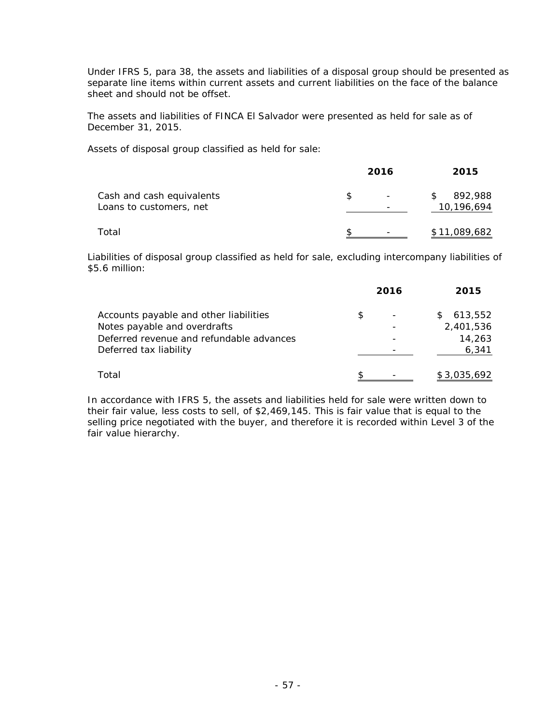Under IFRS 5, para 38, the assets and liabilities of a disposal group should be presented as separate line items within current assets and current liabilities on the face of the balance sheet and should not be offset.

The assets and liabilities of FINCA El Salvador were presented as held for sale as of December 31, 2015.

Assets of disposal group classified as held for sale:

|                                                      |     | 2016 | 2015                  |
|------------------------------------------------------|-----|------|-----------------------|
| Cash and cash equivalents<br>Loans to customers, net | \$. |      | 892,988<br>10,196,694 |
| Total                                                |     |      | \$11,089,682          |

Liabilities of disposal group classified as held for sale, excluding intercompany liabilities of \$5.6 million:

|                                          | 2016 | 2015          |
|------------------------------------------|------|---------------|
| Accounts payable and other liabilities   | \$   | 613,552<br>S. |
| Notes payable and overdrafts             |      | 2,401,536     |
| Deferred revenue and refundable advances |      | 14,263        |
| Deferred tax liability                   |      | 6,341         |
| Total                                    |      | \$3,035,692   |

In accordance with IFRS 5, the assets and liabilities held for sale were written down to their fair value, less costs to sell, of \$2,469,145. This is fair value that is equal to the selling price negotiated with the buyer, and therefore it is recorded within Level 3 of the fair value hierarchy.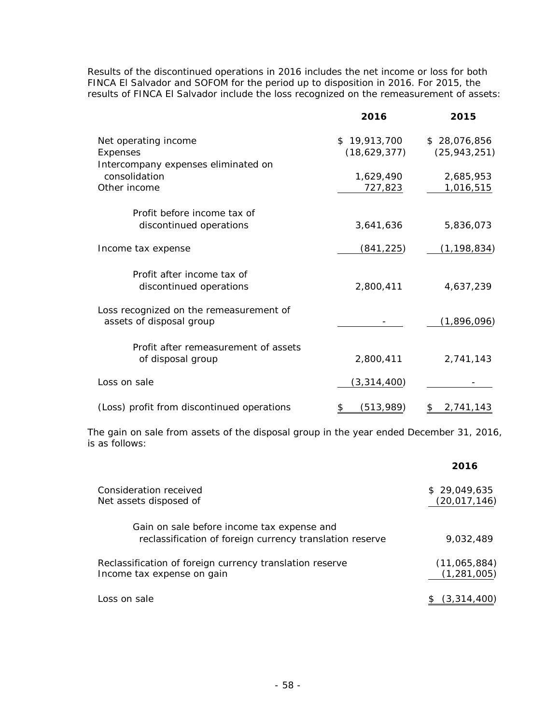Results of the discontinued operations in 2016 includes the net income or loss for both FINCA El Salvador and SOFOM for the period up to disposition in 2016. For 2015, the results of FINCA El Salvador include the loss recognized on the remeasurement of assets:

|                                                                      | 2016                         | 2015                           |
|----------------------------------------------------------------------|------------------------------|--------------------------------|
| Net operating income<br>Expenses                                     | \$19,913,700<br>(18,629,377) | \$28,076,856<br>(25, 943, 251) |
| Intercompany expenses eliminated on<br>consolidation<br>Other income | 1,629,490<br>727,823         | 2,685,953<br>1,016,515         |
| Profit before income tax of                                          |                              |                                |
| discontinued operations                                              | 3,641,636                    | 5,836,073                      |
| Income tax expense                                                   | (841, 225)                   | (1,198,834)                    |
| Profit after income tax of<br>discontinued operations                | 2,800,411                    | 4,637,239                      |
| Loss recognized on the remeasurement of<br>assets of disposal group  |                              | (1,896,096)                    |
| Profit after remeasurement of assets<br>of disposal group            | 2,800,411                    | 2,741,143                      |
| Loss on sale                                                         | (3, 314, 400)                |                                |
| (Loss) profit from discontinued operations                           | (513,989)<br>\$              | 2,741,143                      |

The gain on sale from assets of the disposal group in the year ended December 31, 2016, is as follows:

|                                                                                                        | 2016                           |
|--------------------------------------------------------------------------------------------------------|--------------------------------|
| Consideration received<br>Net assets disposed of                                                       | \$29,049,635<br>(20, 017, 146) |
| Gain on sale before income tax expense and<br>reclassification of foreign currency translation reserve | 9.032.489                      |
| Reclassification of foreign currency translation reserve<br>Income tax expense on gain                 | (11,065,884)<br>(1, 281, 005)  |
| Loss on sale                                                                                           | (3,314,400)                    |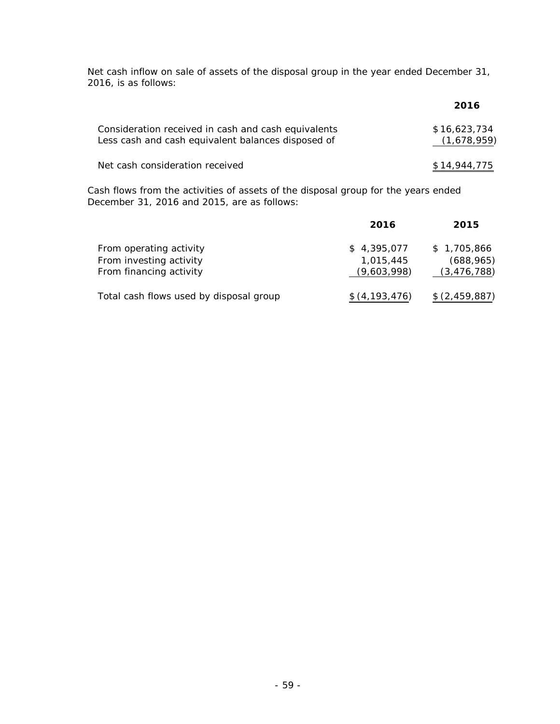Net cash inflow on sale of assets of the disposal group in the year ended December 31, 2016, is as follows:

|                                                                                                           | 2016                        |
|-----------------------------------------------------------------------------------------------------------|-----------------------------|
| Consideration received in cash and cash equivalents<br>Less cash and cash equivalent balances disposed of | \$16.623.734<br>(1,678,959) |
| Net cash consideration received                                                                           | \$14,944,775                |

Cash flows from the activities of assets of the disposal group for the years ended December 31, 2016 and 2015, are as follows:

|                                                                               | 2016                                    | 2015                                       |
|-------------------------------------------------------------------------------|-----------------------------------------|--------------------------------------------|
| From operating activity<br>From investing activity<br>From financing activity | \$4,395,077<br>1,015,445<br>(9,603,998) | \$1,705,866<br>(688, 965)<br>(3, 476, 788) |
| Total cash flows used by disposal group                                       | \$(4, 193, 476)                         | \$(2,459,887)                              |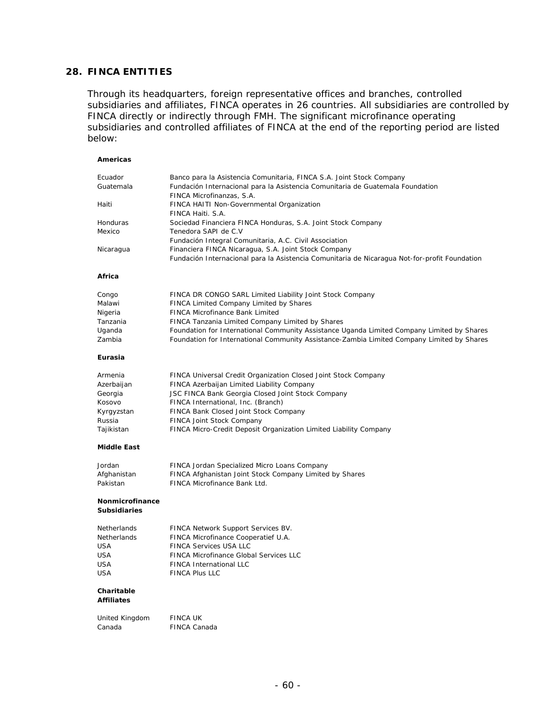#### **28. FINCA ENTITIES**

Through its headquarters, foreign representative offices and branches, controlled subsidiaries and affiliates, FINCA operates in 26 countries. All subsidiaries are controlled by FINCA directly or indirectly through FMH. The significant microfinance operating subsidiaries and controlled affiliates of FINCA at the end of the reporting period are listed below:

#### **Americas**

| Ecuador<br>Guatemala                   | Banco para la Asistencia Comunitaria, FINCA S.A. Joint Stock Company<br>Fundación Internacional para la Asistencia Comunitaria de Guatemala Foundation                                   |
|----------------------------------------|------------------------------------------------------------------------------------------------------------------------------------------------------------------------------------------|
|                                        | FINCA Microfinanzas, S.A.                                                                                                                                                                |
| Haiti                                  | FINCA HAITI Non-Governmental Organization<br>FINCA Haiti. S.A.                                                                                                                           |
| Honduras                               | Sociedad Financiera FINCA Honduras, S.A. Joint Stock Company                                                                                                                             |
| Mexico                                 | Tenedora SAPI de C.V                                                                                                                                                                     |
|                                        | Fundación Integral Comunitaria, A.C. Civil Association                                                                                                                                   |
| Nicaragua                              | Financiera FINCA Nicaragua, S.A. Joint Stock Company<br>Fundación Internacional para la Asistencia Comunitaria de Nicaragua Not-for-profit Foundation                                    |
| Africa                                 |                                                                                                                                                                                          |
| Congo                                  | FINCA DR CONGO SARL Limited Liability Joint Stock Company                                                                                                                                |
| Malawi                                 | FINCA Limited Company Limited by Shares                                                                                                                                                  |
| Nigeria                                | FINCA Microfinance Bank Limited                                                                                                                                                          |
| Tanzania                               | FINCA Tanzania Limited Company Limited by Shares                                                                                                                                         |
| Uganda<br>Zambia                       | Foundation for International Community Assistance Uganda Limited Company Limited by Shares<br>Foundation for International Community Assistance-Zambia Limited Company Limited by Shares |
| Eurasia                                |                                                                                                                                                                                          |
| Armenia                                | FINCA Universal Credit Organization Closed Joint Stock Company                                                                                                                           |
| Azerbaijan                             | FINCA Azerbaijan Limited Liability Company                                                                                                                                               |
| Georgia                                | JSC FINCA Bank Georgia Closed Joint Stock Company                                                                                                                                        |
| Kosovo                                 | FINCA International, Inc. (Branch)                                                                                                                                                       |
| Kyrgyzstan                             | FINCA Bank Closed Joint Stock Company                                                                                                                                                    |
| Russia                                 | FINCA Joint Stock Company                                                                                                                                                                |
| Tajikistan                             | FINCA Micro-Credit Deposit Organization Limited Liability Company                                                                                                                        |
| Middle East                            |                                                                                                                                                                                          |
| Jordan                                 | FINCA Jordan Specialized Micro Loans Company                                                                                                                                             |
| Afghanistan                            | FINCA Afghanistan Joint Stock Company Limited by Shares                                                                                                                                  |
| Pakistan                               | FINCA Microfinance Bank Ltd.                                                                                                                                                             |
| Nonmicrofinance<br><b>Subsidiaries</b> |                                                                                                                                                                                          |
| Netherlands                            | FINCA Network Support Services BV.                                                                                                                                                       |
| Netherlands                            | FINCA Microfinance Cooperatief U.A.                                                                                                                                                      |
| USA                                    | FINCA Services USA LLC                                                                                                                                                                   |
| USA                                    | FINCA Microfinance Global Services LLC                                                                                                                                                   |
| USA                                    | <b>FINCA International LLC</b>                                                                                                                                                           |
| <b>USA</b>                             | <b>FINCA Plus LLC</b>                                                                                                                                                                    |
| Charitable<br><b>Affiliates</b>        |                                                                                                                                                                                          |
| United Kingdom                         | <b>FINCA UK</b>                                                                                                                                                                          |
| Canada                                 | FINCA Canada                                                                                                                                                                             |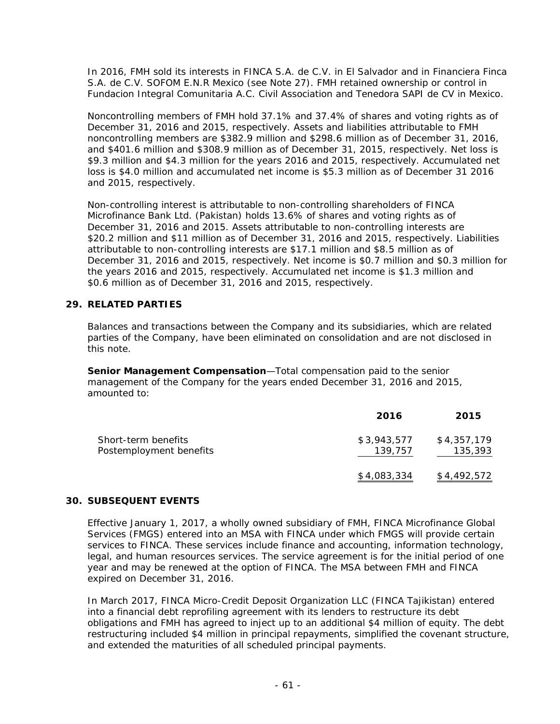In 2016, FMH sold its interests in FINCA S.A. de C.V. in El Salvador and in Financiera Finca S.A. de C.V. SOFOM E.N.R Mexico (see Note 27). FMH retained ownership or control in Fundacion Integral Comunitaria A.C. Civil Association and Tenedora SAPI de CV in Mexico.

Noncontrolling members of FMH hold 37.1% and 37.4% of shares and voting rights as of December 31, 2016 and 2015, respectively. Assets and liabilities attributable to FMH noncontrolling members are \$382.9 million and \$298.6 million as of December 31, 2016, and \$401.6 million and \$308.9 million as of December 31, 2015, respectively. Net loss is \$9.3 million and \$4.3 million for the years 2016 and 2015, respectively. Accumulated net loss is \$4.0 million and accumulated net income is \$5.3 million as of December 31 2016 and 2015, respectively.

Non-controlling interest is attributable to non-controlling shareholders of FINCA Microfinance Bank Ltd. (Pakistan) holds 13.6% of shares and voting rights as of December 31, 2016 and 2015. Assets attributable to non-controlling interests are \$20.2 million and \$11 million as of December 31, 2016 and 2015, respectively. Liabilities attributable to non-controlling interests are \$17.1 million and \$8.5 million as of December 31, 2016 and 2015, respectively. Net income is \$0.7 million and \$0.3 million for the years 2016 and 2015, respectively. Accumulated net income is \$1.3 million and \$0.6 million as of December 31, 2016 and 2015, respectively.

#### **29. RELATED PARTIES**

Balances and transactions between the Company and its subsidiaries, which are related parties of the Company, have been eliminated on consolidation and are not disclosed in this note.

**Senior Management Compensation**—Total compensation paid to the senior management of the Company for the years ended December 31, 2016 and 2015, amounted to:

|                                                | 2016                   | 2015                   |
|------------------------------------------------|------------------------|------------------------|
| Short-term benefits<br>Postemployment benefits | \$3.943.577<br>139,757 | \$4,357,179<br>135,393 |
|                                                | \$4,083,334            | \$4,492,572            |

#### **30. SUBSEQUENT EVENTS**

Effective January 1, 2017, a wholly owned subsidiary of FMH, FINCA Microfinance Global Services (FMGS) entered into an MSA with FINCA under which FMGS will provide certain services to FINCA. These services include finance and accounting, information technology, legal, and human resources services. The service agreement is for the initial period of one year and may be renewed at the option of FINCA. The MSA between FMH and FINCA expired on December 31, 2016.

In March 2017, FINCA Micro-Credit Deposit Organization LLC (FINCA Tajikistan) entered into a financial debt reprofiling agreement with its lenders to restructure its debt obligations and FMH has agreed to inject up to an additional \$4 million of equity. The debt restructuring included \$4 million in principal repayments, simplified the covenant structure, and extended the maturities of all scheduled principal payments.